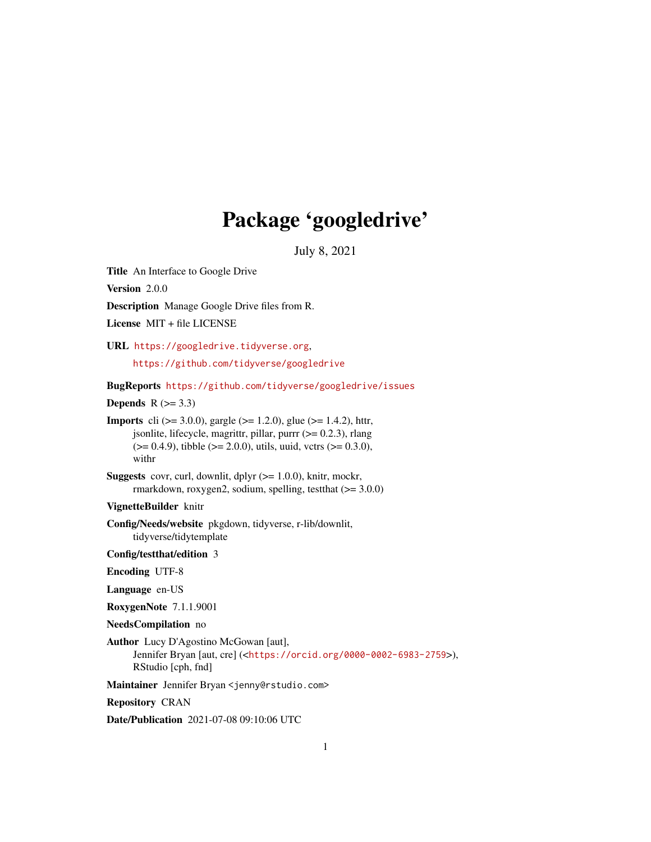# Package 'googledrive'

July 8, 2021

<span id="page-0-0"></span>Title An Interface to Google Drive

Version 2.0.0

Description Manage Google Drive files from R.

License MIT + file LICENSE

URL <https://googledrive.tidyverse.org>,

<https://github.com/tidyverse/googledrive>

BugReports <https://github.com/tidyverse/googledrive/issues>

Depends  $R$  ( $>= 3.3$ )

**Imports** cli ( $>= 3.0.0$ ), gargle ( $>= 1.2.0$ ), glue ( $>= 1.4.2$ ), httr, jsonlite, lifecycle, magrittr, pillar, purrr  $(>= 0.2.3)$ , rlang  $(>= 0.4.9)$ , tibble  $(>= 2.0.0)$ , utils, uuid, vctrs  $(>= 0.3.0)$ , withr

**Suggests** covr, curl, downlit, dplyr  $(>= 1.0.0)$ , knitr, mockr, rmarkdown, roxygen2, sodium, spelling, testthat (>= 3.0.0)

VignetteBuilder knitr

Config/Needs/website pkgdown, tidyverse, r-lib/downlit, tidyverse/tidytemplate

Config/testthat/edition 3

Encoding UTF-8

Language en-US

RoxygenNote 7.1.1.9001

NeedsCompilation no

Author Lucy D'Agostino McGowan [aut], Jennifer Bryan [aut, cre] (<<https://orcid.org/0000-0002-6983-2759>>), RStudio [cph, fnd]

Maintainer Jennifer Bryan <jenny@rstudio.com>

Repository CRAN

Date/Publication 2021-07-08 09:10:06 UTC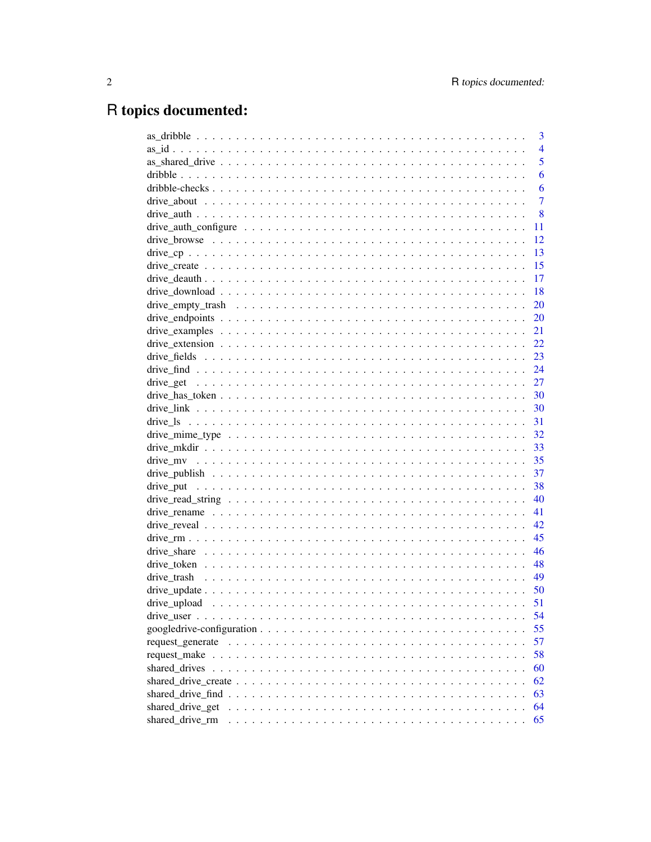# R topics documented:

|                                                                                                                  | 3              |
|------------------------------------------------------------------------------------------------------------------|----------------|
|                                                                                                                  | $\overline{4}$ |
|                                                                                                                  | 5              |
|                                                                                                                  | 6              |
|                                                                                                                  | 6              |
|                                                                                                                  | $\overline{7}$ |
|                                                                                                                  | 8              |
| drive_auth_configure $\dots \dots \dots \dots \dots \dots \dots \dots \dots \dots \dots \dots \dots \dots \dots$ | 11             |
|                                                                                                                  | 12             |
|                                                                                                                  | 13             |
|                                                                                                                  | 15             |
|                                                                                                                  | 17             |
|                                                                                                                  | 18             |
|                                                                                                                  | 20             |
|                                                                                                                  | 20             |
|                                                                                                                  | 21             |
|                                                                                                                  | 22             |
|                                                                                                                  | 23             |
|                                                                                                                  | 24             |
|                                                                                                                  | 27             |
|                                                                                                                  | 30             |
|                                                                                                                  | 30             |
|                                                                                                                  | 31             |
|                                                                                                                  | 32             |
|                                                                                                                  | 33             |
|                                                                                                                  | 35             |
|                                                                                                                  | 37             |
|                                                                                                                  | 38             |
|                                                                                                                  | 40             |
|                                                                                                                  | 41             |
|                                                                                                                  | 42             |
|                                                                                                                  | 45             |
|                                                                                                                  | 46             |
|                                                                                                                  | 48             |
|                                                                                                                  | 49             |
|                                                                                                                  | 50             |
|                                                                                                                  | 51             |
|                                                                                                                  | 54             |
|                                                                                                                  | 55             |
|                                                                                                                  | 57             |
|                                                                                                                  | 58             |
|                                                                                                                  | 60             |
|                                                                                                                  | 62             |
|                                                                                                                  | 63             |
| shared_drive_get                                                                                                 | 64             |
| shared_drive_rm                                                                                                  | 65             |
|                                                                                                                  |                |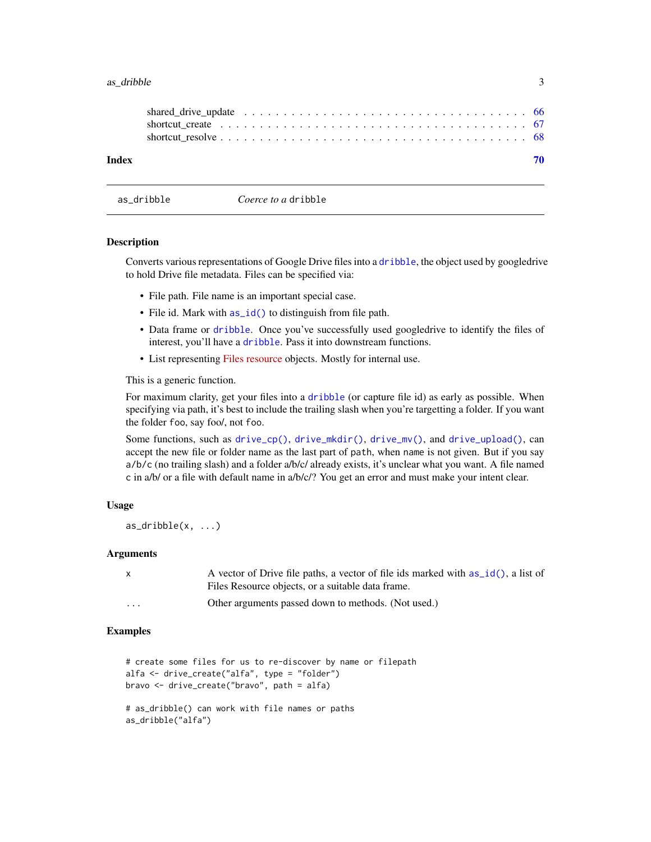#### <span id="page-2-0"></span> $\alpha$ s\_dribble  $\beta$

| Index |                                                                                                              |  |
|-------|--------------------------------------------------------------------------------------------------------------|--|
|       |                                                                                                              |  |
|       | shortcut create $\ldots \ldots \ldots \ldots \ldots \ldots \ldots \ldots \ldots \ldots \ldots \ldots \ldots$ |  |

<span id="page-2-1"></span>as\_dribble *Coerce to a* dribble

#### **Description**

Converts various representations of Google Drive files into a [dribble](#page-5-1), the object used by googledrive to hold Drive file metadata. Files can be specified via:

- File path. File name is an important special case.
- File id. Mark with  $as_id()$  to distinguish from file path.
- Data frame or [dribble](#page-5-1). Once you've successfully used googledrive to identify the files of interest, you'll have a [dribble](#page-5-1). Pass it into downstream functions.
- List representing [Files resource](https://developers.google.com/drive/api/v3/reference/files) objects. Mostly for internal use.

This is a generic function.

For maximum clarity, get your files into a [dribble](#page-5-1) (or capture file id) as early as possible. When specifying via path, it's best to include the trailing slash when you're targetting a folder. If you want the folder foo, say foo/, not foo.

Some functions, such as [drive\\_cp\(\)](#page-12-1), [drive\\_mkdir\(\)](#page-32-1), [drive\\_mv\(\)](#page-34-1), and [drive\\_upload\(\)](#page-50-1), can accept the new file or folder name as the last part of path, when name is not given. But if you say a/b/c (no trailing slash) and a folder a/b/c/ already exists, it's unclear what you want. A file named c in a/b/ or a file with default name in a/b/c/? You get an error and must make your intent clear.

#### Usage

```
as\_dribble(x, ...)
```
#### Arguments

| A vector of Drive file paths, a vector of file ids marked with as_id(), a list of |
|-----------------------------------------------------------------------------------|
| Files Resource objects, or a suitable data frame.                                 |

```
... Other arguments passed down to methods. (Not used.)
```

```
# create some files for us to re-discover by name or filepath
alfa <- drive_create("alfa", type = "folder")
bravo <- drive_create("bravo", path = alfa)
```

```
# as_dribble() can work with file names or paths
as_dribble("alfa")
```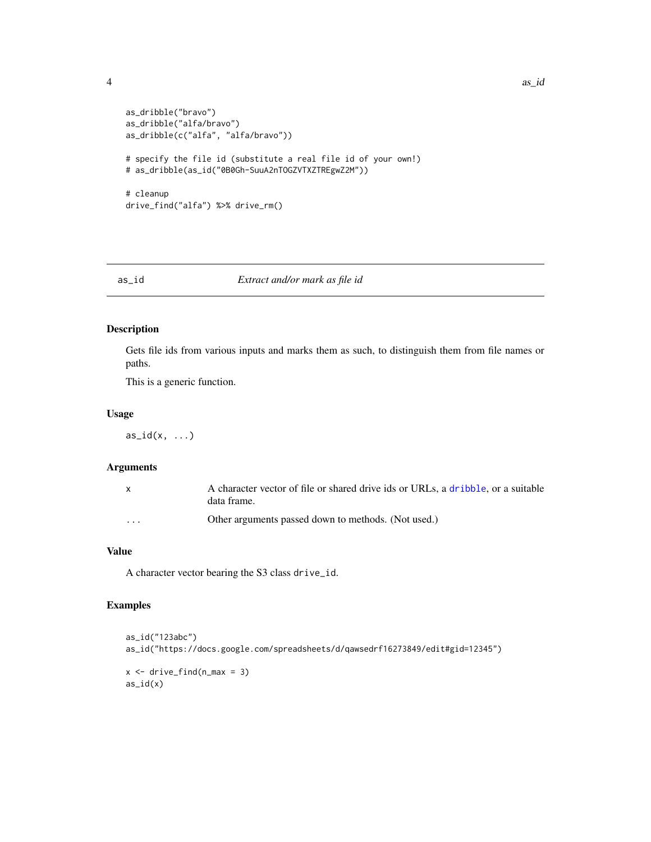```
as_dribble("bravo")
as_dribble("alfa/bravo")
as_dribble(c("alfa", "alfa/bravo"))
# specify the file id (substitute a real file id of your own!)
# as_dribble(as_id("0B0Gh-SuuA2nTOGZVTXZTREgwZ2M"))
# cleanup
drive_find("alfa") %>% drive_rm()
```
## <span id="page-3-1"></span>as\_id *Extract and/or mark as file id*

## Description

Gets file ids from various inputs and marks them as such, to distinguish them from file names or paths.

This is a generic function.

## Usage

 $as_id(x, \ldots)$ 

## Arguments

|          | A character vector of file or shared drive ids or URLs, a dribble, or a suitable<br>data frame. |
|----------|-------------------------------------------------------------------------------------------------|
| $\cdots$ | Other arguments passed down to methods. (Not used.)                                             |

## Value

A character vector bearing the S3 class drive\_id.

```
as_id("123abc")
as_id("https://docs.google.com/spreadsheets/d/qawsedrf16273849/edit#gid=12345")
x \leftarrow drive_find(n_max = 3)
as_id(x)
```
<span id="page-3-0"></span>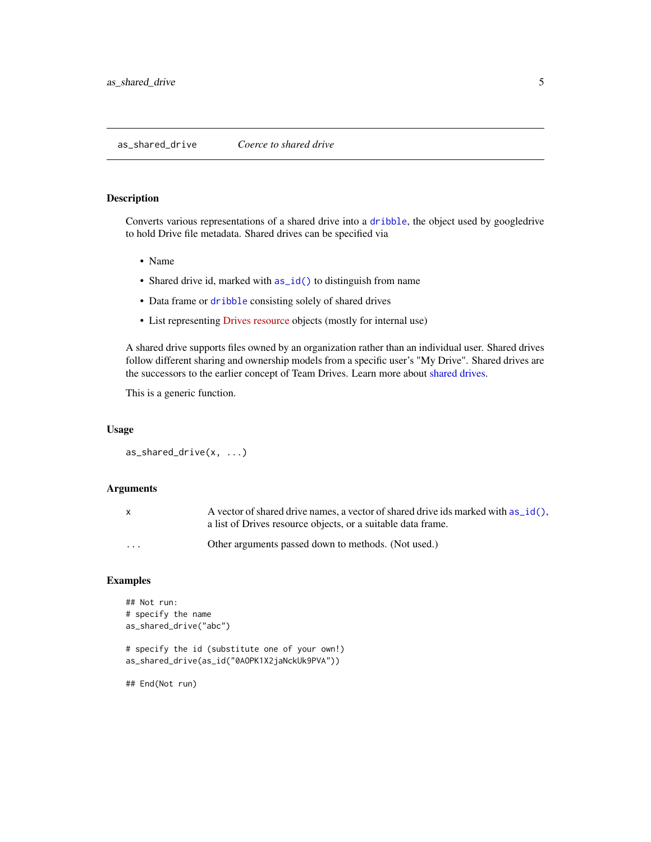## <span id="page-4-1"></span><span id="page-4-0"></span>Description

Converts various representations of a shared drive into a [dribble](#page-5-1), the object used by googledrive to hold Drive file metadata. Shared drives can be specified via

- Name
- Shared drive id, marked with  $as_id()$  to distinguish from name
- Data frame or [dribble](#page-5-1) consisting solely of shared drives
- List representing [Drives resource](https://developers.google.com/drive/api/v3/reference/drives#resource-representations) objects (mostly for internal use)

A shared drive supports files owned by an organization rather than an individual user. Shared drives follow different sharing and ownership models from a specific user's "My Drive". Shared drives are the successors to the earlier concept of Team Drives. Learn more about [shared drives.](#page-59-1)

This is a generic function.

#### Usage

```
as_shared_drive(x, ...)
```
#### Arguments

| x        | A vector of shared drive names, a vector of shared drive ids marked with $as_id()$ .<br>a list of Drives resource objects, or a suitable data frame. |
|----------|------------------------------------------------------------------------------------------------------------------------------------------------------|
| $\cdots$ | Other arguments passed down to methods. (Not used.)                                                                                                  |

```
## Not run:
# specify the name
as_shared_drive("abc")
# specify the id (substitute one of your own!)
as_shared_drive(as_id("0AOPK1X2jaNckUk9PVA"))
## End(Not run)
```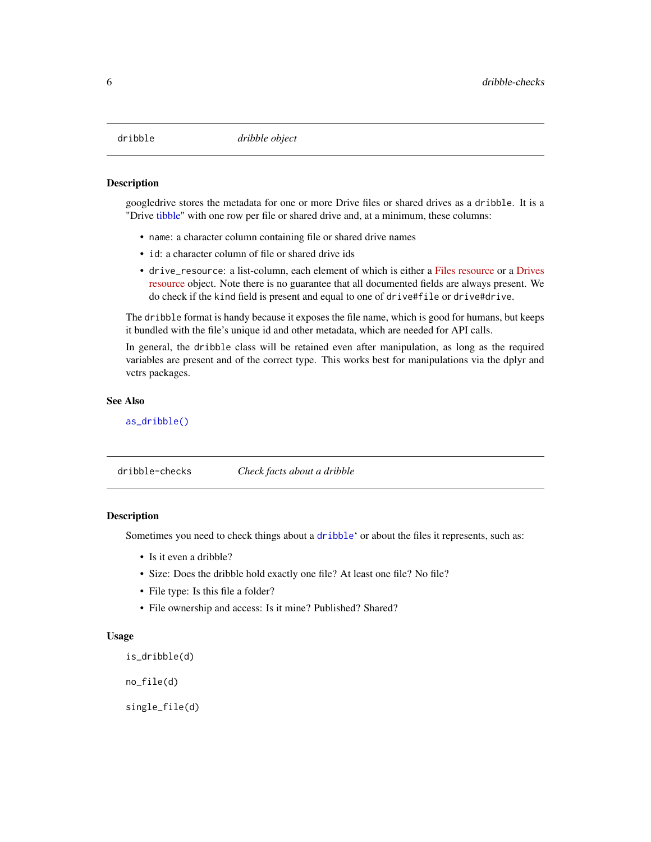<span id="page-5-1"></span><span id="page-5-0"></span>

#### Description

googledrive stores the metadata for one or more Drive files or shared drives as a dribble. It is a "Drive [tibble"](#page-0-0) with one row per file or shared drive and, at a minimum, these columns:

- name: a character column containing file or shared drive names
- id: a character column of file or shared drive ids
- drive\_resource: a list-column, each element of which is either a [Files resource](https://developers.google.com/drive/api/v3/reference/files#resource-representations) or a [Drives](https://developers.google.com/drive/api/v3/reference/drives#resource-representations) [resource](https://developers.google.com/drive/api/v3/reference/drives#resource-representations) object. Note there is no guarantee that all documented fields are always present. We do check if the kind field is present and equal to one of drive#file or drive#drive.

The dribble format is handy because it exposes the file name, which is good for humans, but keeps it bundled with the file's unique id and other metadata, which are needed for API calls.

In general, the dribble class will be retained even after manipulation, as long as the required variables are present and of the correct type. This works best for manipulations via the dplyr and vctrs packages.

#### See Also

[as\\_dribble\(\)](#page-2-1)

dribble-checks *Check facts about a dribble*

#### **Description**

Sometimes you need to check things about a [dribble](#page-5-1)' or about the files it represents, such as:

- Is it even a dribble?
- Size: Does the dribble hold exactly one file? At least one file? No file?
- File type: Is this file a folder?
- File ownership and access: Is it mine? Published? Shared?

#### Usage

is\_dribble(d)

no\_file(d)

single\_file(d)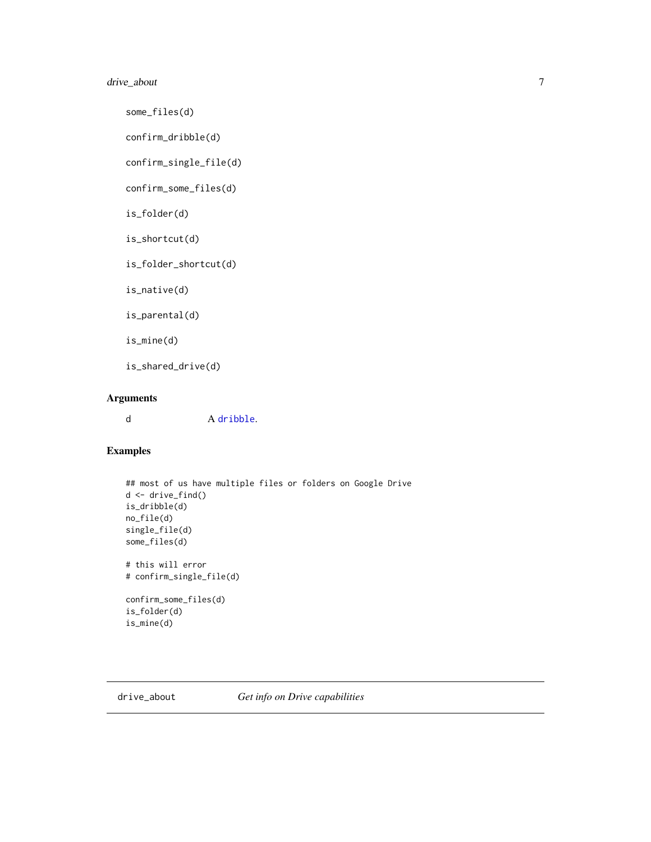## <span id="page-6-0"></span>drive\_about 7

some\_files(d)

confirm\_dribble(d)

confirm\_single\_file(d)

confirm\_some\_files(d)

is\_folder(d)

is\_shortcut(d)

is\_folder\_shortcut(d)

is\_native(d)

is\_parental(d)

is\_mine(d)

is\_shared\_drive(d)

## Arguments

d A [dribble](#page-5-1).

## Examples

```
## most of us have multiple files or folders on Google Drive
d <- drive_find()
is_dribble(d)
no_file(d)
single_file(d)
some_files(d)
# this will error
# confirm_single_file(d)
confirm_some_files(d)
is_folder(d)
is_mine(d)
```
<span id="page-6-1"></span>drive\_about *Get info on Drive capabilities*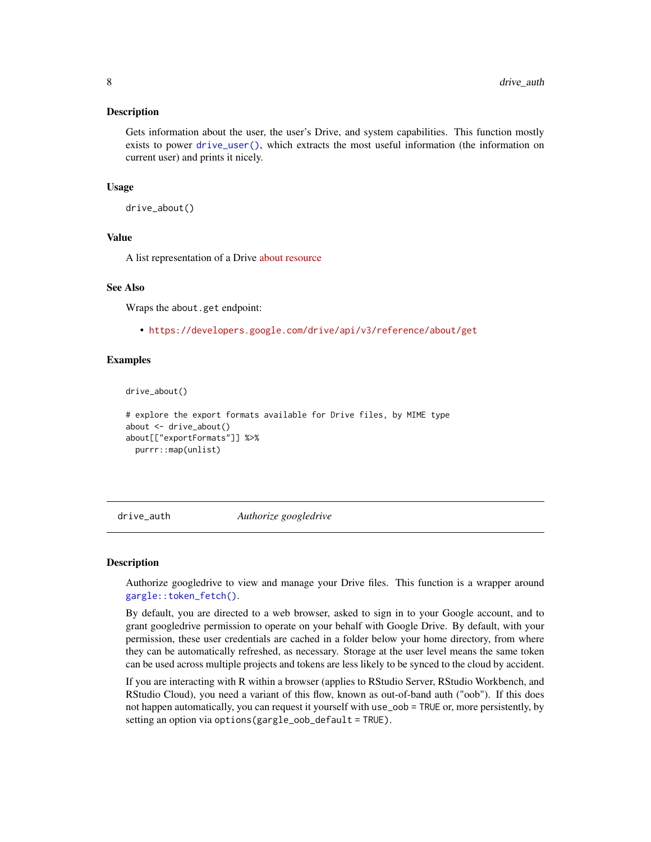#### <span id="page-7-0"></span>Description

Gets information about the user, the user's Drive, and system capabilities. This function mostly exists to power [drive\\_user\(\)](#page-53-1), which extracts the most useful information (the information on current user) and prints it nicely.

#### Usage

```
drive_about()
```
#### Value

A list representation of a Drive [about resource](https://developers.google.com/drive/api/v3/reference/about)

#### See Also

Wraps the about.get endpoint:

• <https://developers.google.com/drive/api/v3/reference/about/get>

#### Examples

drive\_about()

```
# explore the export formats available for Drive files, by MIME type
about <- drive_about()
about[["exportFormats"]] %>%
 purrr::map(unlist)
```
<span id="page-7-1"></span>drive\_auth *Authorize googledrive*

#### Description

Authorize googledrive to view and manage your Drive files. This function is a wrapper around [gargle::token\\_fetch\(\)](#page-0-0).

By default, you are directed to a web browser, asked to sign in to your Google account, and to grant googledrive permission to operate on your behalf with Google Drive. By default, with your permission, these user credentials are cached in a folder below your home directory, from where they can be automatically refreshed, as necessary. Storage at the user level means the same token can be used across multiple projects and tokens are less likely to be synced to the cloud by accident.

If you are interacting with R within a browser (applies to RStudio Server, RStudio Workbench, and RStudio Cloud), you need a variant of this flow, known as out-of-band auth ("oob"). If this does not happen automatically, you can request it yourself with use\_oob = TRUE or, more persistently, by setting an option via options(gargle\_oob\_default = TRUE).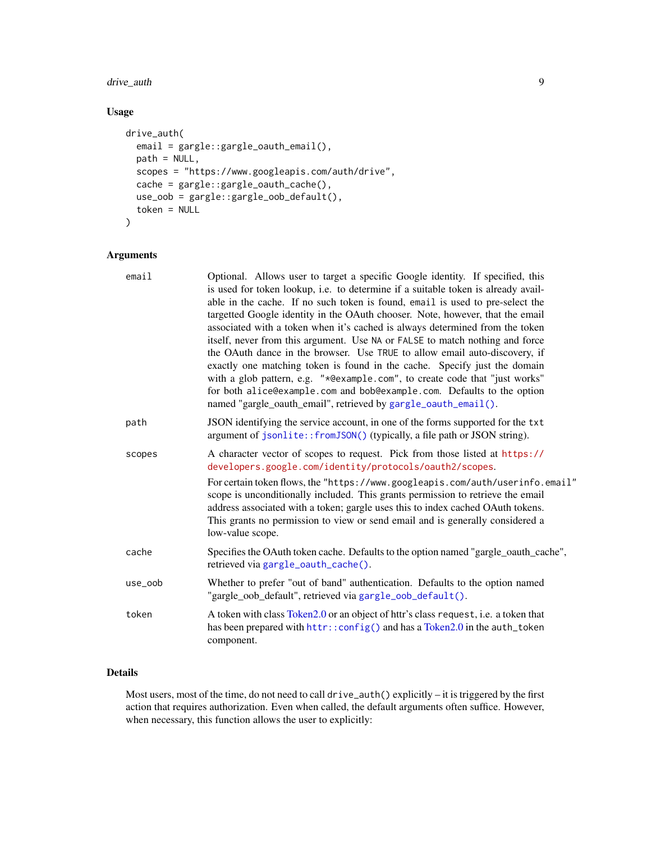## <span id="page-8-0"></span>drive\_auth 9

## Usage

```
drive_auth(
 email = gargle::gargle_oauth_email(),
 path = NULL,
 scopes = "https://www.googleapis.com/auth/drive",
 cache = gargle::gargle_oauth_cache(),
 use_oob = gargle::gargle_oob_default(),
 token = NULL
)
```
## Arguments

| email   | Optional. Allows user to target a specific Google identity. If specified, this<br>is used for token lookup, i.e. to determine if a suitable token is already avail-<br>able in the cache. If no such token is found, email is used to pre-select the<br>targetted Google identity in the OAuth chooser. Note, however, that the email<br>associated with a token when it's cached is always determined from the token<br>itself, never from this argument. Use NA or FALSE to match nothing and force<br>the OAuth dance in the browser. Use TRUE to allow email auto-discovery, if<br>exactly one matching token is found in the cache. Specify just the domain<br>with a glob pattern, e.g. "*@example.com", to create code that "just works"<br>for both alice@example.com and bob@example.com. Defaults to the option<br>named "gargle_oauth_email", retrieved by gargle_oauth_email(). |
|---------|---------------------------------------------------------------------------------------------------------------------------------------------------------------------------------------------------------------------------------------------------------------------------------------------------------------------------------------------------------------------------------------------------------------------------------------------------------------------------------------------------------------------------------------------------------------------------------------------------------------------------------------------------------------------------------------------------------------------------------------------------------------------------------------------------------------------------------------------------------------------------------------------|
| path    | JSON identifying the service account, in one of the forms supported for the txt<br>argument of jsonlite::fromJSON() (typically, a file path or JSON string).                                                                                                                                                                                                                                                                                                                                                                                                                                                                                                                                                                                                                                                                                                                                |
| scopes  | A character vector of scopes to request. Pick from those listed at https://<br>developers.google.com/identity/protocols/oauth2/scopes.<br>For certain token flows, the "https://www.googleapis.com/auth/userinfo.email"<br>scope is unconditionally included. This grants permission to retrieve the email<br>address associated with a token; gargle uses this to index cached OAuth tokens.<br>This grants no permission to view or send email and is generally considered a<br>low-value scope.                                                                                                                                                                                                                                                                                                                                                                                          |
| cache   | Specifies the OAuth token cache. Defaults to the option named "gargle_oauth_cache",<br>retrieved via gargle_oauth_cache().                                                                                                                                                                                                                                                                                                                                                                                                                                                                                                                                                                                                                                                                                                                                                                  |
| use_oob | Whether to prefer "out of band" authentication. Defaults to the option named<br>"gargle_oob_default", retrieved via gargle_oob_default().                                                                                                                                                                                                                                                                                                                                                                                                                                                                                                                                                                                                                                                                                                                                                   |
| token   | A token with class Token 2.0 or an object of httr's class request, i.e. a token that<br>has been prepared with httr:: config() and has a Token2.0 in the auth_token<br>component.                                                                                                                                                                                                                                                                                                                                                                                                                                                                                                                                                                                                                                                                                                           |

## Details

Most users, most of the time, do not need to call drive\_auth() explicitly – it is triggered by the first action that requires authorization. Even when called, the default arguments often suffice. However, when necessary, this function allows the user to explicitly: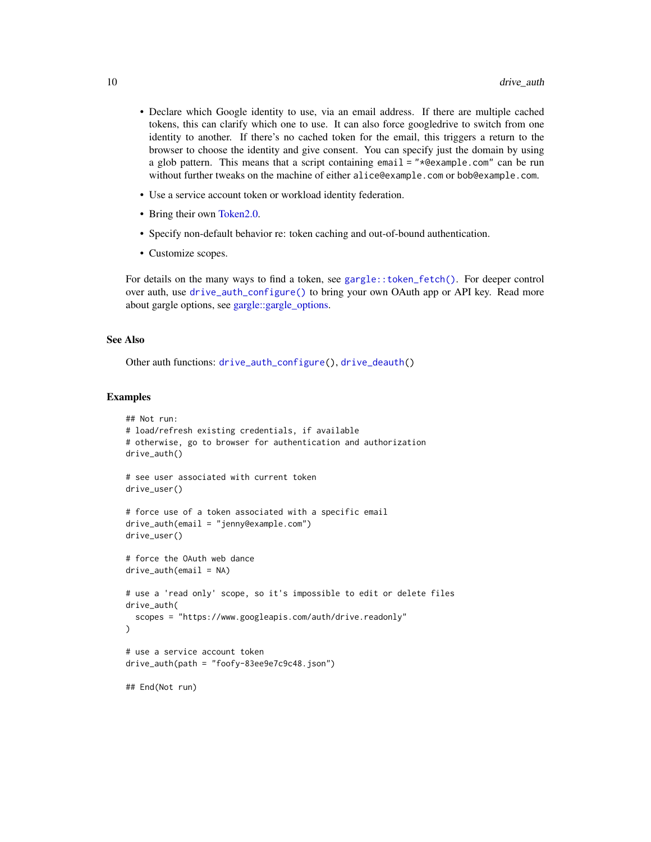- <span id="page-9-0"></span>• Declare which Google identity to use, via an email address. If there are multiple cached tokens, this can clarify which one to use. It can also force googledrive to switch from one identity to another. If there's no cached token for the email, this triggers a return to the browser to choose the identity and give consent. You can specify just the domain by using a glob pattern. This means that a script containing email = "\*@example.com" can be run without further tweaks on the machine of either alice@example.com or bob@example.com.
- Use a service account token or workload identity federation.
- Bring their own [Token2.0.](#page-0-0)
- Specify non-default behavior re: token caching and out-of-bound authentication.
- Customize scopes.

For details on the many ways to find a token, see [gargle::token\\_fetch\(\)](#page-0-0). For deeper control over auth, use [drive\\_auth\\_configure\(\)](#page-10-1) to bring your own OAuth app or API key. Read more about gargle options, see [gargle::gargle\\_options.](#page-0-0)

## See Also

Other auth functions: [drive\\_auth\\_configure\(](#page-10-1)), [drive\\_deauth\(](#page-16-1))

```
## Not run:
# load/refresh existing credentials, if available
# otherwise, go to browser for authentication and authorization
drive_auth()
# see user associated with current token
drive_user()
# force use of a token associated with a specific email
drive_auth(email = "jenny@example.com")
drive_user()
# force the OAuth web dance
drive_auth(email = NA)
# use a 'read only' scope, so it's impossible to edit or delete files
drive_auth(
 scopes = "https://www.googleapis.com/auth/drive.readonly"
)
# use a service account token
drive_auth(path = "foofy-83ee9e7c9c48.json")
## End(Not run)
```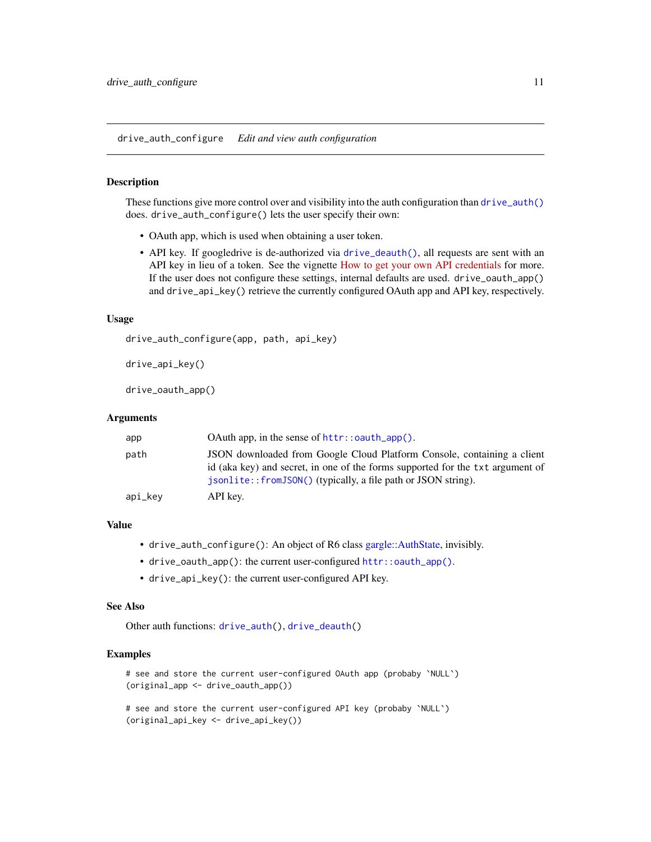<span id="page-10-1"></span><span id="page-10-0"></span>drive\_auth\_configure *Edit and view auth configuration*

#### <span id="page-10-2"></span>Description

These functions give more control over and visibility into the auth configuration than  $drive$  auth() does. drive\_auth\_configure() lets the user specify their own:

- OAuth app, which is used when obtaining a user token.
- API key. If googledrive is de-authorized via [drive\\_deauth\(\)](#page-16-1), all requests are sent with an API key in lieu of a token. See the vignette [How to get your own API credentials](https://gargle.r-lib.org/articles/get-api-credentials.html) for more. If the user does not configure these settings, internal defaults are used. drive\_oauth\_app() and drive\_api\_key() retrieve the currently configured OAuth app and API key, respectively.

#### Usage

drive\_auth\_configure(app, path, api\_key)

```
drive_api_key()
```
drive\_oauth\_app()

#### Arguments

| app     |                                                                                                                                                                                                                            |
|---------|----------------------------------------------------------------------------------------------------------------------------------------------------------------------------------------------------------------------------|
| path    | JSON downloaded from Google Cloud Platform Console, containing a client<br>id (aka key) and secret, in one of the forms supported for the txt argument of<br>isonlite::fromJSON() (typically, a file path or JSON string). |
| api_key | API key.                                                                                                                                                                                                                   |

## Value

- drive\_auth\_configure(): An object of R6 class [gargle::AuthState,](#page-0-0) invisibly.
- drive\_oauth\_app(): the current user-configured [httr::oauth\\_app\(\)](#page-0-0).
- drive\_api\_key(): the current user-configured API key.

#### See Also

Other auth functions: [drive\\_auth\(](#page-7-1)), [drive\\_deauth\(](#page-16-1))

```
# see and store the current user-configured OAuth app (probaby `NULL`)
(original_app <- drive_oauth_app())
```

```
# see and store the current user-configured API key (probaby `NULL`)
(original_api_key <- drive_api_key())
```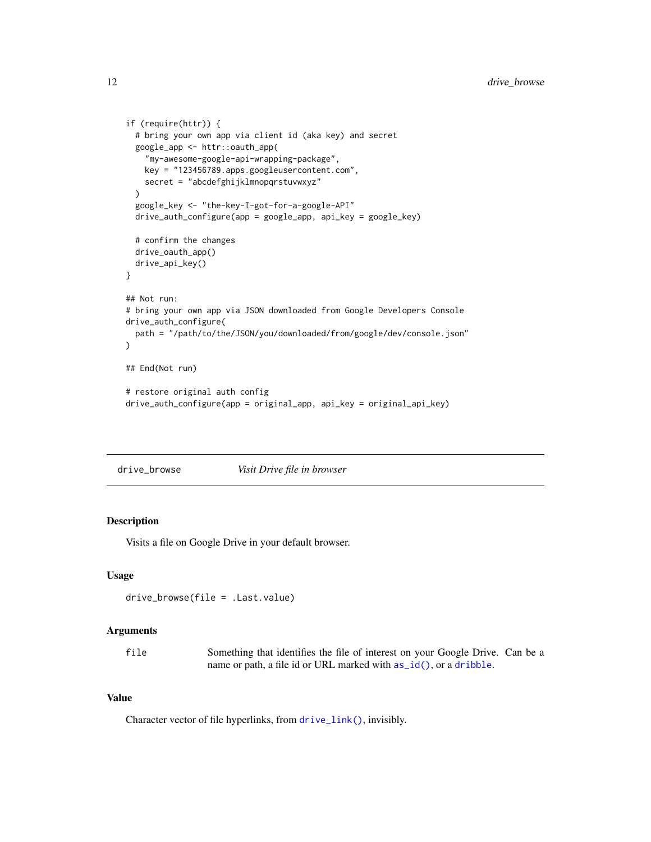```
if (require(httr)) {
  # bring your own app via client id (aka key) and secret
  google_app <- httr::oauth_app(
    "my-awesome-google-api-wrapping-package",
   key = "123456789.apps.googleusercontent.com",
   secret = "abcdefghijklmnopqrstuvwxyz"
  )
  google_key <- "the-key-I-got-for-a-google-API"
  drive_auth_configure(app = google_app, api_key = google_key)
  # confirm the changes
  drive_oauth_app()
  drive_api_key()
}
## Not run:
# bring your own app via JSON downloaded from Google Developers Console
drive_auth_configure(
  path = "/path/to/the/JSON/you/downloaded/from/google/dev/console.json"
)
## End(Not run)
# restore original auth config
drive_auth_configure(app = original_app, api_key = original_api_key)
```
drive\_browse *Visit Drive file in browser*

## Description

Visits a file on Google Drive in your default browser.

#### Usage

```
drive_browse(file = .Last.value)
```
## Arguments

| file | Something that identifies the file of interest on your Google Drive. Can be a |  |  |  |  |  |
|------|-------------------------------------------------------------------------------|--|--|--|--|--|
|      | name or path, a file id or URL marked with $as_id()$ , or a dribble.          |  |  |  |  |  |

#### Value

Character vector of file hyperlinks, from [drive\\_link\(\)](#page-29-1), invisibly.

<span id="page-11-0"></span>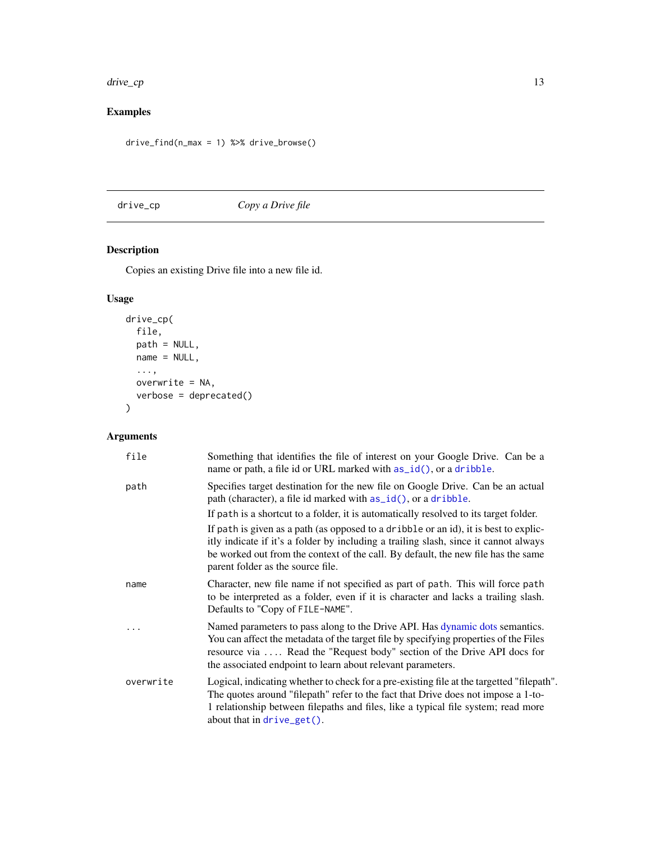<span id="page-12-0"></span>drive\_cp 13

## Examples

drive\_find(n\_max = 1) %>% drive\_browse()

## <span id="page-12-1"></span>drive\_cp *Copy a Drive file*

## Description

Copies an existing Drive file into a new file id.

## Usage

```
drive_cp(
 file,
 path = NULL,
 name = NULL,...,
 overwrite = NA,
 verbose = deprecated()
)
```
## Arguments

| file      | Something that identifies the file of interest on your Google Drive. Can be a<br>name or path, a file id or URL marked with as_id(), or a dribble.                                                                                                                                                             |
|-----------|----------------------------------------------------------------------------------------------------------------------------------------------------------------------------------------------------------------------------------------------------------------------------------------------------------------|
| path      | Specifies target destination for the new file on Google Drive. Can be an actual<br>path (character), a file id marked with as_id(), or a dribble.                                                                                                                                                              |
|           | If path is a shortcut to a folder, it is automatically resolved to its target folder.                                                                                                                                                                                                                          |
|           | If path is given as a path (as opposed to a dribble or an id), it is best to explic-<br>itly indicate if it's a folder by including a trailing slash, since it cannot always<br>be worked out from the context of the call. By default, the new file has the same<br>parent folder as the source file.         |
| name      | Character, new file name if not specified as part of path. This will force path<br>to be interpreted as a folder, even if it is character and lacks a trailing slash.<br>Defaults to "Copy of FILE-NAME".                                                                                                      |
|           | Named parameters to pass along to the Drive API. Has dynamic dots semantics.<br>You can affect the metadata of the target file by specifying properties of the Files<br>resource via  Read the "Request body" section of the Drive API docs for<br>the associated endpoint to learn about relevant parameters. |
| overwrite | Logical, indicating whether to check for a pre-existing file at the targetted "filepath".<br>The quotes around "filepath" refer to the fact that Drive does not impose a 1-to-<br>1 relationship between filepaths and files, like a typical file system; read more<br>about that in $drive\_get()$ .          |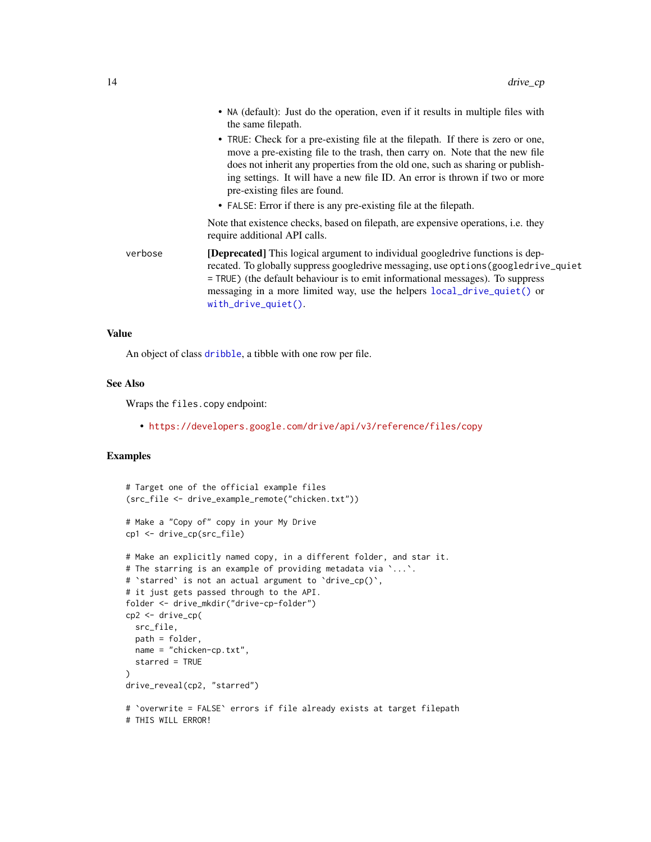<span id="page-13-0"></span>

|         | • NA (default): Just do the operation, even if it results in multiple files with<br>the same filepath.                                                                                                                                                                                                                                                                                                                                |
|---------|---------------------------------------------------------------------------------------------------------------------------------------------------------------------------------------------------------------------------------------------------------------------------------------------------------------------------------------------------------------------------------------------------------------------------------------|
|         | • TRUE: Check for a pre-existing file at the filepath. If there is zero or one,<br>move a pre-existing file to the trash, then carry on. Note that the new file<br>does not inherit any properties from the old one, such as sharing or publish-<br>ing settings. It will have a new file ID. An error is thrown if two or more<br>pre-existing files are found.<br>• FALSE: Error if there is any pre-existing file at the filepath. |
|         | Note that existence checks, based on filepath, are expensive operations, i.e. they<br>require additional API calls.                                                                                                                                                                                                                                                                                                                   |
| verbose | <b>[Deprecated]</b> This logical argument to individual googledrive functions is dep-<br>recated. To globally suppress googledrive messaging, use options (googledrive_quiet<br>= TRUE) (the default behaviour is to emit informational messages). To suppress<br>messaging in a more limited way, use the helpers local_drive_quiet() or<br>$with\_drive\_quiet()$ .                                                                 |

#### Value

An object of class [dribble](#page-5-1), a tibble with one row per file.

#### See Also

Wraps the files.copy endpoint:

• <https://developers.google.com/drive/api/v3/reference/files/copy>

```
# Target one of the official example files
(src_file <- drive_example_remote("chicken.txt"))
# Make a "Copy of" copy in your My Drive
cp1 <- drive_cp(src_file)
# Make an explicitly named copy, in a different folder, and star it.
# The starring is an example of providing metadata via `...`.
# 'starred' is not an actual argument to 'drive_cp()',
# it just gets passed through to the API.
folder <- drive_mkdir("drive-cp-folder")
cp2 <- drive_cp(
  src_file,
  path = folder,
  name = "chicken-cp.txt",
  starred = TRUE
)
drive_reveal(cp2, "starred")
# `overwrite = FALSE` errors if file already exists at target filepath
# THIS WILL ERROR!
```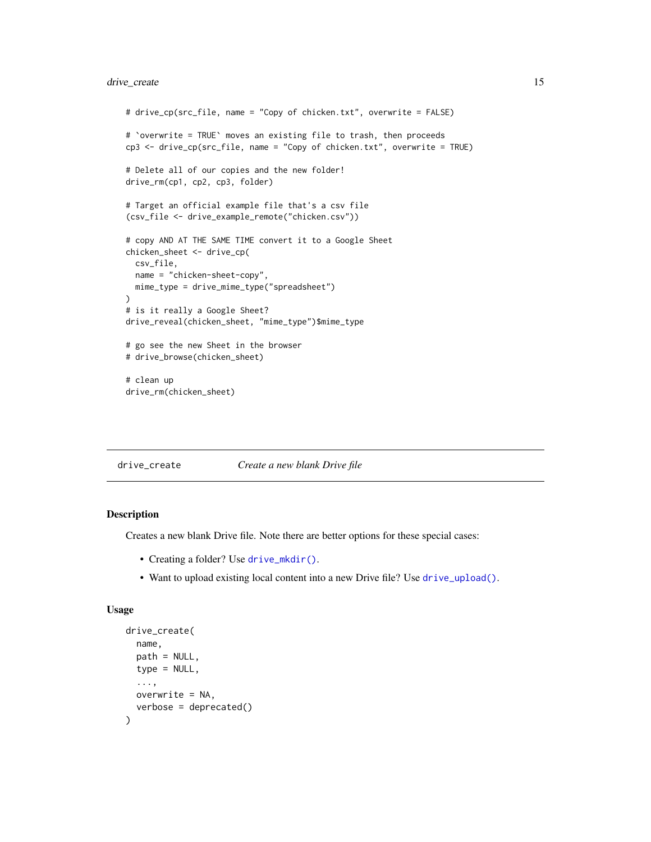## <span id="page-14-0"></span>drive\_create 15

```
# drive_cp(src_file, name = "Copy of chicken.txt", overwrite = FALSE)
# `overwrite = TRUE` moves an existing file to trash, then proceeds
cp3 <- drive_cp(src_file, name = "Copy of chicken.txt", overwrite = TRUE)
# Delete all of our copies and the new folder!
drive_rm(cp1, cp2, cp3, folder)
# Target an official example file that's a csv file
(csv_file <- drive_example_remote("chicken.csv"))
# copy AND AT THE SAME TIME convert it to a Google Sheet
chicken_sheet <- drive_cp(
  csv_file,
  name = "chicken-sheet-copy",
 mime_type = drive_mime_type("spreadsheet")
)
# is it really a Google Sheet?
drive_reveal(chicken_sheet, "mime_type")$mime_type
# go see the new Sheet in the browser
# drive_browse(chicken_sheet)
# clean up
drive_rm(chicken_sheet)
```
drive\_create *Create a new blank Drive file*

## Description

Creates a new blank Drive file. Note there are better options for these special cases:

- Creating a folder? Use [drive\\_mkdir\(\)](#page-32-1).
- Want to upload existing local content into a new Drive file? Use [drive\\_upload\(\)](#page-50-1).

#### Usage

```
drive_create(
 name,
 path = NULL,type = NULL,
  ...,
 overwrite = NA,
  verbose = deprecated()
)
```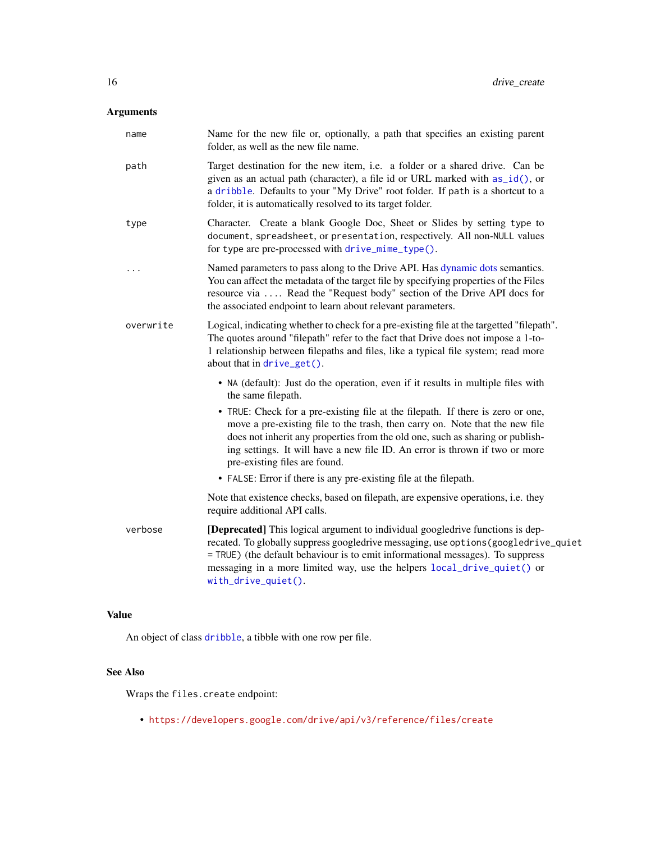## <span id="page-15-0"></span>Arguments

| name      | Name for the new file or, optionally, a path that specifies an existing parent<br>folder, as well as the new file name.                                                                                                                                                                                                                                                                                                                                                                                                                                                                                                               |
|-----------|---------------------------------------------------------------------------------------------------------------------------------------------------------------------------------------------------------------------------------------------------------------------------------------------------------------------------------------------------------------------------------------------------------------------------------------------------------------------------------------------------------------------------------------------------------------------------------------------------------------------------------------|
| path      | Target destination for the new item, i.e. a folder or a shared drive. Can be<br>given as an actual path (character), a file id or URL marked with as_id(), or<br>a dribble. Defaults to your "My Drive" root folder. If path is a shortcut to a<br>folder, it is automatically resolved to its target folder.                                                                                                                                                                                                                                                                                                                         |
| type      | Character. Create a blank Google Doc, Sheet or Slides by setting type to<br>document, spreadsheet, or presentation, respectively. All non-NULL values<br>for type are pre-processed with drive_mime_type().                                                                                                                                                                                                                                                                                                                                                                                                                           |
| .         | Named parameters to pass along to the Drive API. Has dynamic dots semantics.<br>You can affect the metadata of the target file by specifying properties of the Files<br>resource via  Read the "Request body" section of the Drive API docs for<br>the associated endpoint to learn about relevant parameters.                                                                                                                                                                                                                                                                                                                        |
| overwrite | Logical, indicating whether to check for a pre-existing file at the targetted "filepath".<br>The quotes around "filepath" refer to the fact that Drive does not impose a 1-to-<br>1 relationship between filepaths and files, like a typical file system; read more<br>about that in drive_get().                                                                                                                                                                                                                                                                                                                                     |
|           | • NA (default): Just do the operation, even if it results in multiple files with<br>the same filepath.<br>• TRUE: Check for a pre-existing file at the filepath. If there is zero or one,<br>move a pre-existing file to the trash, then carry on. Note that the new file<br>does not inherit any properties from the old one, such as sharing or publish-<br>ing settings. It will have a new file ID. An error is thrown if two or more<br>pre-existing files are found.<br>• FALSE: Error if there is any pre-existing file at the filepath.<br>Note that existence checks, based on filepath, are expensive operations, i.e. they |
|           | require additional API calls.                                                                                                                                                                                                                                                                                                                                                                                                                                                                                                                                                                                                         |
| verbose   | [Deprecated] This logical argument to individual googledrive functions is dep-<br>recated. To globally suppress googledrive messaging, use options (googledrive_quiet<br>= TRUE) (the default behaviour is to emit informational messages). To suppress<br>messaging in a more limited way, use the helpers local_drive_quiet() or<br>with_drive_quiet().                                                                                                                                                                                                                                                                             |

## Value

An object of class [dribble](#page-5-1), a tibble with one row per file.

## See Also

Wraps the files.create endpoint:

• <https://developers.google.com/drive/api/v3/reference/files/create>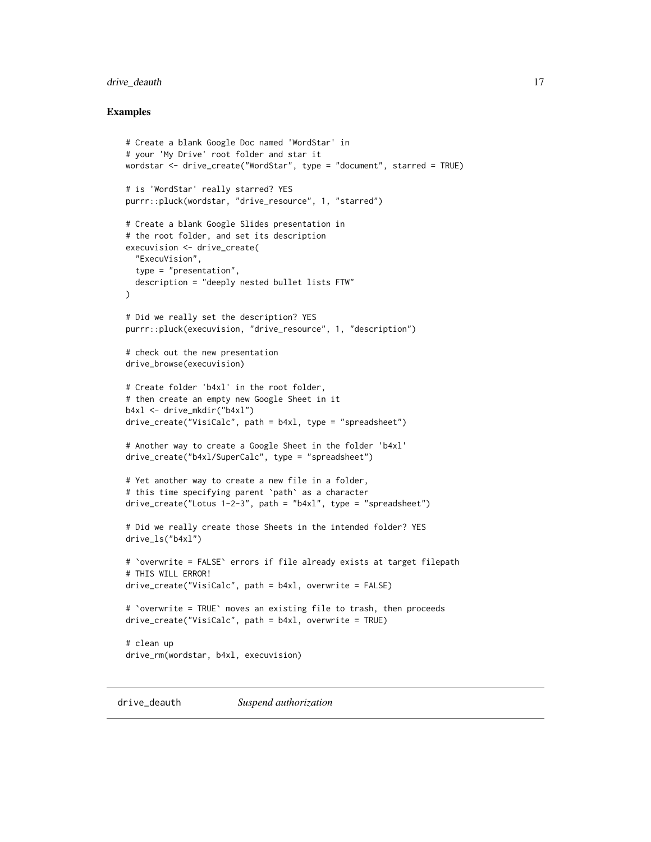## <span id="page-16-0"></span>drive\_deauth 17

#### Examples

```
# Create a blank Google Doc named 'WordStar' in
# your 'My Drive' root folder and star it
wordstar <- drive_create("WordStar", type = "document", starred = TRUE)
# is 'WordStar' really starred? YES
purrr::pluck(wordstar, "drive_resource", 1, "starred")
# Create a blank Google Slides presentation in
# the root folder, and set its description
execuvision <- drive_create(
  "ExecuVision",
  type = "presentation",
  description = "deeply nested bullet lists FTW"
\mathcal{L}# Did we really set the description? YES
purrr::pluck(execuvision, "drive_resource", 1, "description")
# check out the new presentation
drive_browse(execuvision)
# Create folder 'b4xl' in the root folder,
# then create an empty new Google Sheet in it
b4xl <- drive_mkdir("b4xl")
drive_create("VisiCalc", path = b4xl, type = "spreadsheet")
# Another way to create a Google Sheet in the folder 'b4xl'
drive_create("b4xl/SuperCalc", type = "spreadsheet")
# Yet another way to create a new file in a folder,
# this time specifying parent `path` as a character
drive_create("Lotus 1-2-3", path = "b4xl", type = "spreadsheet")
# Did we really create those Sheets in the intended folder? YES
drive_ls("b4xl")
# `overwrite = FALSE` errors if file already exists at target filepath
# THIS WILL ERROR!
drive_create("VisiCalc", path = b4xl, overwrite = FALSE)
# `overwrite = TRUE` moves an existing file to trash, then proceeds
drive_create("VisiCalc", path = b4xl, overwrite = TRUE)
# clean up
drive_rm(wordstar, b4xl, execuvision)
```
<span id="page-16-1"></span>drive\_deauth *Suspend authorization*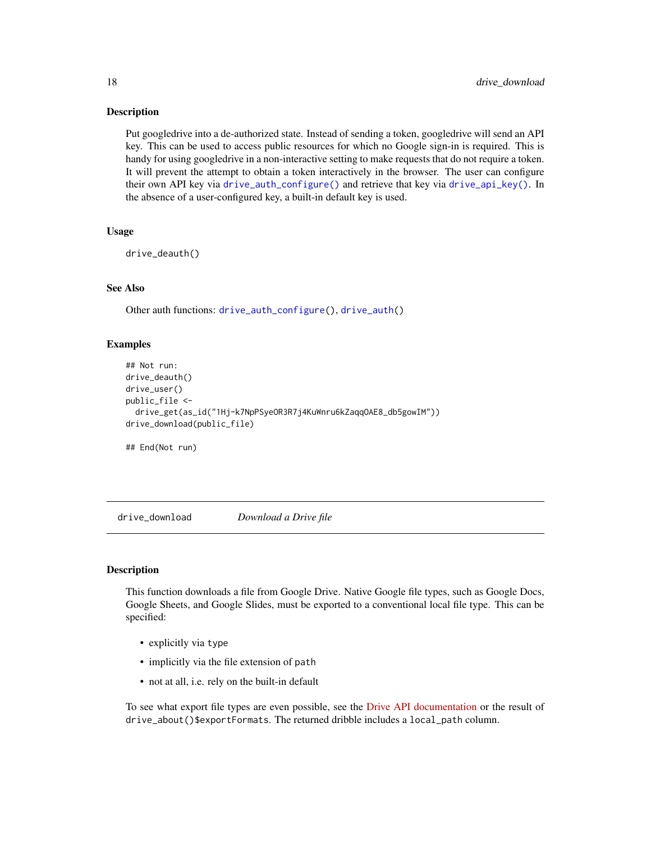#### <span id="page-17-0"></span>**Description**

Put googledrive into a de-authorized state. Instead of sending a token, googledrive will send an API key. This can be used to access public resources for which no Google sign-in is required. This is handy for using googledrive in a non-interactive setting to make requests that do not require a token. It will prevent the attempt to obtain a token interactively in the browser. The user can configure their own API key via [drive\\_auth\\_configure\(\)](#page-10-1) and retrieve that key via [drive\\_api\\_key\(\)](#page-10-2). In the absence of a user-configured key, a built-in default key is used.

### Usage

drive\_deauth()

#### See Also

Other auth functions: [drive\\_auth\\_configure\(](#page-10-1)), [drive\\_auth\(](#page-7-1))

## Examples

```
## Not run:
drive_deauth()
drive_user()
public_file <-
 drive_get(as_id("1Hj-k7NpPSyeOR3R7j4KuWnru6kZaqqOAE8_db5gowIM"))
drive_download(public_file)
```
## End(Not run)

<span id="page-17-1"></span>drive\_download *Download a Drive file*

## **Description**

This function downloads a file from Google Drive. Native Google file types, such as Google Docs, Google Sheets, and Google Slides, must be exported to a conventional local file type. This can be specified:

- explicitly via type
- implicitly via the file extension of path
- not at all, i.e. rely on the built-in default

To see what export file types are even possible, see the [Drive API documentation](https://developers.google.com/drive/api/v3/ref-export-formats) or the result of drive\_about()\$exportFormats. The returned dribble includes a local\_path column.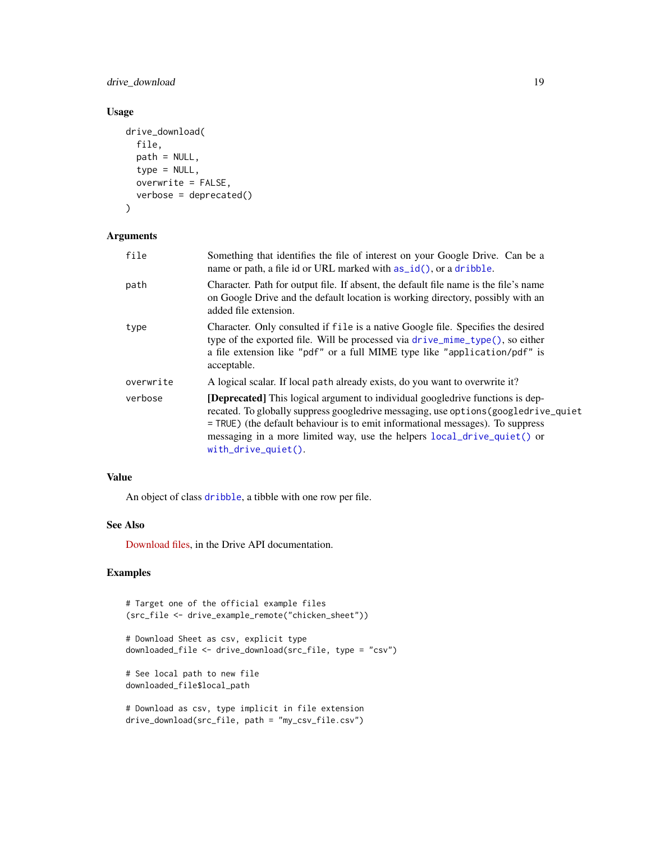<span id="page-18-0"></span>drive\_download 19

## Usage

```
drive_download(
  file,
 path = NULL,
  type = NULL,
 overwrite = FALSE,
  verbose = deprecated()
\lambda
```
## Arguments

| file      | Something that identifies the file of interest on your Google Drive. Can be a<br>name or path, a file id or URL marked with $as_id(),$ or a dribble.                                                                                                                                                                                                               |
|-----------|--------------------------------------------------------------------------------------------------------------------------------------------------------------------------------------------------------------------------------------------------------------------------------------------------------------------------------------------------------------------|
| path      | Character. Path for output file. If absent, the default file name is the file's name<br>on Google Drive and the default location is working directory, possibly with an<br>added file extension.                                                                                                                                                                   |
| type      | Character. Only consulted if file is a native Google file. Specifies the desired<br>type of the exported file. Will be processed via drive_mime_type(), so either<br>a file extension like "pdf" or a full MIME type like "application/pdf" is<br>acceptable.                                                                                                      |
| overwrite | A logical scalar. If local path already exists, do you want to overwrite it?                                                                                                                                                                                                                                                                                       |
| verbose   | <b>[Deprecated]</b> This logical argument to individual googledrive functions is dep-<br>recated. To globally suppress googledrive messaging, use options (googledrive_quiet<br>$=$ TRUE) (the default behaviour is to emit informational messages). To suppress<br>messaging in a more limited way, use the helpers local_drive_quiet() or<br>with_drive_quiet(). |

## Value

An object of class [dribble](#page-5-1), a tibble with one row per file.

## See Also

[Download files,](https://developers.google.com/drive/api/v3/manage-downloads) in the Drive API documentation.

```
# Target one of the official example files
(src_file <- drive_example_remote("chicken_sheet"))
# Download Sheet as csv, explicit type
downloaded_file <- drive_download(src_file, type = "csv")
# See local path to new file
downloaded_file$local_path
# Download as csv, type implicit in file extension
drive_download(src_file, path = "my_csv_file.csv")
```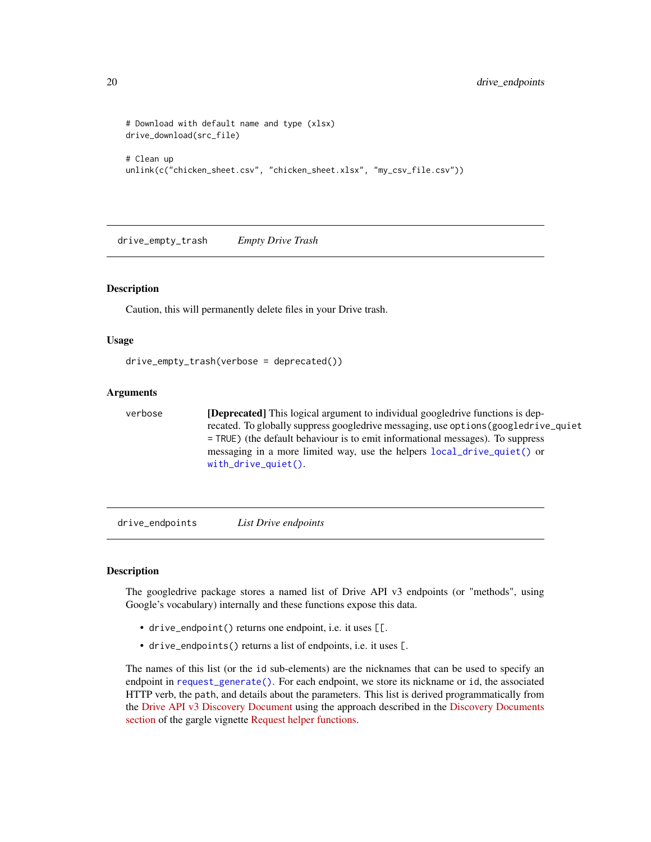```
# Download with default name and type (xlsx)
drive_download(src_file)
# Clean up
unlink(c("chicken_sheet.csv", "chicken_sheet.xlsx", "my_csv_file.csv"))
```
drive\_empty\_trash *Empty Drive Trash*

#### Description

Caution, this will permanently delete files in your Drive trash.

#### Usage

```
drive_empty_trash(verbose = deprecated())
```
#### Arguments

verbose [Deprecated] This logical argument to individual googledrive functions is deprecated. To globally suppress googledrive messaging, use options(googledrive\_quiet = TRUE) (the default behaviour is to emit informational messages). To suppress messaging in a more limited way, use the helpers [local\\_drive\\_quiet\(\)](#page-54-1) or [with\\_drive\\_quiet\(\)](#page-54-1).

<span id="page-19-1"></span>drive\_endpoints *List Drive endpoints*

## Description

The googledrive package stores a named list of Drive API v3 endpoints (or "methods", using Google's vocabulary) internally and these functions expose this data.

- drive\_endpoint() returns one endpoint, i.e. it uses [[.
- drive\_endpoints() returns a list of endpoints, i.e. it uses [.

The names of this list (or the id sub-elements) are the nicknames that can be used to specify an endpoint in [request\\_generate\(\)](#page-56-1). For each endpoint, we store its nickname or id, the associated HTTP verb, the path, and details about the parameters. This list is derived programmatically from the [Drive API v3 Discovery Document](https://www.googleapis.com/discovery/v1/apis/drive/v3/rest) using the approach described in the [Discovery Documents](https://gargle.r-lib.org/articles/request-helper-functions.html#discovery-documents) [section](https://gargle.r-lib.org/articles/request-helper-functions.html#discovery-documents) of the gargle vignette [Request helper functions.](https://gargle.r-lib.org/articles/request-helper-functions.html)

<span id="page-19-0"></span>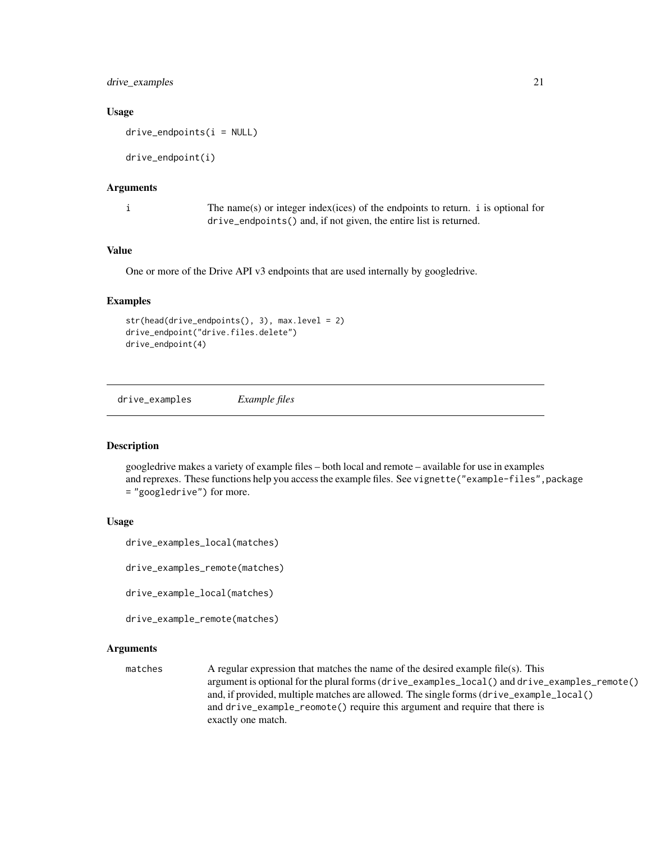## <span id="page-20-0"></span>drive\_examples 21

#### Usage

```
drive endpoints(i = NULL)
```
drive\_endpoint(i)

#### Arguments

i The name(s) or integer index(ices) of the endpoints to return. i is optional for drive\_endpoints() and, if not given, the entire list is returned.

## Value

One or more of the Drive API v3 endpoints that are used internally by googledrive.

## Examples

```
str(head(drive_endpoints(), 3), max.level = 2)
drive_endpoint("drive.files.delete")
drive_endpoint(4)
```
drive\_examples *Example files*

#### Description

googledrive makes a variety of example files – both local and remote – available for use in examples and reprexes. These functions help you access the example files. See vignette("example-files", package = "googledrive") for more.

#### Usage

```
drive_examples_local(matches)
```
drive\_examples\_remote(matches)

drive\_example\_local(matches)

```
drive_example_remote(matches)
```
#### Arguments

matches A regular expression that matches the name of the desired example file(s). This argument is optional for the plural forms (drive\_examples\_local() and drive\_examples\_remote() and, if provided, multiple matches are allowed. The single forms (drive\_example\_local() and drive\_example\_reomote() require this argument and require that there is exactly one match.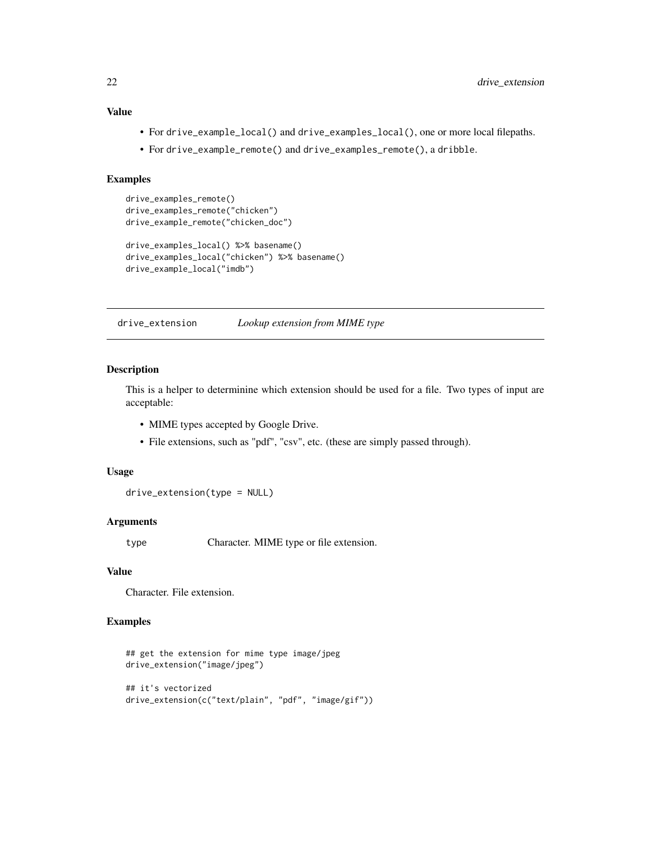## Value

- For drive\_example\_local() and drive\_examples\_local(), one or more local filepaths.
- For drive\_example\_remote() and drive\_examples\_remote(), a dribble.

#### Examples

```
drive_examples_remote()
drive_examples_remote("chicken")
drive_example_remote("chicken_doc")
drive_examples_local() %>% basename()
drive_examples_local("chicken") %>% basename()
drive_example_local("imdb")
```
drive\_extension *Lookup extension from MIME type*

## Description

This is a helper to determinine which extension should be used for a file. Two types of input are acceptable:

- MIME types accepted by Google Drive.
- File extensions, such as "pdf", "csv", etc. (these are simply passed through).

#### Usage

```
drive_extension(type = NULL)
```
#### Arguments

type Character. MIME type or file extension.

#### Value

Character. File extension.

```
## get the extension for mime type image/jpeg
drive_extension("image/jpeg")
## it's vectorized
drive_extension(c("text/plain", "pdf", "image/gif"))
```
<span id="page-21-0"></span>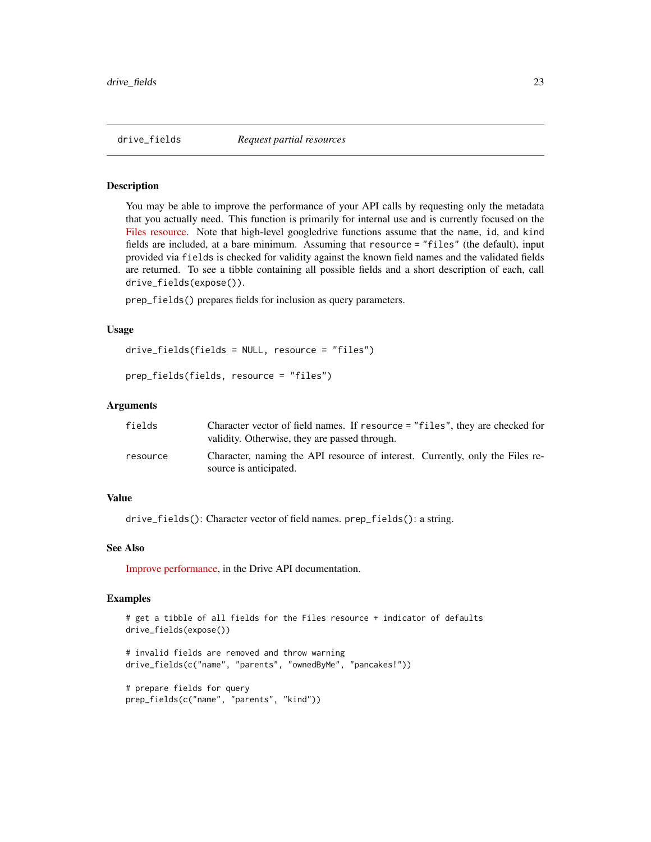<span id="page-22-0"></span>

#### **Description**

You may be able to improve the performance of your API calls by requesting only the metadata that you actually need. This function is primarily for internal use and is currently focused on the [Files resource.](https://developers.google.com/drive/api/v3/reference/files) Note that high-level googledrive functions assume that the name, id, and kind fields are included, at a bare minimum. Assuming that resource = "files" (the default), input provided via fields is checked for validity against the known field names and the validated fields are returned. To see a tibble containing all possible fields and a short description of each, call drive\_fields(expose()).

prep\_fields() prepares fields for inclusion as query parameters.

#### Usage

```
drive_fields(fields = NULL, resource = "files")
```

```
prep_fields(fields, resource = "files")
```
#### Arguments

| fields   | Character vector of field names. If resource = "files", they are checked for<br>validity. Otherwise, they are passed through. |
|----------|-------------------------------------------------------------------------------------------------------------------------------|
| resource | Character, naming the API resource of interest. Currently, only the Files re-<br>source is anticipated.                       |

## Value

drive\_fields(): Character vector of field names. prep\_fields(): a string.

#### See Also

[Improve performance,](https://developers.google.com/drive/api/v3/performance) in the Drive API documentation.

```
# get a tibble of all fields for the Files resource + indicator of defaults
drive_fields(expose())
# invalid fields are removed and throw warning
drive_fields(c("name", "parents", "ownedByMe", "pancakes!"))
```

```
# prepare fields for query
prep_fields(c("name", "parents", "kind"))
```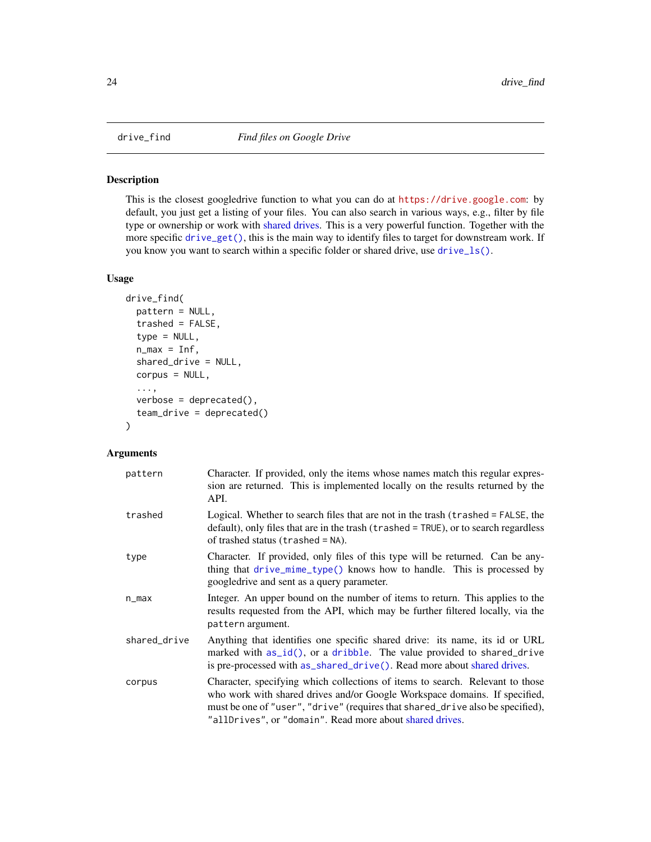<span id="page-23-1"></span><span id="page-23-0"></span>

#### Description

This is the closest googledrive function to what you can do at <https://drive.google.com>: by default, you just get a listing of your files. You can also search in various ways, e.g., filter by file type or ownership or work with [shared drives.](#page-59-1) This is a very powerful function. Together with the more specific [drive\\_get\(\)](#page-26-1), this is the main way to identify files to target for downstream work. If you know you want to search within a specific folder or shared drive, use [drive\\_ls\(\)](#page-30-1).

## Usage

```
drive_find(
 pattern = NULL,
  trashed = FALSE,
  type = NULL,
  n_{max} = Inf,shared_drive = NULL,
  corpus = NULL,
  ...,
  verbose = dependence(),team_drive = deprecated()
)
```
#### Arguments

| pattern      | Character. If provided, only the items whose names match this regular expres-<br>sion are returned. This is implemented locally on the results returned by the<br>API.                                                                                                                                    |
|--------------|-----------------------------------------------------------------------------------------------------------------------------------------------------------------------------------------------------------------------------------------------------------------------------------------------------------|
| trashed      | Logical. Whether to search files that are not in the trash (trashed = FALSE, the<br>default), only files that are in the trash (trashed = TRUE), or to search regardless<br>of trashed status ( $transhed = NA$ ).                                                                                        |
| type         | Character. If provided, only files of this type will be returned. Can be any-<br>thing that drive_mime_type() knows how to handle. This is processed by<br>googledrive and sent as a query parameter.                                                                                                     |
| n_max        | Integer. An upper bound on the number of items to return. This applies to the<br>results requested from the API, which may be further filtered locally, via the<br>pattern argument.                                                                                                                      |
| shared_drive | Anything that identifies one specific shared drive: its name, its id or URL<br>marked with $as_id()$ , or a dribble. The value provided to shared_drive<br>is pre-processed with as_shared_drive(). Read more about shared drives.                                                                        |
| corpus       | Character, specifying which collections of items to search. Relevant to those<br>who work with shared drives and/or Google Workspace domains. If specified,<br>must be one of "user", "drive" (requires that shared_drive also be specified),<br>"allDrives", or "domain". Read more about shared drives. |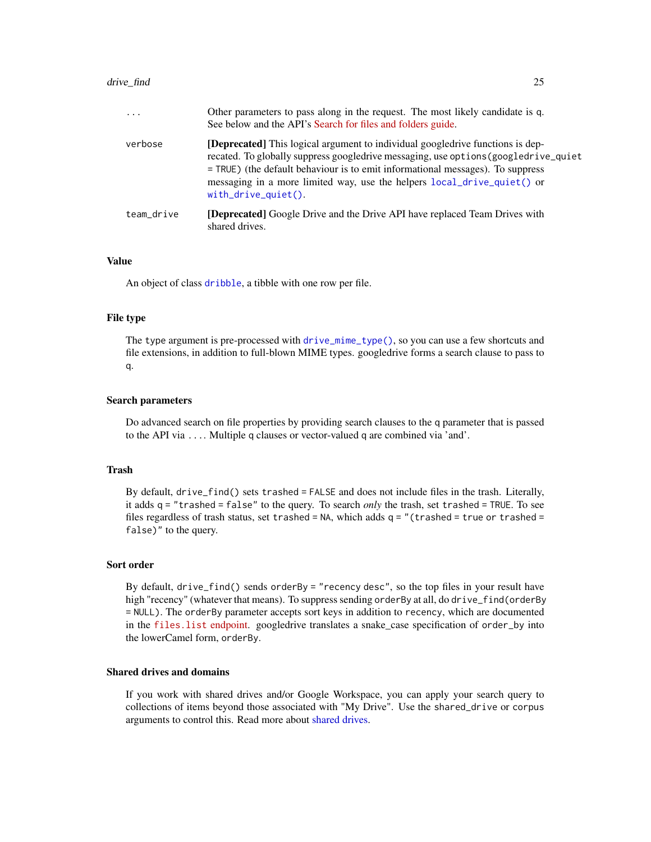#### <span id="page-24-0"></span>drive\_find 25

| $\cdot$ $\cdot$ $\cdot$ | Other parameters to pass along in the request. The most likely candidate is q.<br>See below and the API's Search for files and folders guide.                                                                                                                                                                                                                |
|-------------------------|--------------------------------------------------------------------------------------------------------------------------------------------------------------------------------------------------------------------------------------------------------------------------------------------------------------------------------------------------------------|
| verbose                 | [Deprecated] This logical argument to individual googledrive functions is dep-<br>recated. To globally suppress googledrive messaging, use options (googledrive_quiet<br>= TRUE) (the default behaviour is to emit informational messages). To suppress<br>messaging in a more limited way, use the helpers local drive quiet () or<br>$with$ drive_quiet(). |
| team drive              | <b>[Deprecated]</b> Google Drive and the Drive API have replaced Team Drives with<br>shared drives.                                                                                                                                                                                                                                                          |

#### Value

An object of class [dribble](#page-5-1), a tibble with one row per file.

#### File type

The type argument is pre-processed with [drive\\_mime\\_type\(\)](#page-31-1), so you can use a few shortcuts and file extensions, in addition to full-blown MIME types. googledrive forms a search clause to pass to q.

#### Search parameters

Do advanced search on file properties by providing search clauses to the q parameter that is passed to the API via .... Multiple q clauses or vector-valued q are combined via 'and'.

#### Trash

By default, drive\_find() sets trashed = FALSE and does not include files in the trash. Literally, it adds q = "trashed = false" to the query. To search *only* the trash, set trashed = TRUE. To see files regardless of trash status, set trashed =  $NA$ , which adds  $q = "$  (trashed = true or trashed = false)" to the query.

#### Sort order

By default, drive\_find() sends orderBy = "recency desc", so the top files in your result have high "recency" (whatever that means). To suppress sending orderBy at all, do drive\_find(orderBy = NULL). The orderBy parameter accepts sort keys in addition to recency, which are documented in the [files.list](https://developers.google.com/drive/api/v3/reference/files/list) endpoint. googledrive translates a snake\_case specification of order\_by into the lowerCamel form, orderBy.

## Shared drives and domains

If you work with shared drives and/or Google Workspace, you can apply your search query to collections of items beyond those associated with "My Drive". Use the shared\_drive or corpus arguments to control this. Read more about [shared drives.](#page-59-1)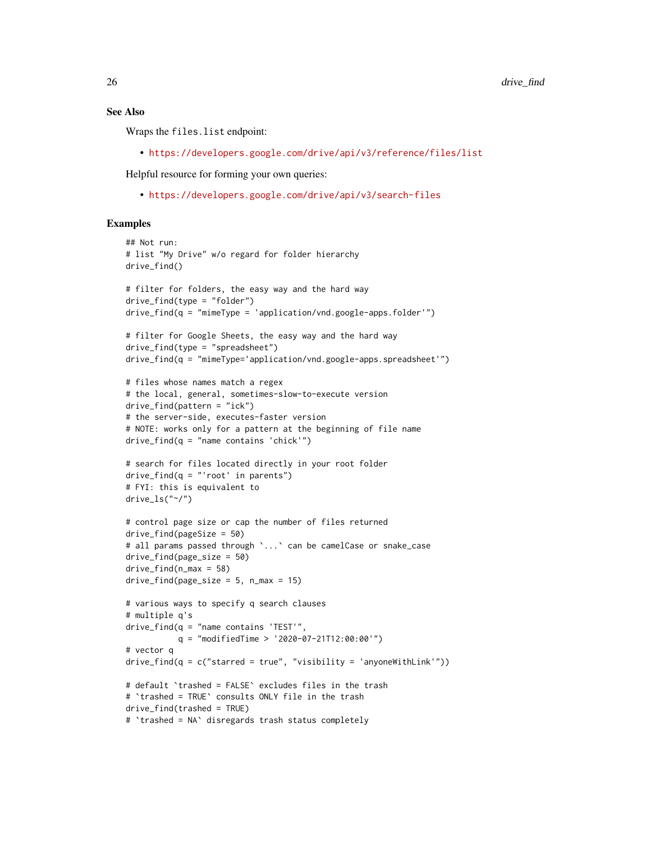## See Also

Wraps the files.list endpoint:

• <https://developers.google.com/drive/api/v3/reference/files/list>

Helpful resource for forming your own queries:

• <https://developers.google.com/drive/api/v3/search-files>

```
## Not run:
# list "My Drive" w/o regard for folder hierarchy
drive_find()
# filter for folders, the easy way and the hard way
drive_find(type = "folder")
drive_find(q = "mimeType = 'application/vnd.google-apps.folder'")
# filter for Google Sheets, the easy way and the hard way
drive_find(type = "spreadsheet")drive_find(q = "mimeType='application/vnd.google-apps.spreadsheet'")
# files whose names match a regex
# the local, general, sometimes-slow-to-execute version
drive_find(pattern = "ick")
# the server-side, executes-faster version
# NOTE: works only for a pattern at the beginning of file name
drive_find(q = "name contains 'chick'")# search for files located directly in your root folder
drive_find(q = "'root' in parents")
# FYI: this is equivalent to
drive_ls("*/")# control page size or cap the number of files returned
drive_find(pageSize = 50)
# all params passed through `...' can be camelCase or snake_case
drive_find(page_size = 50)
drive_find(n_max = 58)drive_find(page_size = 5, n_max = 15)
# various ways to specify q search clauses
# multiple q's
drive_find(q = "name contains 'TEST'",q = "modifiedTime > '2020-07-21T12:00:00'")
# vector q
drive_find(q = c("starred = true", "visibility = 'anyoneWithLink'"))# default `trashed = FALSE` excludes files in the trash
# `trashed = TRUE` consults ONLY file in the trash
drive_find(trashed = TRUE)
# `trashed = NA` disregards trash status completely
```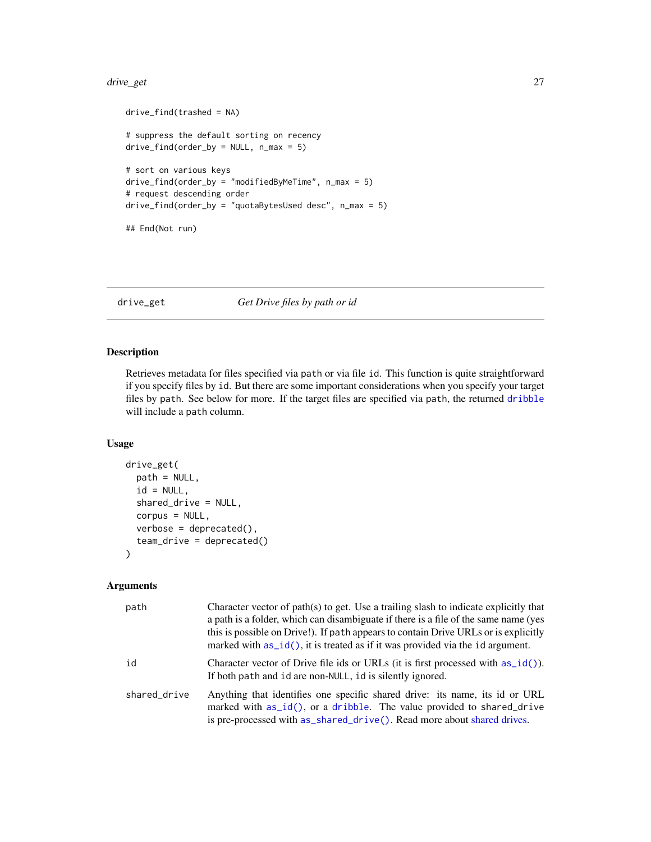#### <span id="page-26-0"></span>drive\_get 27

```
drive_find(trashed = NA)
# suppress the default sorting on recency
drive_find(order_by = NULL, n_max = 5)# sort on various keys
drive_find(order_by = "modifiedByMeTime", n_max = 5)
# request descending order
drive_find(order_by = "quotaBytesUsed desc", n_max = 5)
## End(Not run)
```
<span id="page-26-1"></span>drive\_get *Get Drive files by path or id*

## Description

Retrieves metadata for files specified via path or via file id. This function is quite straightforward if you specify files by id. But there are some important considerations when you specify your target files by path. See below for more. If the target files are specified via path, the returned [dribble](#page-5-1) will include a path column.

## Usage

```
drive_get(
  path = NULL,
  id = NULL,shared_drive = NULL,
  corpus = NULL,
  verbose = deprecated(),
  team_drive = deprecated()
\mathcal{L}
```
#### Arguments

| path         | Character vector of path(s) to get. Use a trailing slash to indicate explicitly that<br>a path is a folder, which can disambiguate if there is a file of the same name (yes<br>this is possible on Drive!). If path appears to contain Drive URLs or is explicitly<br>marked with $as_id()$ , it is treated as if it was provided via the id argument. |
|--------------|--------------------------------------------------------------------------------------------------------------------------------------------------------------------------------------------------------------------------------------------------------------------------------------------------------------------------------------------------------|
| id           | Character vector of Drive file ids or URLs (it is first processed with $as_id()$ ).<br>If both path and id are non-NULL, id is silently ignored.                                                                                                                                                                                                       |
| shared_drive | Anything that identifies one specific shared drive: its name, its id or URL<br>marked with as_id(), or a dribble. The value provided to shared_drive<br>is pre-processed with as_shared_drive(). Read more about shared drives.                                                                                                                        |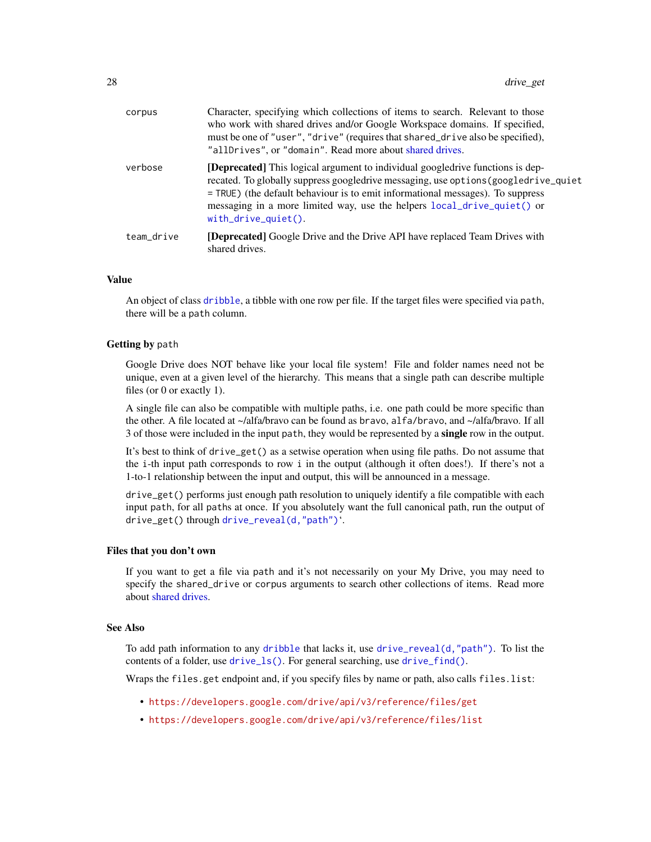<span id="page-27-0"></span>

| corpus     | Character, specifying which collections of items to search. Relevant to those<br>who work with shared drives and/or Google Workspace domains. If specified,<br>must be one of "user", "drive" (requires that shared_drive also be specified),<br>"allDrives", or "domain". Read more about shared drives.                                                             |
|------------|-----------------------------------------------------------------------------------------------------------------------------------------------------------------------------------------------------------------------------------------------------------------------------------------------------------------------------------------------------------------------|
| verbose    | <b>[Deprecated]</b> This logical argument to individual googledrive functions is dep-<br>recated. To globally suppress googledrive messaging, use options (googledrive_quiet<br>= TRUE) (the default behaviour is to emit informational messages). To suppress<br>messaging in a more limited way, use the helpers local_drive_quiet() or<br>$with\_drive\_quiet()$ . |
| team_drive | <b>[Deprecated]</b> Google Drive and the Drive API have replaced Team Drives with<br>shared drives.                                                                                                                                                                                                                                                                   |

## Value

An object of class [dribble](#page-5-1), a tibble with one row per file. If the target files were specified via path, there will be a path column.

#### Getting by path

Google Drive does NOT behave like your local file system! File and folder names need not be unique, even at a given level of the hierarchy. This means that a single path can describe multiple files (or 0 or exactly 1).

A single file can also be compatible with multiple paths, i.e. one path could be more specific than the other. A file located at ~/alfa/bravo can be found as bravo, alfa/bravo, and ~/alfa/bravo. If all 3 of those were included in the input path, they would be represented by a single row in the output.

It's best to think of drive\_get() as a setwise operation when using file paths. Do not assume that the i-th input path corresponds to row i in the output (although it often does!). If there's not a 1-to-1 relationship between the input and output, this will be announced in a message.

drive\_get() performs just enough path resolution to uniquely identify a file compatible with each input path, for all paths at once. If you absolutely want the full canonical path, run the output of drive\_get() through [drive\\_reveal\(d,"path"\)](#page-41-1)'.

#### Files that you don't own

If you want to get a file via path and it's not necessarily on your My Drive, you may need to specify the shared\_drive or corpus arguments to search other collections of items. Read more about [shared drives.](#page-59-1)

## See Also

To add path information to any [dribble](#page-5-1) that lacks it, use [drive\\_reveal\(d,"path"\)](#page-41-1). To list the contents of a folder, use [drive\\_ls\(\)](#page-30-1). For general searching, use [drive\\_find\(\)](#page-23-1).

Wraps the files.get endpoint and, if you specify files by name or path, also calls files.list:

- <https://developers.google.com/drive/api/v3/reference/files/get>
- <https://developers.google.com/drive/api/v3/reference/files/list>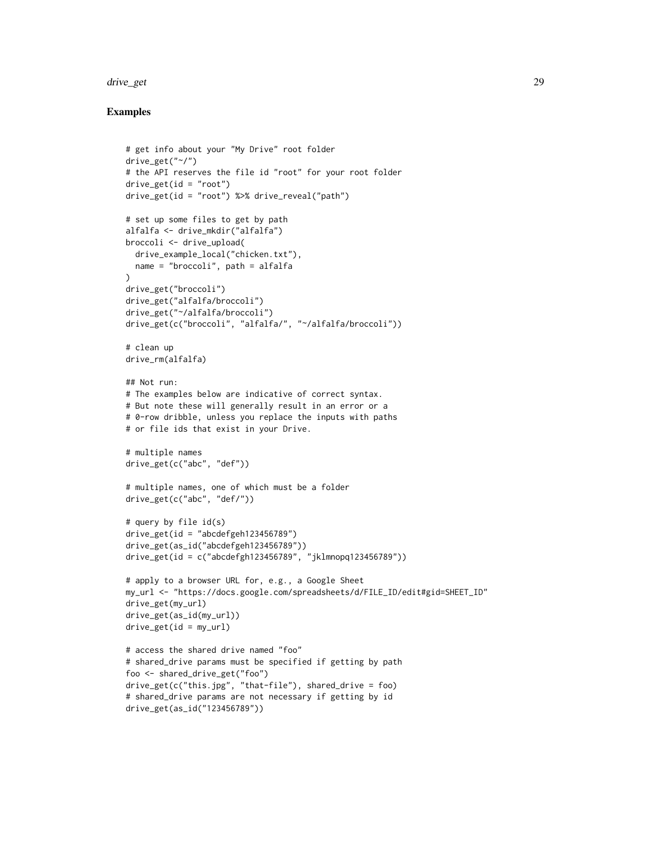#### drive\_get 29

```
# get info about your "My Drive" root folder
drive_get("~/")
# the API reserves the file id "root" for your root folder
drive_get(id = "root")
drive_get(id = "root") %>% drive_reveal("path")
# set up some files to get by path
alfalfa <- drive_mkdir("alfalfa")
broccoli <- drive_upload(
  drive_example_local("chicken.txt"),
  name = "broccoli", path = alfalfa
)
drive_get("broccoli")
drive_get("alfalfa/broccoli")
drive_get("~/alfalfa/broccoli")
drive_get(c("broccoli", "alfalfa/", "~/alfalfa/broccoli"))
# clean up
drive_rm(alfalfa)
## Not run:
# The examples below are indicative of correct syntax.
# But note these will generally result in an error or a
# 0-row dribble, unless you replace the inputs with paths
# or file ids that exist in your Drive.
# multiple names
drive_get(c("abc", "def"))
# multiple names, one of which must be a folder
drive_get(c("abc", "def/"))
# query by file id(s)
drive<sub>get(id = "abcdefgeh123456789")</sub>
drive_get(as_id("abcdefgeh123456789"))
drive_get(id = c("abcdefgh123456789", "jklmnopq123456789"))
# apply to a browser URL for, e.g., a Google Sheet
my_url <- "https://docs.google.com/spreadsheets/d/FILE_ID/edit#gid=SHEET_ID"
drive_get(my_url)
drive_get(as_id(my_url))
drive<sub>get(id = my_url)</sub>
# access the shared drive named "foo"
# shared_drive params must be specified if getting by path
foo <- shared_drive_get("foo")
drive_get(c("this.jpg", "that-file"), shared_drive = foo)
# shared_drive params are not necessary if getting by id
drive_get(as_id("123456789"))
```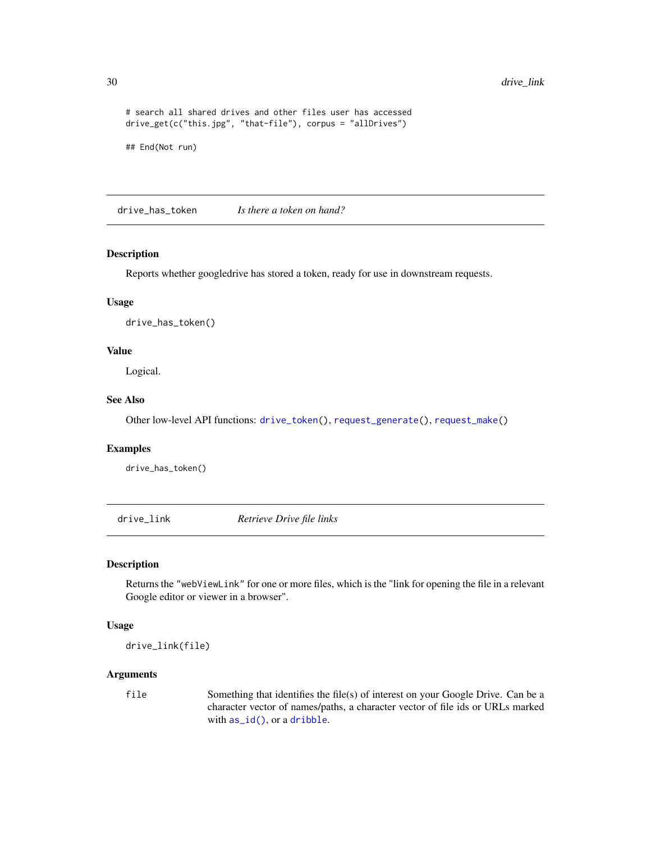```
# search all shared drives and other files user has accessed
drive_get(c("this.jpg", "that-file"), corpus = "allDrives")
```

```
## End(Not run)
```
<span id="page-29-2"></span>drive\_has\_token *Is there a token on hand?*

## Description

Reports whether googledrive has stored a token, ready for use in downstream requests.

#### Usage

```
drive_has_token()
```
## Value

Logical.

## See Also

Other low-level API functions: [drive\\_token\(](#page-47-1)), [request\\_generate\(](#page-56-1)), [request\\_make\(](#page-57-1))

#### Examples

drive\_has\_token()

<span id="page-29-1"></span>drive\_link *Retrieve Drive file links*

#### Description

Returns the "webViewLink" for one or more files, which is the "link for opening the file in a relevant Google editor or viewer in a browser".

#### Usage

drive\_link(file)

#### Arguments

file Something that identifies the file(s) of interest on your Google Drive. Can be a character vector of names/paths, a character vector of file ids or URLs marked with [as\\_id\(\)](#page-3-1), or a [dribble](#page-5-1).

<span id="page-29-0"></span>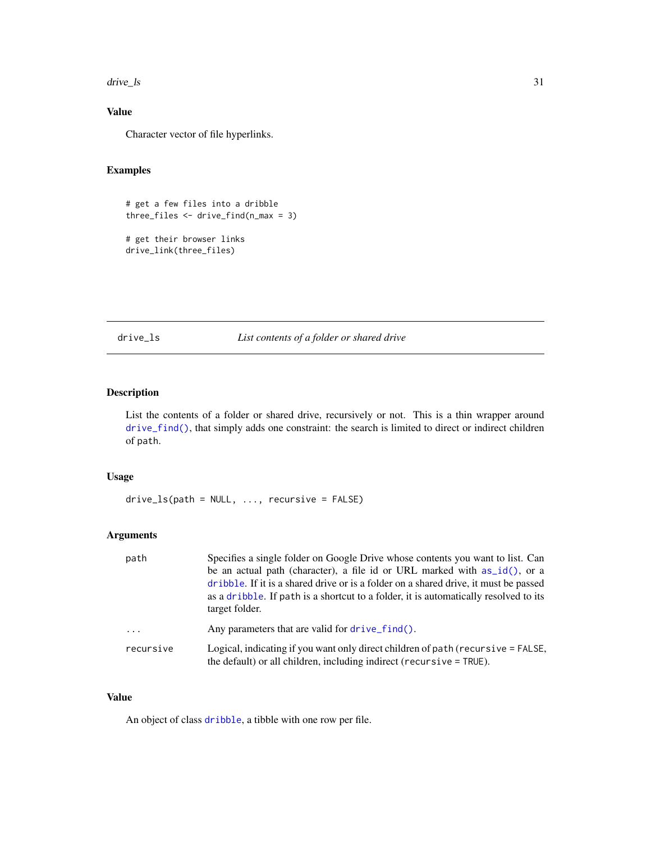<span id="page-30-0"></span>drive\_ls 31

## Value

Character vector of file hyperlinks.

## Examples

```
# get a few files into a dribble
three_files \le drive_find(n_max = 3)
# get their browser links
```
drive\_link(three\_files)

<span id="page-30-1"></span>drive\_ls *List contents of a folder or shared drive*

## Description

List the contents of a folder or shared drive, recursively or not. This is a thin wrapper around [drive\\_find\(\)](#page-23-1), that simply adds one constraint: the search is limited to direct or indirect children of path.

## Usage

drive\_ls(path = NULL, ..., recursive = FALSE)

#### Arguments

| path                    | Specifies a single folder on Google Drive whose contents you want to list. Can<br>be an actual path (character), a file id or URL marked with as_id(), or a<br>dribble. If it is a shared drive or is a folder on a shared drive, it must be passed<br>as a dribble. If path is a shortcut to a folder, it is automatically resolved to its<br>target folder. |
|-------------------------|---------------------------------------------------------------------------------------------------------------------------------------------------------------------------------------------------------------------------------------------------------------------------------------------------------------------------------------------------------------|
| $\cdot$ $\cdot$ $\cdot$ | Any parameters that are valid for drive find().                                                                                                                                                                                                                                                                                                               |
| recursive               | Logical, indicating if you want only direct children of path (recursive = FALSE,<br>the default) or all children, including indirect ( $recursively = TRUE$ ).                                                                                                                                                                                                |

## Value

An object of class [dribble](#page-5-1), a tibble with one row per file.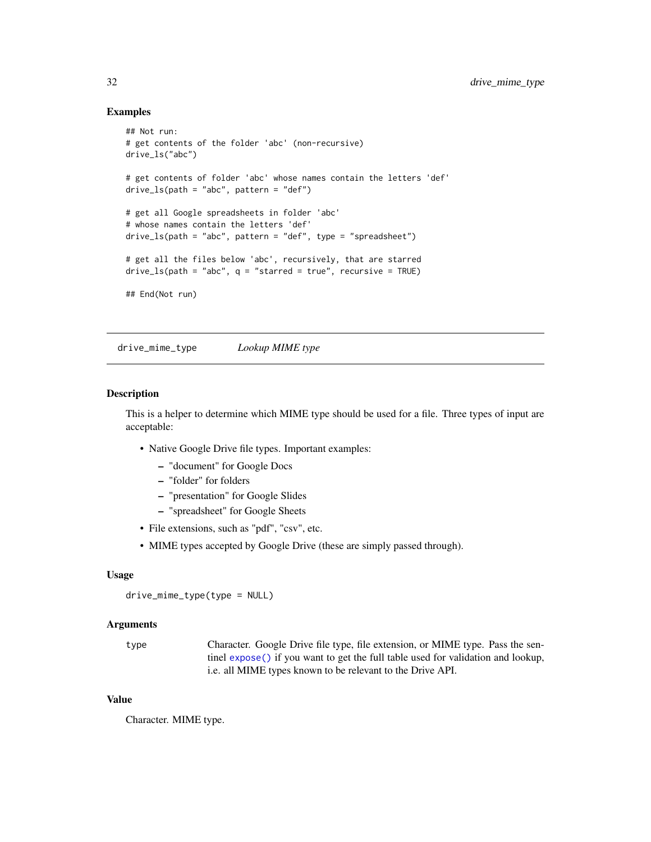#### <span id="page-31-0"></span>Examples

```
## Not run:
# get contents of the folder 'abc' (non-recursive)
drive_ls("abc")
# get contents of folder 'abc' whose names contain the letters 'def'
drive_ls(path = "abc", pattern = "def")
# get all Google spreadsheets in folder 'abc'
# whose names contain the letters 'def'
drive_ls(path = "abc", pattern = "def", type = "spreadsheet")# get all the files below 'abc', recursively, that are starred
drive_ls(path = "abc", q = "starred = true", recursive = TRUE)## End(Not run)
```
<span id="page-31-1"></span>drive\_mime\_type *Lookup MIME type*

## Description

This is a helper to determine which MIME type should be used for a file. Three types of input are acceptable:

- Native Google Drive file types. Important examples:
	- "document" for Google Docs
	- "folder" for folders
	- "presentation" for Google Slides
	- "spreadsheet" for Google Sheets
- File extensions, such as "pdf", "csv", etc.
- MIME types accepted by Google Drive (these are simply passed through).

#### Usage

```
drive_mime_type(type = NULL)
```
#### Arguments

type Character. Google Drive file type, file extension, or MIME type. Pass the sentinel [expose\(\)](#page-0-0) if you want to get the full table used for validation and lookup, i.e. all MIME types known to be relevant to the Drive API.

#### Value

Character. MIME type.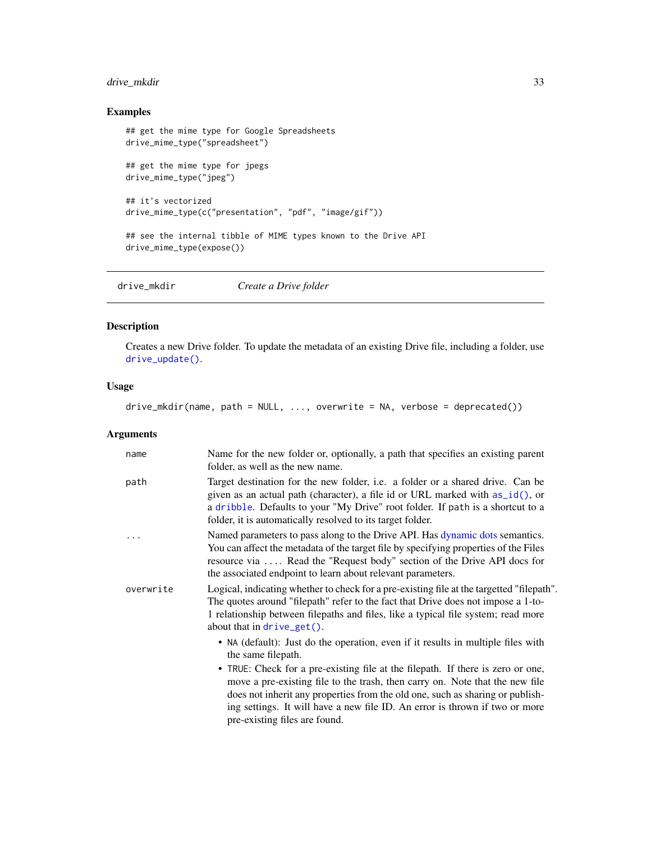## <span id="page-32-0"></span>drive\_mkdir 33

## Examples

```
## get the mime type for Google Spreadsheets
drive_mime_type("spreadsheet")
## get the mime type for jpegs
drive_mime_type("jpeg")
## it's vectorized
drive_mime_type(c("presentation", "pdf", "image/gif"))
## see the internal tibble of MIME types known to the Drive API
drive_mime_type(expose())
```
<span id="page-32-1"></span>drive\_mkdir *Create a Drive folder*

## Description

Creates a new Drive folder. To update the metadata of an existing Drive file, including a folder, use [drive\\_update\(\)](#page-49-1).

## Usage

drive\_mkdir(name, path = NULL, ..., overwrite = NA, verbose = deprecated())

#### Arguments

| name      | Name for the new folder or, optionally, a path that specifies an existing parent<br>folder, as well as the new name.                                                                                                                                                                                                                                             |
|-----------|------------------------------------------------------------------------------------------------------------------------------------------------------------------------------------------------------------------------------------------------------------------------------------------------------------------------------------------------------------------|
| path      | Target destination for the new folder, <i>i.e.</i> a folder or a shared drive. Can be<br>given as an actual path (character), a file id or URL marked with $as_id()$ , or<br>a dribble. Defaults to your "My Drive" root folder. If path is a shortcut to a<br>folder, it is automatically resolved to its target folder.                                        |
|           | Named parameters to pass along to the Drive API. Has dynamic dots semantics.<br>You can affect the metadata of the target file by specifying properties of the Files<br>resource via  Read the "Request body" section of the Drive API docs for<br>the associated endpoint to learn about relevant parameters.                                                   |
| overwrite | Logical, indicating whether to check for a pre-existing file at the targetted "filepath".<br>The quotes around "filepath" refer to the fact that Drive does not impose a 1-to-<br>1 relationship between filepaths and files, like a typical file system; read more<br>about that in $drive\_get()$ .                                                            |
|           | • NA (default): Just do the operation, even if it results in multiple files with<br>the same filepath.                                                                                                                                                                                                                                                           |
|           | • TRUE: Check for a pre-existing file at the filepath. If there is zero or one,<br>move a pre-existing file to the trash, then carry on. Note that the new file<br>does not inherit any properties from the old one, such as sharing or publish-<br>ing settings. It will have a new file ID. An error is thrown if two or more<br>pre-existing files are found. |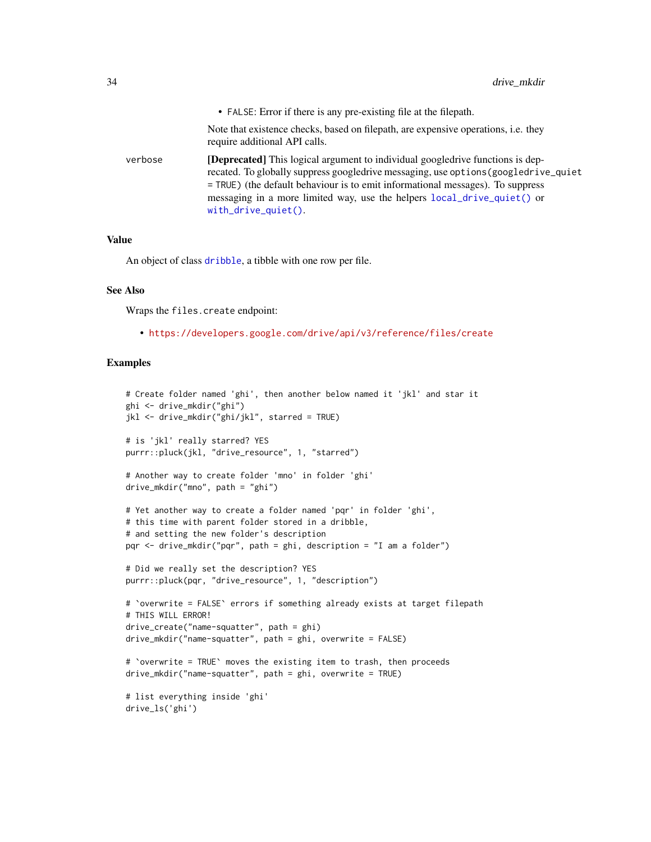<span id="page-33-0"></span>

|         | • FALSE: Error if there is any pre-existing file at the filepath.                                                                                                                                                                                                                                                                                              |
|---------|----------------------------------------------------------------------------------------------------------------------------------------------------------------------------------------------------------------------------------------------------------------------------------------------------------------------------------------------------------------|
|         | Note that existence checks, based on filepath, are expensive operations, i.e. they<br>require additional API calls.                                                                                                                                                                                                                                            |
| verbose | [Deprecated] This logical argument to individual googledrive functions is dep-<br>recated. To globally suppress googledrive messaging, use options (googledrive_quiet<br>= TRUE) (the default behaviour is to emit informational messages). To suppress<br>messaging in a more limited way, use the helpers local_drive_quiet() or<br>$with\_drive\_quiet()$ . |

#### Value

An object of class [dribble](#page-5-1), a tibble with one row per file.

#### See Also

Wraps the files.create endpoint:

• <https://developers.google.com/drive/api/v3/reference/files/create>

```
# Create folder named 'ghi', then another below named it 'jkl' and star it
ghi <- drive_mkdir("ghi")
jkl <- drive_mkdir("ghi/jkl", starred = TRUE)
# is 'jkl' really starred? YES
purrr::pluck(jkl, "drive_resource", 1, "starred")
# Another way to create folder 'mno' in folder 'ghi'
drive_mkdir("mno", path = "ghi")
# Yet another way to create a folder named 'pqr' in folder 'ghi',
# this time with parent folder stored in a dribble,
# and setting the new folder's description
pqr <- drive_mkdir("pqr", path = ghi, description = "I am a folder")
# Did we really set the description? YES
purrr::pluck(pqr, "drive_resource", 1, "description")
# `overwrite = FALSE` errors if something already exists at target filepath
# THIS WILL ERROR!
drive_create("name-squatter", path = ghi)
drive_mkdir("name-squatter", path = ghi, overwrite = FALSE)
# `overwrite = TRUE` moves the existing item to trash, then proceeds
drive_mkdir("name-squatter", path = ghi, overwrite = TRUE)
# list everything inside 'ghi'
drive_ls('ghi')
```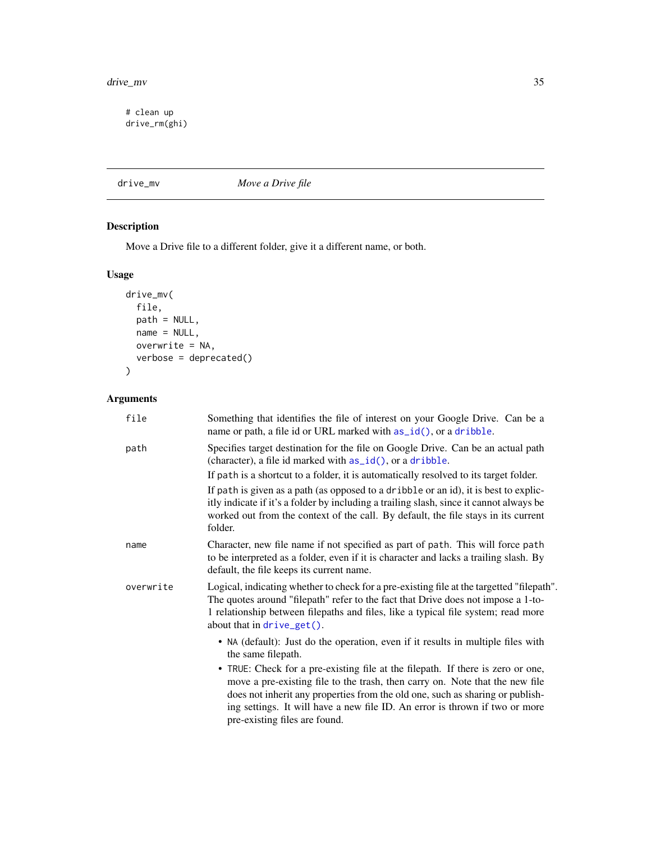#### <span id="page-34-0"></span>drive\_mv 35

# clean up drive\_rm(ghi)

<span id="page-34-1"></span>drive\_mv *Move a Drive file*

## Description

Move a Drive file to a different folder, give it a different name, or both.

## Usage

```
drive_mv(
 file,
 path = NULL,
 name = NULL,overwrite = NA,
 verbose = deprecated()
)
```
## Arguments

| file      | Something that identifies the file of interest on your Google Drive. Can be a<br>name or path, a file id or URL marked with as_id(), or a dribble.                                                                                                                                                                                                               |
|-----------|------------------------------------------------------------------------------------------------------------------------------------------------------------------------------------------------------------------------------------------------------------------------------------------------------------------------------------------------------------------|
| path      | Specifies target destination for the file on Google Drive. Can be an actual path<br>(character), a file id marked with $as_id()$ , or a dribble.                                                                                                                                                                                                                 |
|           | If path is a shortcut to a folder, it is automatically resolved to its target folder.                                                                                                                                                                                                                                                                            |
|           | If path is given as a path (as opposed to a dribble or an id), it is best to explic-<br>itly indicate if it's a folder by including a trailing slash, since it cannot always be<br>worked out from the context of the call. By default, the file stays in its current<br>folder.                                                                                 |
| name      | Character, new file name if not specified as part of path. This will force path<br>to be interpreted as a folder, even if it is character and lacks a trailing slash. By<br>default, the file keeps its current name.                                                                                                                                            |
| overwrite | Logical, indicating whether to check for a pre-existing file at the targetted "filepath".<br>The quotes around "filepath" refer to the fact that Drive does not impose a 1-to-<br>1 relationship between filepaths and files, like a typical file system; read more<br>about that in drive_get().                                                                |
|           | • NA (default): Just do the operation, even if it results in multiple files with<br>the same filepath.                                                                                                                                                                                                                                                           |
|           | • TRUE: Check for a pre-existing file at the filepath. If there is zero or one,<br>move a pre-existing file to the trash, then carry on. Note that the new file<br>does not inherit any properties from the old one, such as sharing or publish-<br>ing settings. It will have a new file ID. An error is thrown if two or more<br>pre-existing files are found. |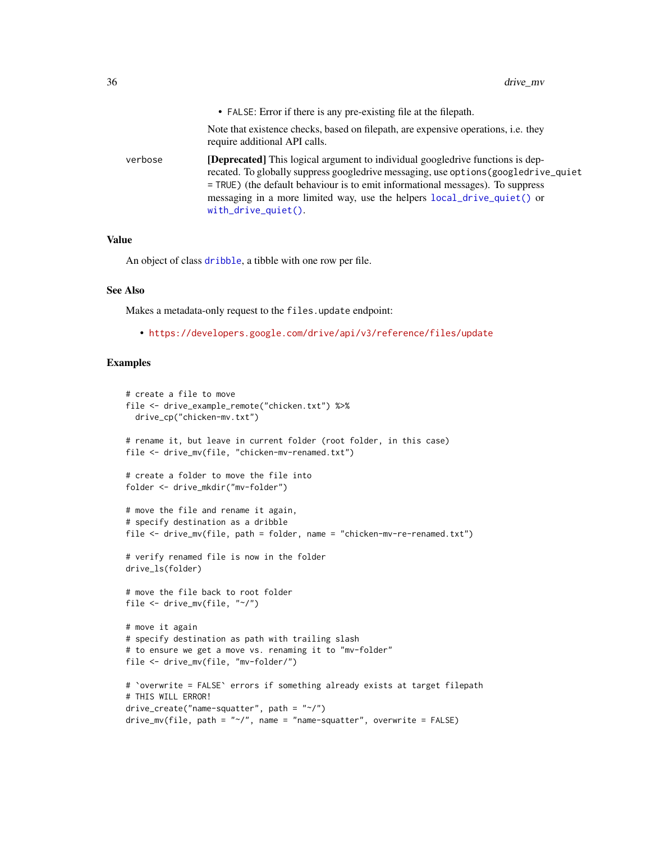<span id="page-35-0"></span>

|         | • FALSE: Error if there is any pre-existing file at the filepath.                                                                                                                                                                                                                                                                                                     |
|---------|-----------------------------------------------------------------------------------------------------------------------------------------------------------------------------------------------------------------------------------------------------------------------------------------------------------------------------------------------------------------------|
|         | Note that existence checks, based on filepath, are expensive operations, i.e. they<br>require additional API calls.                                                                                                                                                                                                                                                   |
| verbose | <b>[Deprecated]</b> This logical argument to individual googledrive functions is dep-<br>recated. To globally suppress googledrive messaging, use options (googledrive_quiet<br>= TRUE) (the default behaviour is to emit informational messages). To suppress<br>messaging in a more limited way, use the helpers local_drive_quiet() or<br>$with\_drive\_quiet()$ . |

## Value

An object of class [dribble](#page-5-1), a tibble with one row per file.

#### See Also

Makes a metadata-only request to the files.update endpoint:

• <https://developers.google.com/drive/api/v3/reference/files/update>

```
# create a file to move
file <- drive_example_remote("chicken.txt") %>%
  drive_cp("chicken-mv.txt")
# rename it, but leave in current folder (root folder, in this case)
file <- drive_mv(file, "chicken-mv-renamed.txt")
# create a folder to move the file into
folder <- drive_mkdir("mv-folder")
# move the file and rename it again,
# specify destination as a dribble
file <- drive_mv(file, path = folder, name = "chicken-mv-re-renamed.txt")
# verify renamed file is now in the folder
drive_ls(folder)
# move the file back to root folder
file <- drive_mv(file, "~/")
# move it again
# specify destination as path with trailing slash
# to ensure we get a move vs. renaming it to "mv-folder"
file <- drive_mv(file, "mv-folder/")
# `overwrite = FALSE` errors if something already exists at target filepath
# THIS WILL ERROR!
drive_ccreate("name-squatter", path = "~/")drive_mv(file, path = "~/", name = "name-squatter", overwrite = FALSE)
```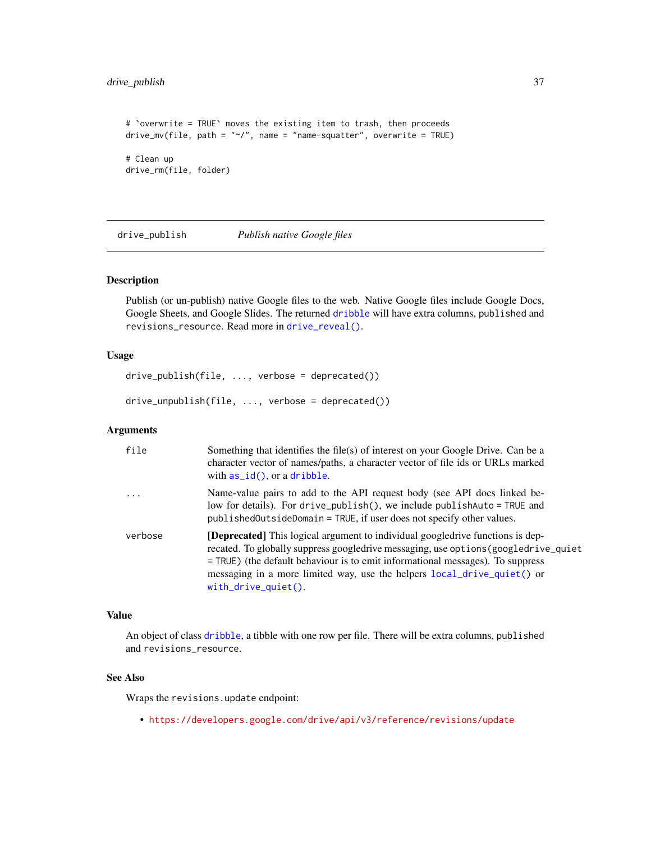## <span id="page-36-0"></span>drive\_publish 37

```
# `overwrite = TRUE` moves the existing item to trash, then proceeds
drive_mv(file, path = "~/", name = "name-squatter", overwrite = TRUE)
# Clean up
drive_rm(file, folder)
```
drive\_publish *Publish native Google files*

## Description

Publish (or un-publish) native Google files to the web. Native Google files include Google Docs, Google Sheets, and Google Slides. The returned [dribble](#page-5-1) will have extra columns, published and revisions\_resource. Read more in [drive\\_reveal\(\)](#page-41-1).

#### Usage

```
drive_publish(file, ..., verbose = deprecated())
```
drive\_unpublish(file, ..., verbose = deprecated())

#### Arguments

| file                    | Something that identifies the file(s) of interest on your Google Drive. Can be a<br>character vector of names/paths, a character vector of file ids or URLs marked<br>with $as_id()$ , or a dribble.                                                                                                                                                                  |
|-------------------------|-----------------------------------------------------------------------------------------------------------------------------------------------------------------------------------------------------------------------------------------------------------------------------------------------------------------------------------------------------------------------|
| $\cdot$ $\cdot$ $\cdot$ | Name-value pairs to add to the API request body (see API docs linked be-<br>low for details). For drive_publish(), we include publishAuto = TRUE and<br>published Outside Domain = TRUE, if user does not specify other values.                                                                                                                                       |
| verbose                 | <b>[Deprecated]</b> This logical argument to individual googledrive functions is dep-<br>recated. To globally suppress googledrive messaging, use options (googledrive_quiet<br>= TRUE) (the default behaviour is to emit informational messages). To suppress<br>messaging in a more limited way, use the helpers local_drive_quiet() or<br>$with\_drive\_quiet()$ . |

#### Value

An object of class [dribble](#page-5-1), a tibble with one row per file. There will be extra columns, published and revisions\_resource.

#### See Also

Wraps the revisions.update endpoint:

• <https://developers.google.com/drive/api/v3/reference/revisions/update>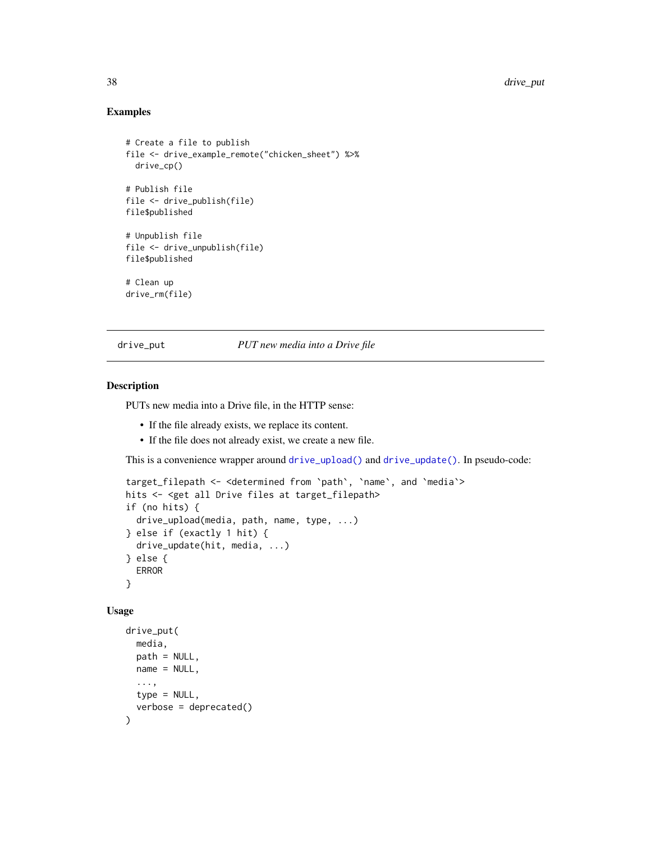#### Examples

```
# Create a file to publish
file <- drive_example_remote("chicken_sheet") %>%
  drive_cp()
# Publish file
file <- drive_publish(file)
file$published
# Unpublish file
file <- drive_unpublish(file)
file$published
# Clean up
drive_rm(file)
```
<span id="page-37-1"></span>drive\_put *PUT new media into a Drive file*

## Description

PUTs new media into a Drive file, in the HTTP sense:

- If the file already exists, we replace its content.
- If the file does not already exist, we create a new file.

This is a convenience wrapper around [drive\\_upload\(\)](#page-50-1) and [drive\\_update\(\)](#page-49-1). In pseudo-code:

```
target_filepath <- <determined from `path`, `name`, and `media`>
hits <- <get all Drive files at target_filepath>
if (no hits) {
 drive_upload(media, path, name, type, ...)
} else if (exactly 1 hit) {
 drive_update(hit, media, ...)
} else {
 ERROR
}
```
#### Usage

```
drive_put(
 media,
 path = NULL,name = NULL,
  ...,
 type = NULL,
  verbose = deprecated()
)
```
<span id="page-37-0"></span>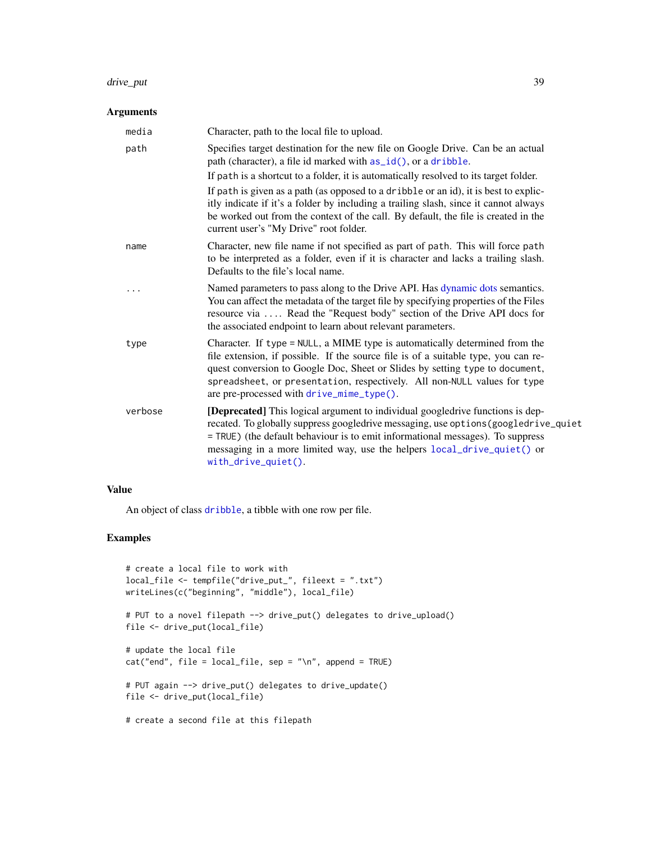#### <span id="page-38-0"></span>drive\_put 39

#### Arguments

| media   | Character, path to the local file to upload.                                                                                                                                                                                                                                                                                                                               |
|---------|----------------------------------------------------------------------------------------------------------------------------------------------------------------------------------------------------------------------------------------------------------------------------------------------------------------------------------------------------------------------------|
| path    | Specifies target destination for the new file on Google Drive. Can be an actual<br>path (character), a file id marked with as_id(), or a dribble.                                                                                                                                                                                                                          |
|         | If path is a shortcut to a folder, it is automatically resolved to its target folder.                                                                                                                                                                                                                                                                                      |
|         | If path is given as a path (as opposed to a dribble or an id), it is best to explic-<br>itly indicate if it's a folder by including a trailing slash, since it cannot always<br>be worked out from the context of the call. By default, the file is created in the<br>current user's "My Drive" root folder.                                                               |
| name    | Character, new file name if not specified as part of path. This will force path<br>to be interpreted as a folder, even if it is character and lacks a trailing slash.<br>Defaults to the file's local name.                                                                                                                                                                |
|         | Named parameters to pass along to the Drive API. Has dynamic dots semantics.<br>You can affect the metadata of the target file by specifying properties of the Files<br>resource via  Read the "Request body" section of the Drive API docs for<br>the associated endpoint to learn about relevant parameters.                                                             |
| type    | Character. If type = NULL, a MIME type is automatically determined from the<br>file extension, if possible. If the source file is of a suitable type, you can re-<br>quest conversion to Google Doc, Sheet or Slides by setting type to document,<br>spreadsheet, or presentation, respectively. All non-NULL values for type<br>are pre-processed with drive_mime_type(). |
| verbose | [Deprecated] This logical argument to individual googledrive functions is dep-<br>recated. To globally suppress googledrive messaging, use options (googledrive_quiet<br>= TRUE) (the default behaviour is to emit informational messages). To suppress<br>messaging in a more limited way, use the helpers local_drive_quiet() or<br>with_drive_quiet().                  |

## Value

An object of class [dribble](#page-5-1), a tibble with one row per file.

```
# create a local file to work with
local_file <- tempfile("drive_put_", fileext = ".txt")
writeLines(c("beginning", "middle"), local_file)
# PUT to a novel filepath --> drive_put() delegates to drive_upload()
file <- drive_put(local_file)
# update the local file
cat("end", file = local_file, sep = "\\n", append = TRUE)# PUT again --> drive_put() delegates to drive_update()
file <- drive_put(local_file)
# create a second file at this filepath
```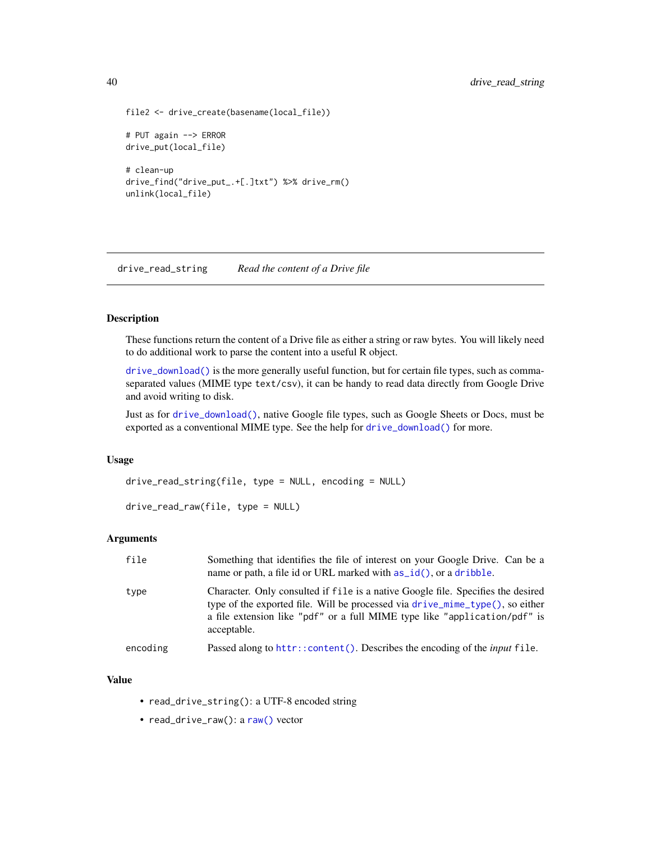```
file2 <- drive_create(basename(local_file))
# PUT again --> ERROR
drive_put(local_file)
# clean-up
drive_find("drive_put_.+[.]txt") %>% drive_rm()
unlink(local_file)
```
drive\_read\_string *Read the content of a Drive file*

#### Description

These functions return the content of a Drive file as either a string or raw bytes. You will likely need to do additional work to parse the content into a useful R object.

[drive\\_download\(\)](#page-17-1) is the more generally useful function, but for certain file types, such as commaseparated values (MIME type text/csv), it can be handy to read data directly from Google Drive and avoid writing to disk.

Just as for [drive\\_download\(\)](#page-17-1), native Google file types, such as Google Sheets or Docs, must be exported as a conventional MIME type. See the help for [drive\\_download\(\)](#page-17-1) for more.

#### Usage

```
drive_read_string(file, type = NULL, encoding = NULL)
```

```
drive_read_raw(file, type = NULL)
```
#### Arguments

| file     | Something that identifies the file of interest on your Google Drive. Can be a<br>name or path, a file id or URL marked with $as_id()$ , or a dribble.                                                                                                                          |
|----------|--------------------------------------------------------------------------------------------------------------------------------------------------------------------------------------------------------------------------------------------------------------------------------|
| type     | Character. Only consulted if file is a native Google file. Specifies the desired<br>type of the exported file. Will be processed via drive $\text{mine}_\text{type}()$ , so either<br>a file extension like "pdf" or a full MIME type like "application/pdf" is<br>acceptable. |
| encoding | Passed along to httr::content(). Describes the encoding of the <i>input</i> file.                                                                                                                                                                                              |

#### Value

- read\_drive\_string(): a UTF-8 encoded string
- read\_drive\_[raw\(\)](#page-0-0): a raw() vector

<span id="page-39-0"></span>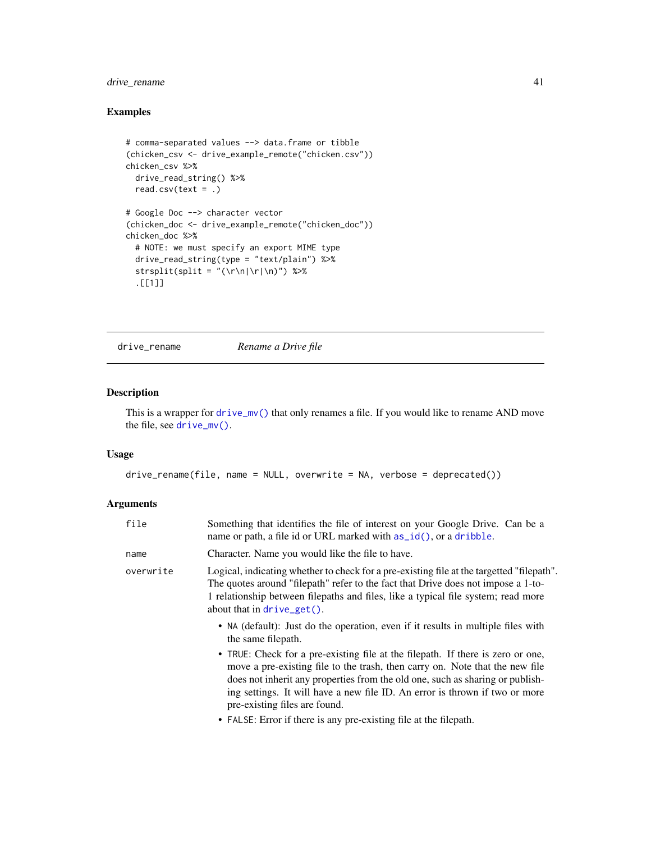## <span id="page-40-0"></span>drive\_rename 41

## Examples

```
# comma-separated values --> data.frame or tibble
(chicken_csv <- drive_example_remote("chicken.csv"))
chicken_csv %>%
  drive_read_string() %>%
 read.csv(text = .)
# Google Doc --> character vector
(chicken_doc <- drive_example_remote("chicken_doc"))
chicken_doc %>%
  # NOTE: we must specify an export MIME type
  drive_read_string(type = "text/plain") %>%
  strsplit(split = "(\r\n|\r|\n)") %>%
  .[[1]]
```
drive\_rename *Rename a Drive file*

## Description

This is a wrapper for [drive\\_mv\(\)](#page-34-1) that only renames a file. If you would like to rename AND move the file, see [drive\\_mv\(\)](#page-34-1).

#### Usage

```
drive_rename(file, name = NULL, overwrite = NA, verbose = deprecated())
```
## Arguments

| file      | Something that identifies the file of interest on your Google Drive. Can be a<br>name or path, a file id or URL marked with as_id(), or a dribble.                                                                                                                                                                                                               |
|-----------|------------------------------------------------------------------------------------------------------------------------------------------------------------------------------------------------------------------------------------------------------------------------------------------------------------------------------------------------------------------|
| name      | Character. Name you would like the file to have.                                                                                                                                                                                                                                                                                                                 |
| overwrite | Logical, indicating whether to check for a pre-existing file at the targetted "filepath".<br>The quotes around "filepath" refer to the fact that Drive does not impose a 1-to-<br>1 relationship between filepaths and files, like a typical file system; read more<br>about that in $drive\_get()$ .                                                            |
|           | • NA (default): Just do the operation, even if it results in multiple files with<br>the same filepath.                                                                                                                                                                                                                                                           |
|           | • TRUE: Check for a pre-existing file at the filepath. If there is zero or one,<br>move a pre-existing file to the trash, then carry on. Note that the new file<br>does not inherit any properties from the old one, such as sharing or publish-<br>ing settings. It will have a new file ID. An error is thrown if two or more<br>pre-existing files are found. |
|           | • FALSE: Error if there is any pre-existing file at the filepath.                                                                                                                                                                                                                                                                                                |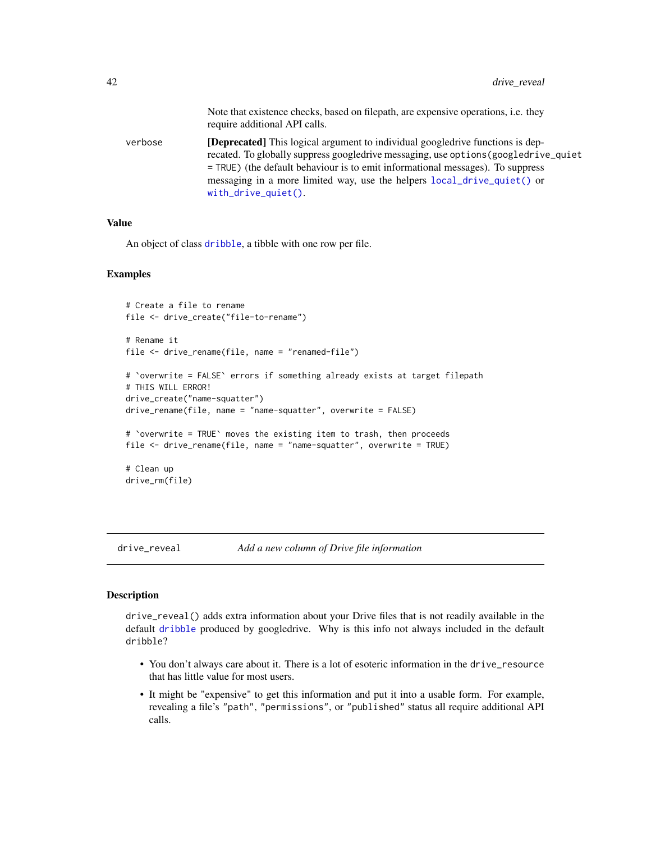<span id="page-41-0"></span>

|         | Note that existence checks, based on filepath, are expensive operations, <i>i.e.</i> they<br>require additional API calls.                                                                                                                                                                                                                                       |
|---------|------------------------------------------------------------------------------------------------------------------------------------------------------------------------------------------------------------------------------------------------------------------------------------------------------------------------------------------------------------------|
| verbose | [Deprecated] This logical argument to individual googledrive functions is dep-<br>recated. To globally suppress googledrive messaging, use options (googledrive_quiet<br>$=$ TRUE) (the default behaviour is to emit informational messages). To suppress<br>messaging in a more limited way, use the helpers local_drive_quiet() or<br>$with\_drive\_quiet()$ . |

## Value

An object of class [dribble](#page-5-1), a tibble with one row per file.

#### Examples

```
# Create a file to rename
file <- drive_create("file-to-rename")
# Rename it
file <- drive_rename(file, name = "renamed-file")
# `overwrite = FALSE` errors if something already exists at target filepath
# THIS WILL ERROR!
drive_create("name-squatter")
drive_rename(file, name = "name-squatter", overwrite = FALSE)
# `overwrite = TRUE` moves the existing item to trash, then proceeds
file <- drive_rename(file, name = "name-squatter", overwrite = TRUE)
# Clean up
drive_rm(file)
```
<span id="page-41-1"></span>drive\_reveal *Add a new column of Drive file information*

## Description

drive\_reveal() adds extra information about your Drive files that is not readily available in the default [dribble](#page-5-1) produced by googledrive. Why is this info not always included in the default dribble?

- You don't always care about it. There is a lot of esoteric information in the drive\_resource that has little value for most users.
- It might be "expensive" to get this information and put it into a usable form. For example, revealing a file's "path", "permissions", or "published" status all require additional API calls.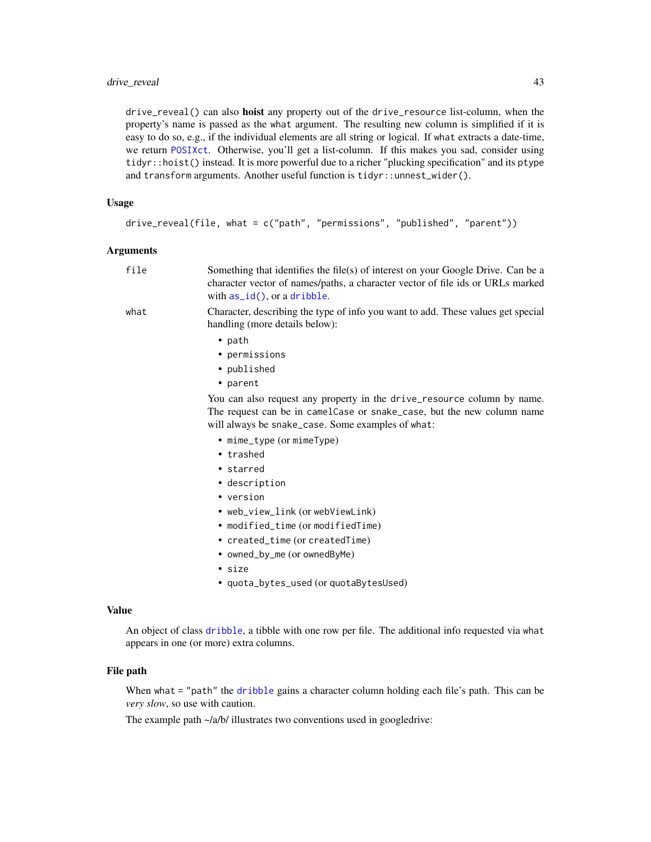## <span id="page-42-0"></span>drive\_reveal 43

drive\_reveal() can also hoist any property out of the drive\_resource list-column, when the property's name is passed as the what argument. The resulting new column is simplified if it is easy to do so, e.g., if the individual elements are all string or logical. If what extracts a date-time, we return [POSIXct](#page-0-0). Otherwise, you'll get a list-column. If this makes you sad, consider using tidyr::hoist() instead. It is more powerful due to a richer "plucking specification" and its ptype and transform arguments. Another useful function is tidyr::unnest\_wider().

#### Usage

```
drive_reveal(file, what = c("path", "permissions", "published", "parent"))
```
#### Arguments

| file | Something that identifies the file(s) of interest on your Google Drive. Can be a<br>character vector of names/paths, a character vector of file ids or URLs marked<br>with $as_id()$ , or a dribble.   |
|------|--------------------------------------------------------------------------------------------------------------------------------------------------------------------------------------------------------|
| what | Character, describing the type of info you want to add. These values get special<br>handling (more details below):                                                                                     |
|      | $\bullet$ path                                                                                                                                                                                         |
|      | • permissions                                                                                                                                                                                          |
|      | • published                                                                                                                                                                                            |
|      | • parent                                                                                                                                                                                               |
|      | You can also request any property in the drive_resource column by name.<br>The request can be in camelCase or snake_case, but the new column name<br>will always be snake_case. Some examples of what: |
|      | • mime_type (or mimeType)                                                                                                                                                                              |
|      | • trashed                                                                                                                                                                                              |
|      | • starred                                                                                                                                                                                              |
|      | • description                                                                                                                                                                                          |
|      | • version                                                                                                                                                                                              |
|      | • web_view_link (or webViewLink)                                                                                                                                                                       |
|      | • modified_time (or modifiedTime)                                                                                                                                                                      |
|      | • created_time (or createdTime)                                                                                                                                                                        |
|      | • owned_by_me (or ownedByMe)                                                                                                                                                                           |
|      | • size                                                                                                                                                                                                 |

• quota\_bytes\_used (or quotaBytesUsed)

#### Value

An object of class [dribble](#page-5-1), a tibble with one row per file. The additional info requested via what appears in one (or more) extra columns.

#### File path

When what = "path" the [dribble](#page-5-1) gains a character column holding each file's path. This can be *very slow*, so use with caution.

The example path  $\sim$ /a/b/ illustrates two conventions used in googledrive: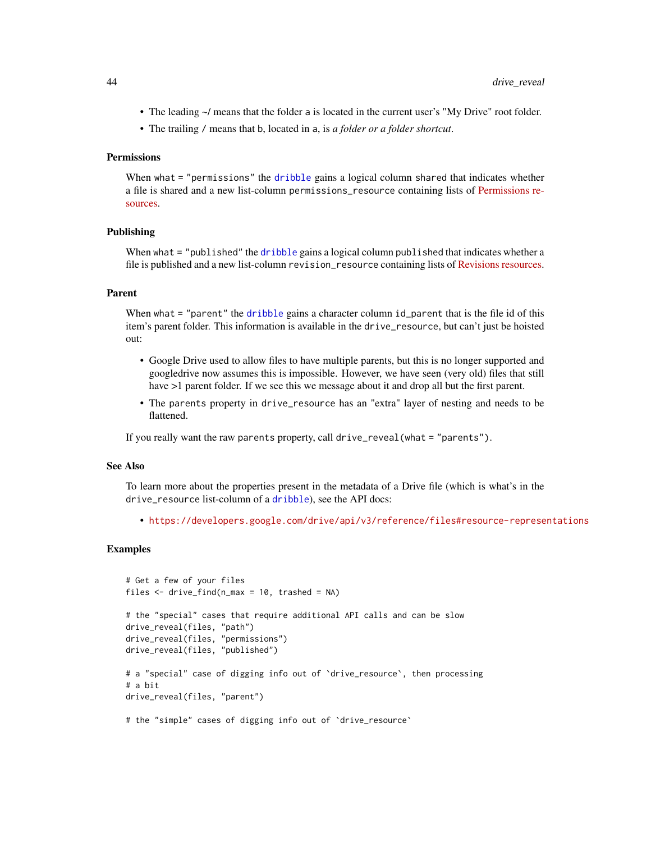- The leading  $\sim$ / means that the folder a is located in the current user's "My Drive" root folder.
- The trailing / means that b, located in a, is *a folder or a folder shortcut*.

## Permissions

When what = "permissions" the [dribble](#page-5-1) gains a logical column shared that indicates whether a file is shared and a new list-column permissions\_resource containing lists of [Permissions re](https://developers.google.com/drive/api/v3/reference/permissions)[sources.](https://developers.google.com/drive/api/v3/reference/permissions)

#### Publishing

When what = "published" the [dribble](#page-5-1) gains a logical column published that indicates whether a file is published and a new list-column revision\_resource containing lists of [Revisions resources.](https://developers.google.com/drive/api/v3/reference/revisions)

## Parent

When what = "parent" the [dribble](#page-5-1) gains a character column id\_parent that is the file id of this item's parent folder. This information is available in the drive\_resource, but can't just be hoisted out:

- Google Drive used to allow files to have multiple parents, but this is no longer supported and googledrive now assumes this is impossible. However, we have seen (very old) files that still have  $>1$  parent folder. If we see this we message about it and drop all but the first parent.
- The parents property in drive\_resource has an "extra" layer of nesting and needs to be flattened.

If you really want the raw parents property, call drive\_reveal(what = "parents").

#### See Also

To learn more about the properties present in the metadata of a Drive file (which is what's in the drive\_resource list-column of a [dribble](#page-5-1)), see the API docs:

• <https://developers.google.com/drive/api/v3/reference/files#resource-representations>

```
# Get a few of your files
files \le drive_find(n_max = 10, trashed = NA)
# the "special" cases that require additional API calls and can be slow
drive_reveal(files, "path")
drive_reveal(files, "permissions")
drive_reveal(files, "published")
# a "special" case of digging info out of `drive_resource`, then processing
# a bit
drive_reveal(files, "parent")
# the "simple" cases of digging info out of `drive_resource`
```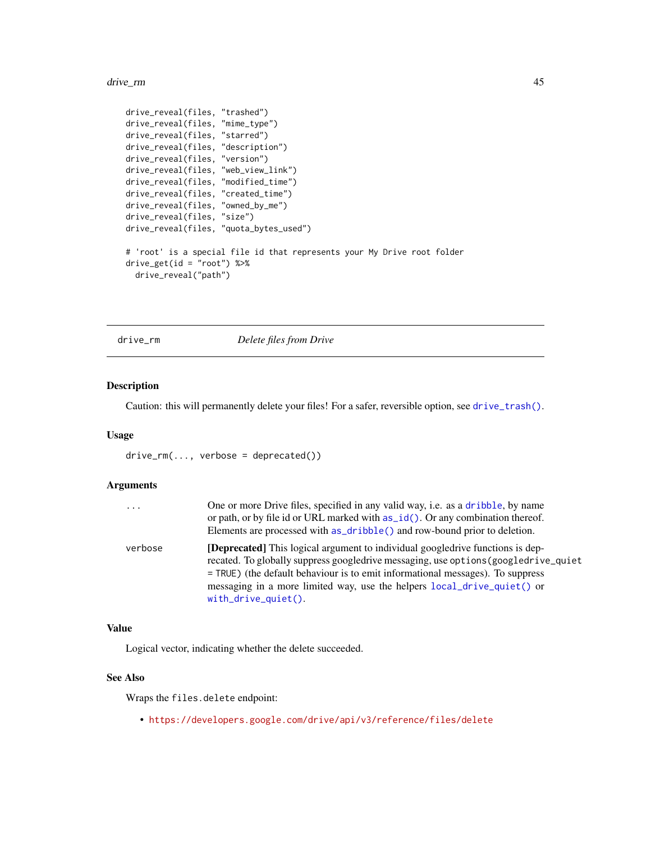<span id="page-44-0"></span>drive\_rm and the contract of the contract of the contract of the contract of the contract of the contract of the contract of the contract of the contract of the contract of the contract of the contract of the contract of t

```
drive_reveal(files, "trashed")
drive_reveal(files, "mime_type")
drive_reveal(files, "starred")
drive_reveal(files, "description")
drive_reveal(files, "version")
drive_reveal(files, "web_view_link")
drive_reveal(files, "modified_time")
drive_reveal(files, "created_time")
drive_reveal(files, "owned_by_me")
drive_reveal(files, "size")
drive_reveal(files, "quota_bytes_used")
# 'root' is a special file id that represents your My Drive root folder
drive\_get(id = "root") %>%
  drive_reveal("path")
```
drive\_rm *Delete files from Drive*

## Description

Caution: this will permanently delete your files! For a safer, reversible option, see [drive\\_trash\(\)](#page-48-1).

#### Usage

drive\_rm(..., verbose = deprecated())

#### Arguments

| .       | One or more Drive files, specified in any valid way, i.e. as a dribble, by name<br>or path, or by file id or URL marked with $as_id()$ . Or any combination thereof.<br>Elements are processed with as_dribble() and row-bound prior to deletion.                                                                                                                  |
|---------|--------------------------------------------------------------------------------------------------------------------------------------------------------------------------------------------------------------------------------------------------------------------------------------------------------------------------------------------------------------------|
| verbose | <b>[Deprecated]</b> This logical argument to individual googledrive functions is dep-<br>recated. To globally suppress googledrive messaging, use options (googledrive_quiet<br>= TRUE) (the default behaviour is to emit informational messages). To suppress<br>messaging in a more limited way, use the helpers local_drive_quiet() or<br>$with$ drive_quiet(). |

#### Value

Logical vector, indicating whether the delete succeeded.

## See Also

Wraps the files.delete endpoint:

• <https://developers.google.com/drive/api/v3/reference/files/delete>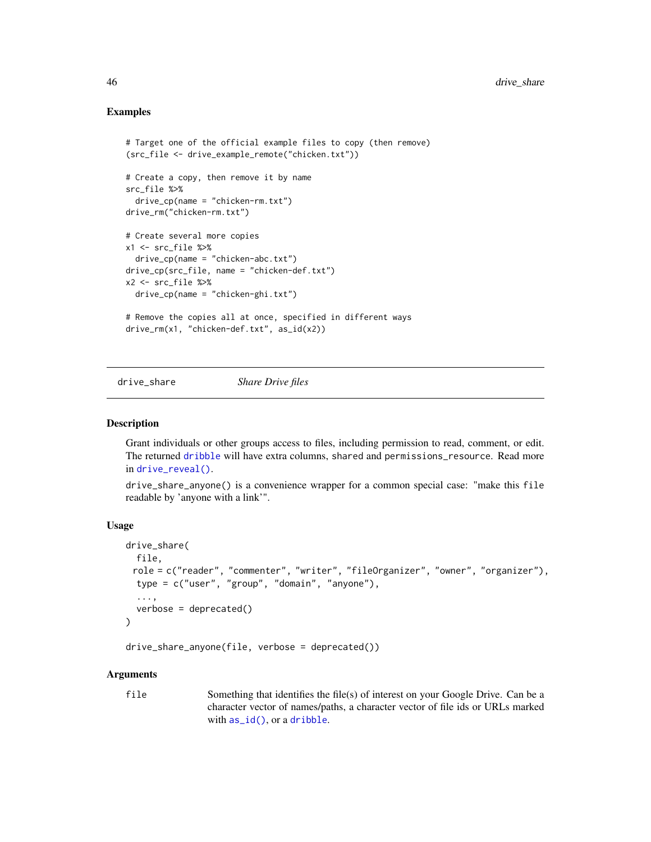#### Examples

```
# Target one of the official example files to copy (then remove)
(src_file <- drive_example_remote("chicken.txt"))
# Create a copy, then remove it by name
src_file %>%
  drive_cpp(name = "chicken-rm.txt")drive_rm("chicken-rm.txt")
# Create several more copies
x1 <- src_file %>%
  drive_cp(name = "chicken-abc.txt")
drive_cp(src_file, name = "chicken-def.txt")
x2 \le src_file %>%
  drive_cp(name = "chicken-ghi.txt")
# Remove the copies all at once, specified in different ways
drive_rm(x1, "chicken-def.txt", as_id(x2))
```
drive\_share *Share Drive files*

#### **Description**

Grant individuals or other groups access to files, including permission to read, comment, or edit. The returned [dribble](#page-5-1) will have extra columns, shared and permissions\_resource. Read more in [drive\\_reveal\(\)](#page-41-1).

drive\_share\_anyone() is a convenience wrapper for a common special case: "make this file readable by 'anyone with a link'".

## Usage

```
drive_share(
 file,
 role = c("reader", "commenter", "writer", "fileOrganizer", "owner", "organizer"),
  type = c("user", "group", "domain", "anyone"),
  ...,
  verbose = deprecated()
\lambda
```
drive\_share\_anyone(file, verbose = deprecated())

#### Arguments

file Something that identifies the file(s) of interest on your Google Drive. Can be a character vector of names/paths, a character vector of file ids or URLs marked with [as\\_id\(\)](#page-3-1), or a [dribble](#page-5-1).

<span id="page-45-0"></span>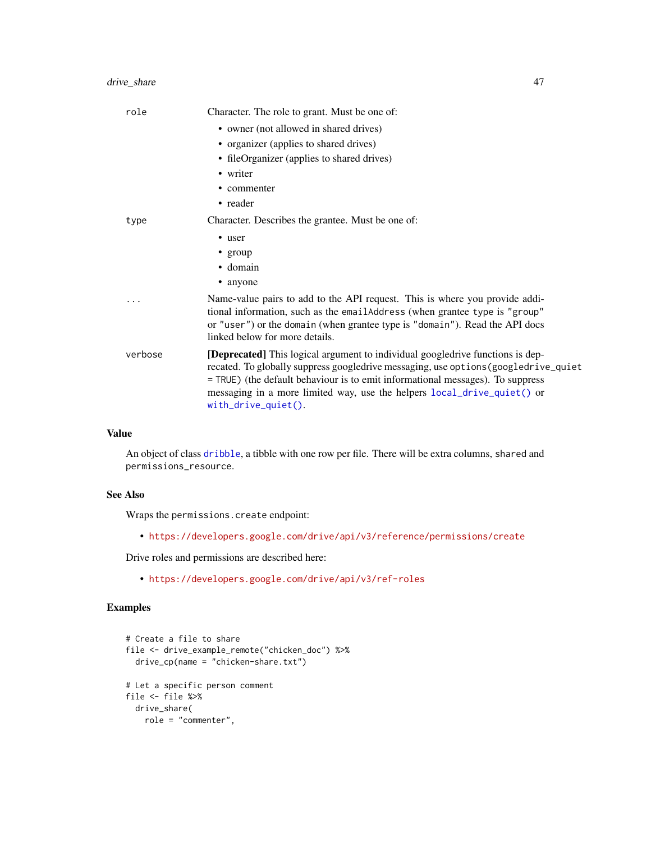## <span id="page-46-0"></span>drive\_share 47

| Character. The role to grant. Must be one of:                                                                                                                                                                                                                                                                                                                  |
|----------------------------------------------------------------------------------------------------------------------------------------------------------------------------------------------------------------------------------------------------------------------------------------------------------------------------------------------------------------|
| • owner (not allowed in shared drives)                                                                                                                                                                                                                                                                                                                         |
| • organizer (applies to shared drives)                                                                                                                                                                                                                                                                                                                         |
| • fileOrganizer (applies to shared drives)                                                                                                                                                                                                                                                                                                                     |
| • writer                                                                                                                                                                                                                                                                                                                                                       |
| • commenter                                                                                                                                                                                                                                                                                                                                                    |
| • reader                                                                                                                                                                                                                                                                                                                                                       |
| Character. Describes the grantee. Must be one of:                                                                                                                                                                                                                                                                                                              |
| • user                                                                                                                                                                                                                                                                                                                                                         |
| • group                                                                                                                                                                                                                                                                                                                                                        |
| $\bullet$ domain                                                                                                                                                                                                                                                                                                                                               |
| • anyone                                                                                                                                                                                                                                                                                                                                                       |
| Name-value pairs to add to the API request. This is where you provide addi-<br>tional information, such as the emailAddress (when grantee type is "group"<br>or "user") or the domain (when grantee type is "domain"). Read the API docs<br>linked below for more details.                                                                                     |
| [Deprecated] This logical argument to individual googledrive functions is dep-<br>recated. To globally suppress googledrive messaging, use options (googledrive_quiet<br>= TRUE) (the default behaviour is to emit informational messages). To suppress<br>messaging in a more limited way, use the helpers local_drive_quiet() or<br>$with\_drive\_quiet()$ . |
|                                                                                                                                                                                                                                                                                                                                                                |

## Value

An object of class [dribble](#page-5-1), a tibble with one row per file. There will be extra columns, shared and permissions\_resource.

## See Also

Wraps the permissions.create endpoint:

• <https://developers.google.com/drive/api/v3/reference/permissions/create>

Drive roles and permissions are described here:

• <https://developers.google.com/drive/api/v3/ref-roles>

```
# Create a file to share
file <- drive_example_remote("chicken_doc") %>%
  drive_cp(name = "chicken-share.txt")
# Let a specific person comment
file <- file %>%
 drive_share(
   role = "commenter",
```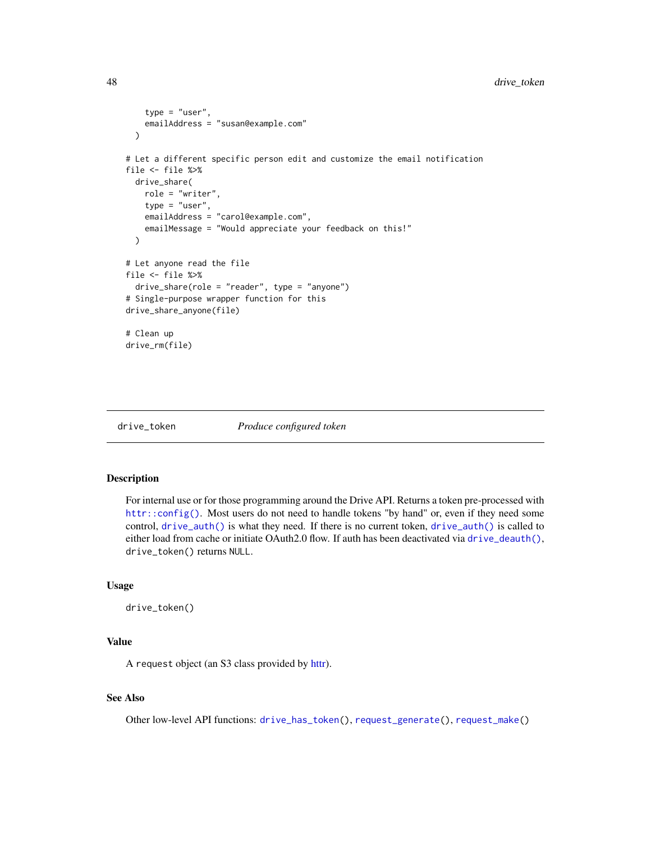```
type = "user",
    emailAddress = "susan@example.com"
 )
# Let a different specific person edit and customize the email notification
file <- file %>%
 drive_share(
   role = "writer",
   type = "user",
   emailAddress = "carol@example.com",
   emailMessage = "Would appreciate your feedback on this!"
 \lambda# Let anyone read the file
file <- file %>%
 drive_share(role = "reader", type = "anyone")
# Single-purpose wrapper function for this
drive_share_anyone(file)
# Clean up
drive_rm(file)
```
<span id="page-47-1"></span>drive\_token *Produce configured token*

## Description

For internal use or for those programming around the Drive API. Returns a token pre-processed with [httr::config\(\)](#page-0-0). Most users do not need to handle tokens "by hand" or, even if they need some control, [drive\\_auth\(\)](#page-7-1) is what they need. If there is no current token, [drive\\_auth\(\)](#page-7-1) is called to either load from cache or initiate OAuth2.0 flow. If auth has been deactivated via [drive\\_deauth\(\)](#page-16-1), drive\_token() returns NULL.

#### Usage

```
drive_token()
```
#### Value

A request object (an S3 class provided by [httr\)](#page-0-0).

#### See Also

Other low-level API functions: [drive\\_has\\_token\(](#page-29-2)), [request\\_generate\(](#page-56-1)), [request\\_make\(](#page-57-1))

<span id="page-47-0"></span>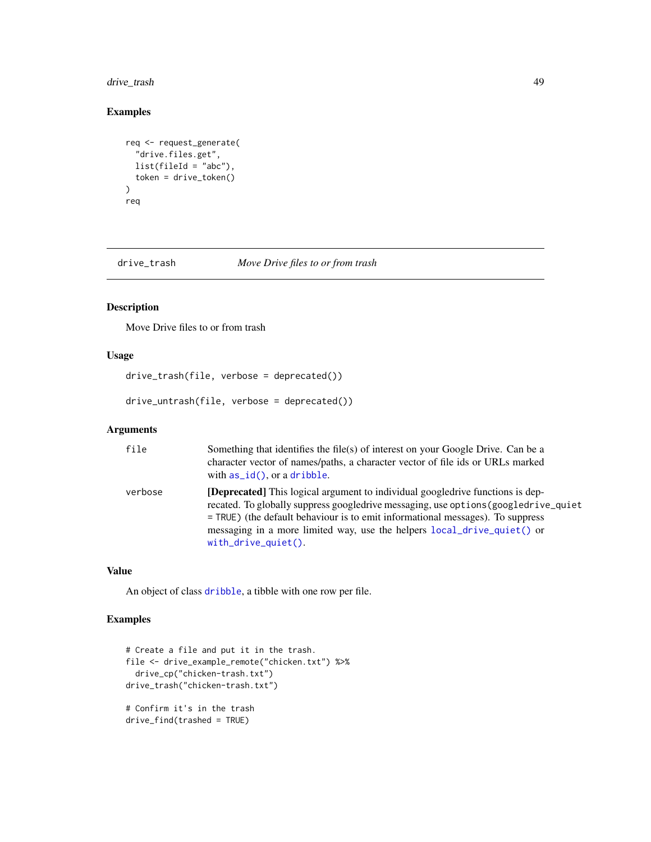## <span id="page-48-0"></span>drive\_trash 49

## Examples

```
req <- request_generate(
  "drive.files.get",
 list(fileId = "abc"),
  token = drive_token()
\lambdareq
```
<span id="page-48-1"></span>drive\_trash *Move Drive files to or from trash*

## Description

Move Drive files to or from trash

## Usage

```
drive_trash(file, verbose = deprecated())
```
drive\_untrash(file, verbose = deprecated())

## Arguments

| file    | Something that identifies the file(s) of interest on your Google Drive. Can be a<br>character vector of names/paths, a character vector of file ids or URLs marked<br>with $as_id()$ , or a dribble.                                                                                                                                                      |
|---------|-----------------------------------------------------------------------------------------------------------------------------------------------------------------------------------------------------------------------------------------------------------------------------------------------------------------------------------------------------------|
| verbose | [Deprecated] This logical argument to individual googledrive functions is dep-<br>recated. To globally suppress googledrive messaging, use options (googledrive_quiet<br>= TRUE) (the default behaviour is to emit informational messages). To suppress<br>messaging in a more limited way, use the helpers local_drive_quiet() or<br>with_drive_quiet(). |

## Value

An object of class [dribble](#page-5-1), a tibble with one row per file.

```
# Create a file and put it in the trash.
file <- drive_example_remote("chicken.txt") %>%
  drive_cp("chicken-trash.txt")
drive_trash("chicken-trash.txt")
# Confirm it's in the trash
drive_find(trashed = TRUE)
```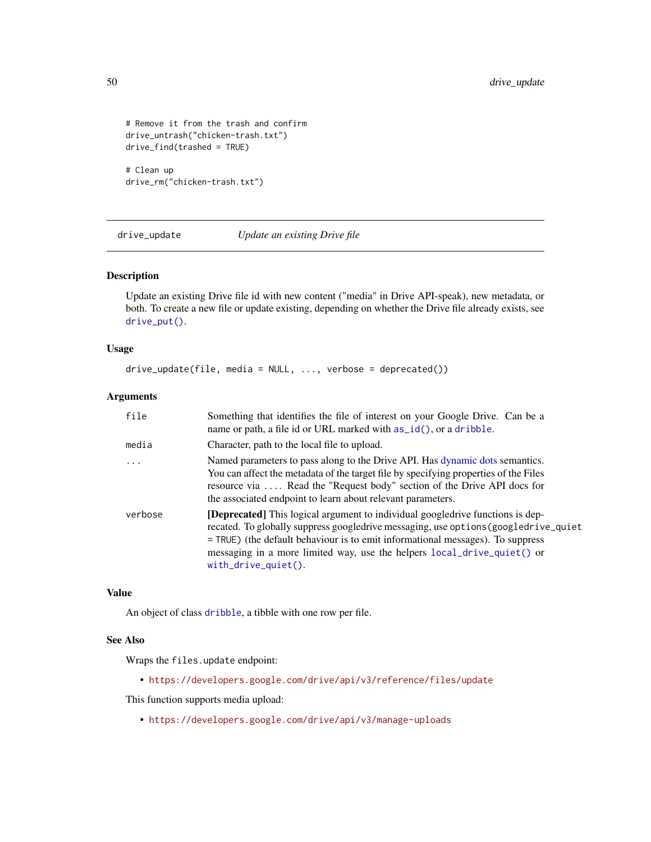```
# Remove it from the trash and confirm
drive_untrash("chicken-trash.txt")
drive_find(trashed = TRUE)
# Clean up
```

```
drive_rm("chicken-trash.txt")
```
<span id="page-49-1"></span>drive\_update *Update an existing Drive file*

#### Description

Update an existing Drive file id with new content ("media" in Drive API-speak), new metadata, or both. To create a new file or update existing, depending on whether the Drive file already exists, see [drive\\_put\(\)](#page-37-1).

#### Usage

```
drive_update(file, media = NULL, ..., verbose = deprecated())
```
#### Arguments

| file    | Something that identifies the file of interest on your Google Drive. Can be a<br>name or path, a file id or URL marked with $as_id(),$ or a dribble.                                                                                                                                                                                                                  |
|---------|-----------------------------------------------------------------------------------------------------------------------------------------------------------------------------------------------------------------------------------------------------------------------------------------------------------------------------------------------------------------------|
| media   | Character, path to the local file to upload.                                                                                                                                                                                                                                                                                                                          |
| $\cdot$ | Named parameters to pass along to the Drive API. Has dynamic dots semantics.<br>You can affect the metadata of the target file by specifying properties of the Files<br>resource via  Read the "Request body" section of the Drive API docs for<br>the associated endpoint to learn about relevant parameters.                                                        |
| verbose | <b>[Deprecated]</b> This logical argument to individual googledrive functions is dep-<br>recated. To globally suppress googledrive messaging, use options (googledrive_quiet<br>= TRUE) (the default behaviour is to emit informational messages). To suppress<br>messaging in a more limited way, use the helpers local_drive_quiet() or<br>$with\_drive\_quiet()$ . |

#### Value

An object of class [dribble](#page-5-1), a tibble with one row per file.

#### See Also

Wraps the files.update endpoint:

• <https://developers.google.com/drive/api/v3/reference/files/update>

This function supports media upload:

• <https://developers.google.com/drive/api/v3/manage-uploads>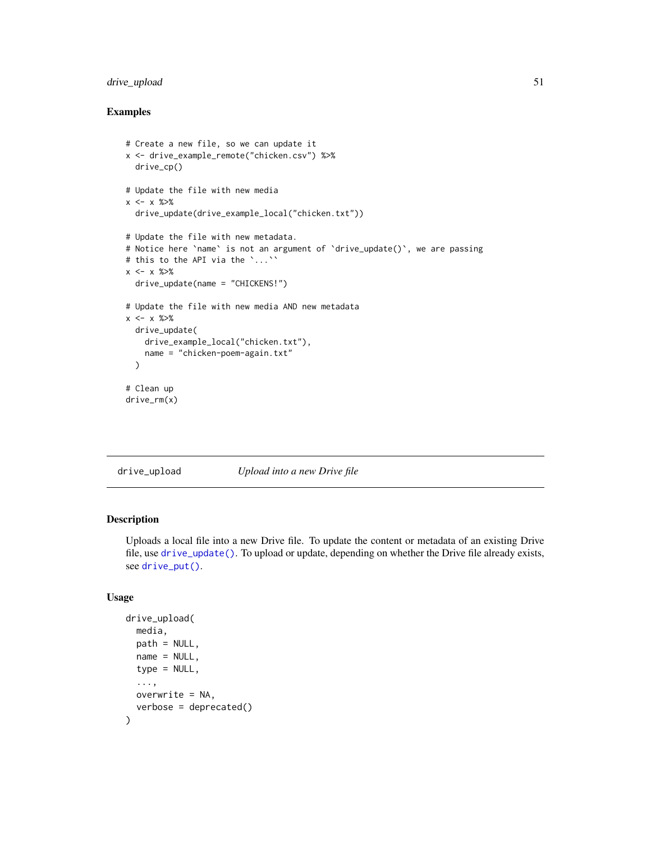## <span id="page-50-0"></span>drive\_upload 51

## Examples

```
# Create a new file, so we can update it
x <- drive_example_remote("chicken.csv") %>%
  drive_cp()
# Update the file with new media
x \le - x \frac{9}{20}drive_update(drive_example_local("chicken.txt"))
# Update the file with new metadata.
# Notice here `name` is not an argument of `drive_update()`, we are passing
# this to the API via the `...``
x \le - x \frac{9}{20}drive_update(name = "CHICKENS!")
# Update the file with new media AND new metadata
x \le -x \frac{9}{20}drive_update(
    drive_example_local("chicken.txt"),
    name = "chicken-poem-again.txt"
  )
# Clean up
drive_rm(x)
```
<span id="page-50-1"></span>

drive\_upload *Upload into a new Drive file*

## Description

Uploads a local file into a new Drive file. To update the content or metadata of an existing Drive file, use [drive\\_update\(\)](#page-49-1). To upload or update, depending on whether the Drive file already exists, see [drive\\_put\(\)](#page-37-1).

## Usage

```
drive_upload(
  media,
 path = NULL,
  name = NULL,type = NULL,
  ...,
 overwrite = NA,
  verbose = deprecated()
)
```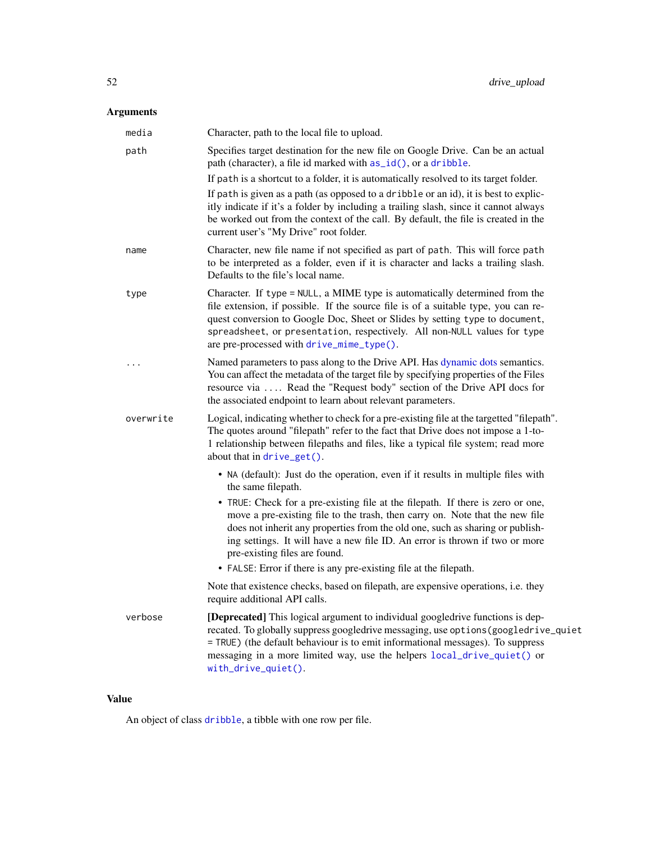## <span id="page-51-0"></span>Arguments

| media     | Character, path to the local file to upload.                                                                                                                                                                                                                                                                                                                               |
|-----------|----------------------------------------------------------------------------------------------------------------------------------------------------------------------------------------------------------------------------------------------------------------------------------------------------------------------------------------------------------------------------|
| path      | Specifies target destination for the new file on Google Drive. Can be an actual<br>path (character), a file id marked with as_id(), or a dribble.                                                                                                                                                                                                                          |
|           | If path is a shortcut to a folder, it is automatically resolved to its target folder.                                                                                                                                                                                                                                                                                      |
|           | If path is given as a path (as opposed to a dribble or an id), it is best to explic-<br>itly indicate if it's a folder by including a trailing slash, since it cannot always<br>be worked out from the context of the call. By default, the file is created in the<br>current user's "My Drive" root folder.                                                               |
| name      | Character, new file name if not specified as part of path. This will force path<br>to be interpreted as a folder, even if it is character and lacks a trailing slash.<br>Defaults to the file's local name.                                                                                                                                                                |
| type      | Character. If type = NULL, a MIME type is automatically determined from the<br>file extension, if possible. If the source file is of a suitable type, you can re-<br>quest conversion to Google Doc, Sheet or Slides by setting type to document,<br>spreadsheet, or presentation, respectively. All non-NULL values for type<br>are pre-processed with drive_mime_type(). |
| $\cdots$  | Named parameters to pass along to the Drive API. Has dynamic dots semantics.<br>You can affect the metadata of the target file by specifying properties of the Files<br>resource via  Read the "Request body" section of the Drive API docs for<br>the associated endpoint to learn about relevant parameters.                                                             |
| overwrite | Logical, indicating whether to check for a pre-existing file at the targetted "filepath".<br>The quotes around "filepath" refer to the fact that Drive does not impose a 1-to-<br>1 relationship between filepaths and files, like a typical file system; read more<br>about that in drive_get().                                                                          |
|           | • NA (default): Just do the operation, even if it results in multiple files with<br>the same filepath.                                                                                                                                                                                                                                                                     |
|           | • TRUE: Check for a pre-existing file at the filepath. If there is zero or one,<br>move a pre-existing file to the trash, then carry on. Note that the new file<br>does not inherit any properties from the old one, such as sharing or publish-<br>ing settings. It will have a new file ID. An error is thrown if two or more<br>pre-existing files are found.           |
|           | • FALSE: Error if there is any pre-existing file at the filepath.                                                                                                                                                                                                                                                                                                          |
|           | Note that existence checks, based on filepath, are expensive operations, i.e. they<br>require additional API calls.                                                                                                                                                                                                                                                        |
| verbose   | [Deprecated] This logical argument to individual googledrive functions is dep-<br>recated. To globally suppress googledrive messaging, use options (googledrive_quiet<br>= TRUE) (the default behaviour is to emit informational messages). To suppress<br>messaging in a more limited way, use the helpers local_drive_quiet() or<br>$with\_drive\_quiet()$ .             |

## Value

An object of class [dribble](#page-5-1), a tibble with one row per file.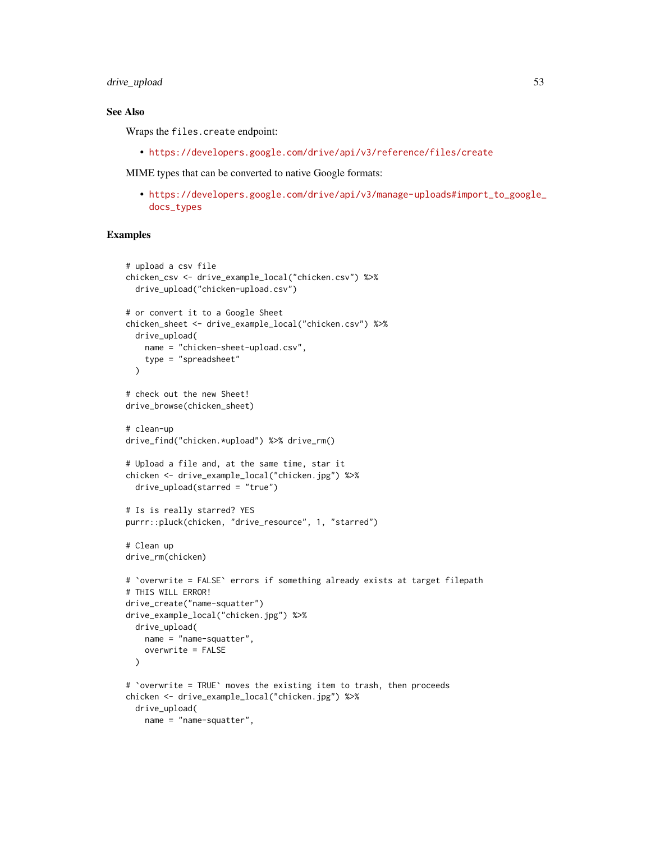drive\_upload 53

## See Also

Wraps the files.create endpoint:

• <https://developers.google.com/drive/api/v3/reference/files/create>

MIME types that can be converted to native Google formats:

• [https://developers.google.com/drive/api/v3/manage-uploads#import\\_to\\_google\\_](https://developers.google.com/drive/api/v3/manage-uploads#import_to_google_docs_types) [docs\\_types](https://developers.google.com/drive/api/v3/manage-uploads#import_to_google_docs_types)

```
# upload a csv file
chicken_csv <- drive_example_local("chicken.csv") %>%
  drive_upload("chicken-upload.csv")
# or convert it to a Google Sheet
chicken_sheet <- drive_example_local("chicken.csv") %>%
  drive_upload(
   name = "chicken-sheet-upload.csv",
    type = "spreadsheet"
  \lambda# check out the new Sheet!
drive_browse(chicken_sheet)
# clean-up
drive_find("chicken.*upload") %>% drive_rm()
# Upload a file and, at the same time, star it
chicken <- drive_example_local("chicken.jpg") %>%
  drive_upload(starred = "true")
# Is is really starred? YES
purrr::pluck(chicken, "drive_resource", 1, "starred")
# Clean up
drive_rm(chicken)
# `overwrite = FALSE` errors if something already exists at target filepath
# THIS WILL ERROR!
drive_create("name-squatter")
drive_example_local("chicken.jpg") %>%
  drive_upload(
   name = "name-squatter",
   overwrite = FALSE
  )
# `overwrite = TRUE` moves the existing item to trash, then proceeds
chicken <- drive_example_local("chicken.jpg") %>%
  drive_upload(
   name = "name-squatter",
```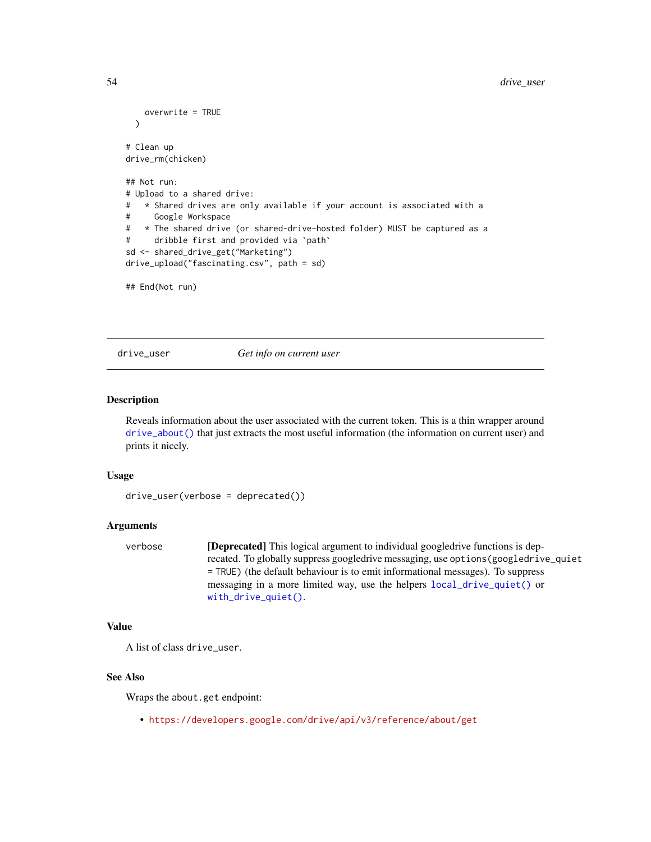```
overwrite = TRUE
 )
# Clean up
drive_rm(chicken)
## Not run:
# Upload to a shared drive:
# * Shared drives are only available if your account is associated with a
# Google Workspace
# * The shared drive (or shared-drive-hosted folder) MUST be captured as a
# dribble first and provided via `path`
sd <- shared_drive_get("Marketing")
drive_upload("fascinating.csv", path = sd)
## End(Not run)
```
<span id="page-53-1"></span>

drive\_user *Get info on current user*

#### Description

Reveals information about the user associated with the current token. This is a thin wrapper around [drive\\_about\(\)](#page-6-1) that just extracts the most useful information (the information on current user) and prints it nicely.

#### Usage

```
drive_user(verbose = deprecated())
```
## Arguments

verbose [Deprecated] This logical argument to individual googledrive functions is deprecated. To globally suppress googledrive messaging, use options(googledrive\_quiet = TRUE) (the default behaviour is to emit informational messages). To suppress messaging in a more limited way, use the helpers [local\\_drive\\_quiet\(\)](#page-54-1) or [with\\_drive\\_quiet\(\)](#page-54-1).

## Value

```
A list of class drive_user.
```
#### See Also

Wraps the about.get endpoint:

• <https://developers.google.com/drive/api/v3/reference/about/get>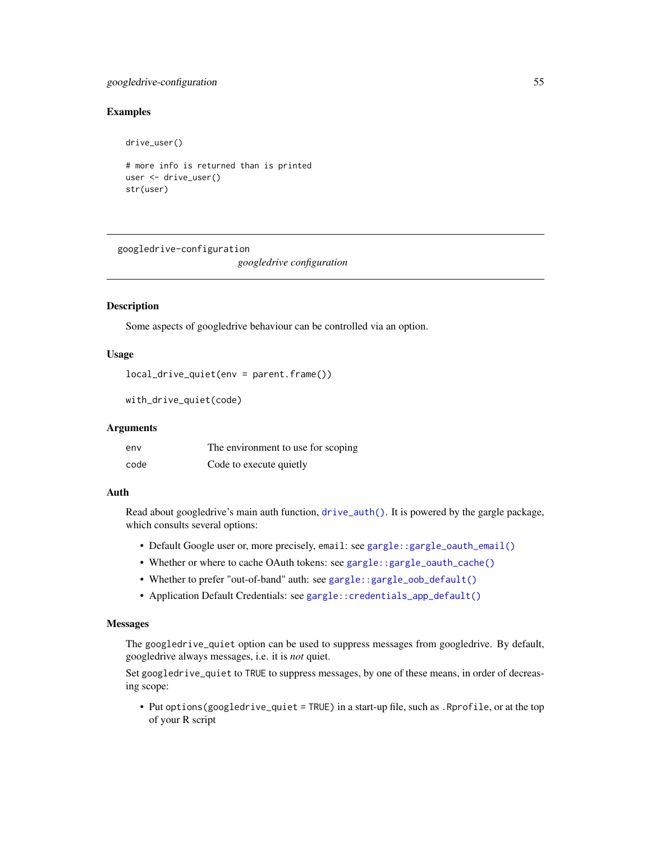## <span id="page-54-0"></span>googledrive-configuration 55

#### Examples

drive\_user()

```
# more info is returned than is printed
user <- drive_user()
str(user)
```
googledrive-configuration

*googledrive configuration*

#### <span id="page-54-1"></span>Description

Some aspects of googledrive behaviour can be controlled via an option.

## Usage

```
local_drive_quiet(env = parent.frame())
```
with\_drive\_quiet(code)

#### Arguments

| env  | The environment to use for scoping |
|------|------------------------------------|
| code | Code to execute quietly            |

## Auth

Read about googledrive's main auth function, [drive\\_auth\(\)](#page-7-1). It is powered by the gargle package, which consults several options:

- Default Google user or, more precisely, email: see [gargle::gargle\\_oauth\\_email\(\)](#page-0-0)
- Whether or where to cache OAuth tokens: see [gargle::gargle\\_oauth\\_cache\(\)](#page-0-0)
- Whether to prefer "out-of-band" auth: see [gargle::gargle\\_oob\\_default\(\)](#page-0-0)
- Application Default Credentials: see [gargle::credentials\\_app\\_default\(\)](#page-0-0)

## **Messages**

The googledrive\_quiet option can be used to suppress messages from googledrive. By default, googledrive always messages, i.e. it is *not* quiet.

Set googledrive\_quiet to TRUE to suppress messages, by one of these means, in order of decreasing scope:

• Put options(googledrive\_quiet = TRUE) in a start-up file, such as .Rprofile, or at the top of your R script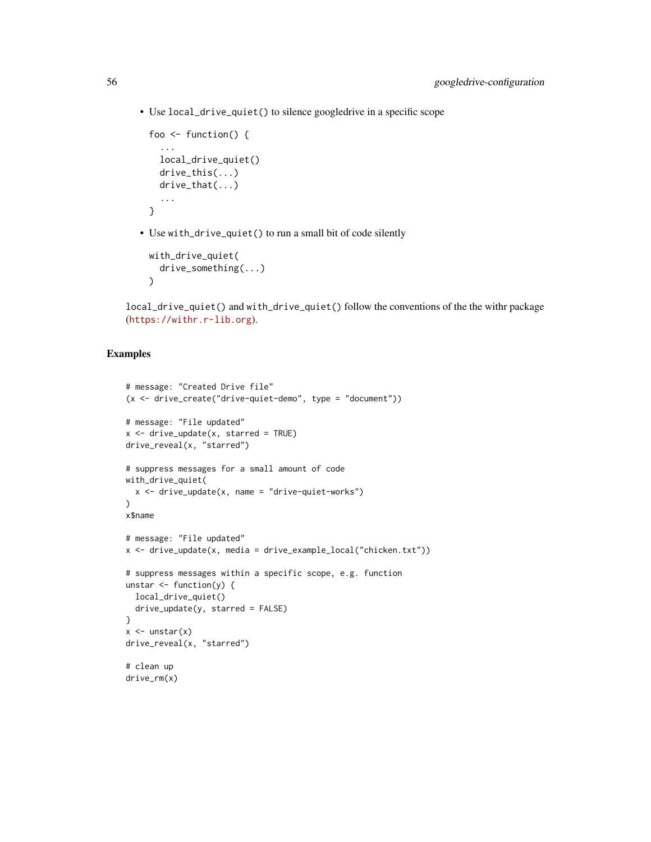• Use local\_drive\_quiet() to silence googledrive in a specific scope

```
foo <- function() {
  ...
  local_drive_quiet()
 drive_this(...)
  drive_that(...)
  ...
}
```
• Use with\_drive\_quiet() to run a small bit of code silently

```
with_drive_quiet(
  drive_something(...)
)
```
local\_drive\_quiet() and with\_drive\_quiet() follow the conventions of the the withr package (<https://withr.r-lib.org>).

```
# message: "Created Drive file"
(x <- drive_create("drive-quiet-demo", type = "document"))
# message: "File updated"
x \le - drive_update(x, starred = TRUE)
drive_reveal(x, "starred")
# suppress messages for a small amount of code
with_drive_quiet(
  x \le - drive_update(x, name = "drive-quiet-works")
\lambdax$name
# message: "File updated"
x \le drive_update(x, media = drive_example_local("chicken.txt"))
# suppress messages within a specific scope, e.g. function
unstar \leq function(y) {
 local_drive_quiet()
 drive_update(y, starred = FALSE)
}
x \leftarrow unstar(x)drive_reveal(x, "starred")
# clean up
drive_rm(x)
```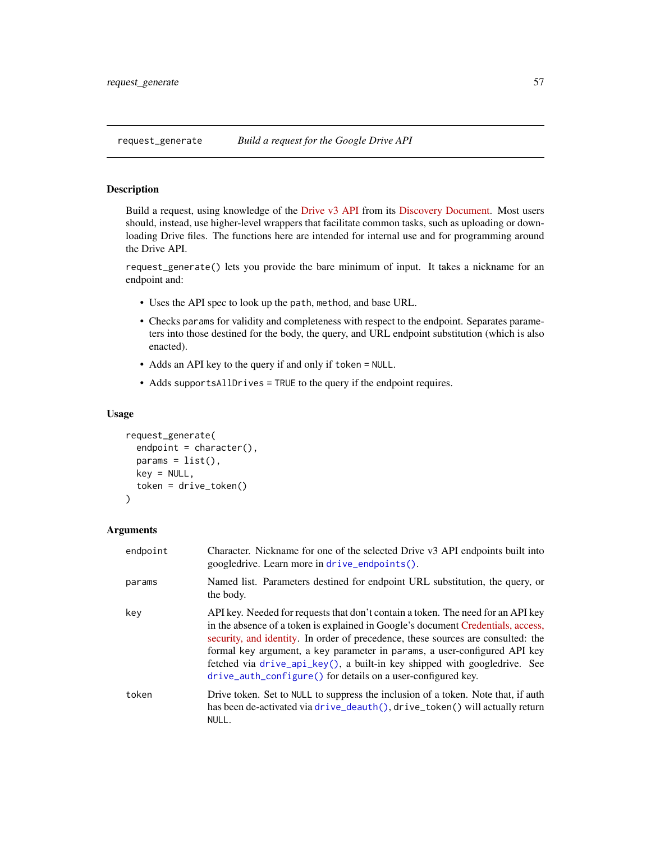<span id="page-56-1"></span><span id="page-56-0"></span>

### Description

Build a request, using knowledge of the [Drive v3 API](https://developers.google.com/drive/api/v3/about-sdk) from its [Discovery Document.](https://www.googleapis.com/discovery/v1/apis/drive/v3/rest) Most users should, instead, use higher-level wrappers that facilitate common tasks, such as uploading or downloading Drive files. The functions here are intended for internal use and for programming around the Drive API.

request\_generate() lets you provide the bare minimum of input. It takes a nickname for an endpoint and:

- Uses the API spec to look up the path, method, and base URL.
- Checks params for validity and completeness with respect to the endpoint. Separates parameters into those destined for the body, the query, and URL endpoint substitution (which is also enacted).
- Adds an API key to the query if and only if token = NULL.
- Adds supportsAllDrives = TRUE to the query if the endpoint requires.

#### Usage

```
request_generate(
  endpoint = character(),
  params = list(),key = NULL,token = drive_token()
)
```
#### Arguments

| endpoint | Character. Nickname for one of the selected Drive v3 API endpoints built into<br>googledrive. Learn more in drive_endpoints().                                                                                                                                                                                                                                                                                                                                                     |
|----------|------------------------------------------------------------------------------------------------------------------------------------------------------------------------------------------------------------------------------------------------------------------------------------------------------------------------------------------------------------------------------------------------------------------------------------------------------------------------------------|
| params   | Named list. Parameters destined for endpoint URL substitution, the query, or<br>the body.                                                                                                                                                                                                                                                                                                                                                                                          |
| key      | API key. Needed for requests that don't contain a token. The need for an API key<br>in the absence of a token is explained in Google's document Credentials, access,<br>security, and identity. In order of precedence, these sources are consulted: the<br>formal key argument, a key parameter in params, a user-configured API key<br>fetched via drive_api_key(), a built-in key shipped with googledrive. See<br>drive_auth_configure() for details on a user-configured key. |
| token    | Drive token. Set to NULL to suppress the inclusion of a token. Note that, if auth<br>has been de-activated via drive_deauth(), drive_token() will actually return<br>NULL.                                                                                                                                                                                                                                                                                                         |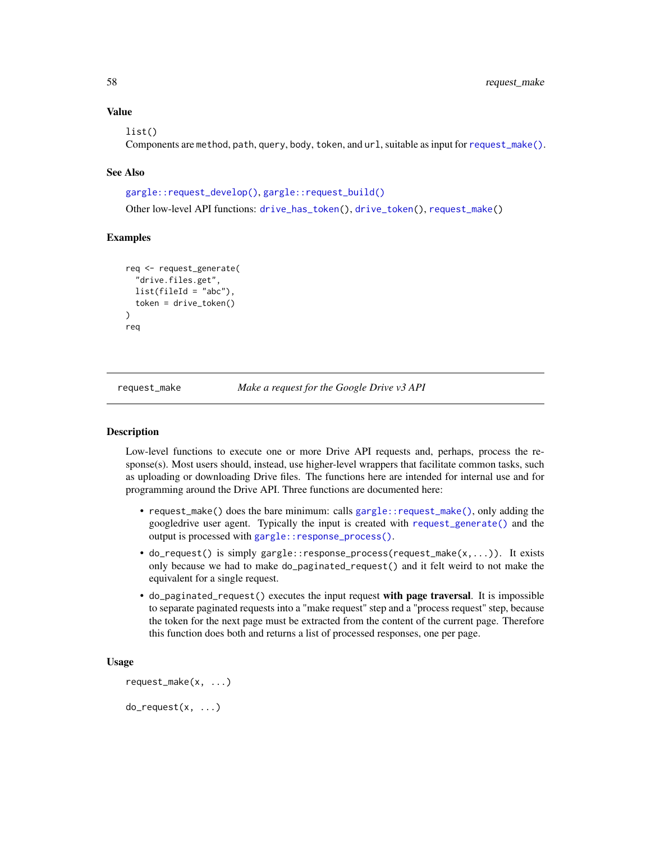## Value

list()

Components are method, path, query, body, token, and url, suitable as input for [request\\_make\(\)](#page-57-1).

### See Also

[gargle::request\\_develop\(\)](#page-0-0), [gargle::request\\_build\(\)](#page-0-0)

Other low-level API functions: [drive\\_has\\_token\(](#page-29-2)), [drive\\_token\(](#page-47-1)), [request\\_make\(](#page-57-1))

#### Examples

```
req <- request_generate(
  "drive.files.get",
 list(fileId = "abc"),
 token = drive_token()
)
req
```
<span id="page-57-1"></span>request\_make *Make a request for the Google Drive v3 API*

#### Description

Low-level functions to execute one or more Drive API requests and, perhaps, process the response(s). Most users should, instead, use higher-level wrappers that facilitate common tasks, such as uploading or downloading Drive files. The functions here are intended for internal use and for programming around the Drive API. Three functions are documented here:

- request\_make() does the bare minimum: calls [gargle::request\\_make\(\)](#page-0-0), only adding the googledrive user agent. Typically the input is created with [request\\_generate\(\)](#page-56-1) and the output is processed with [gargle::response\\_process\(\)](#page-0-0).
- do\_request() is simply gargle::response\_process(request\_make(x,...)). It exists only because we had to make do\_paginated\_request() and it felt weird to not make the equivalent for a single request.
- do\_paginated\_request() executes the input request with page traversal. It is impossible to separate paginated requests into a "make request" step and a "process request" step, because the token for the next page must be extracted from the content of the current page. Therefore this function does both and returns a list of processed responses, one per page.

#### Usage

```
request_make(x, ...)
```
<span id="page-57-0"></span>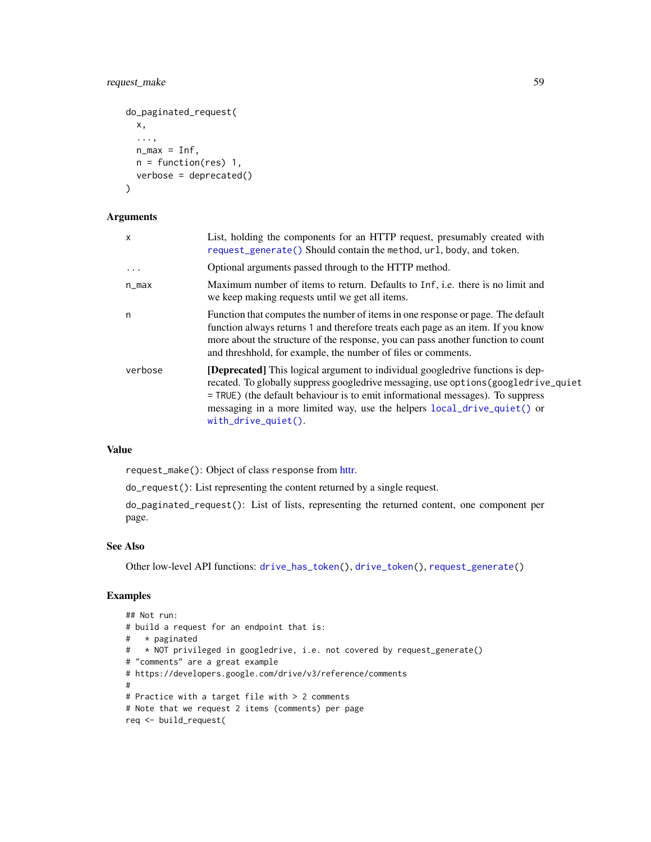## <span id="page-58-0"></span>request\_make 59

```
do_paginated_request(
 x,
  ...,
 n_{max} = Inf,n = function(res) 1,
 verbose = deprecated()
\lambda
```
## Arguments

| $\mathsf{x}$ | List, holding the components for an HTTP request, presumably created with<br>request_generate() Should contain the method, url, body, and token.                                                                                                                                                                                                                        |
|--------------|-------------------------------------------------------------------------------------------------------------------------------------------------------------------------------------------------------------------------------------------------------------------------------------------------------------------------------------------------------------------------|
| $\ddotsc$    | Optional arguments passed through to the HTTP method.                                                                                                                                                                                                                                                                                                                   |
| $n_{max}$    | Maximum number of items to return. Defaults to Inf, i.e. there is no limit and<br>we keep making requests until we get all items.                                                                                                                                                                                                                                       |
| n            | Function that computes the number of items in one response or page. The default<br>function always returns 1 and therefore treats each page as an item. If you know<br>more about the structure of the response, you can pass another function to count<br>and threshhold, for example, the number of files or comments.                                                |
| verbose      | <b>[Deprecated]</b> This logical argument to individual googledrive functions is dep-<br>recated. To globally suppress googledrive messaging, use options (googledrive_quiet<br>$=$ TRUE) (the default behaviour is to emit informational messages). To suppress<br>messaging in a more limited way, use the helpers local_drive_quiet() or<br>$with\_drive\_quiet()$ . |

## Value

request\_make(): Object of class response from [httr.](#page-0-0)

do\_request(): List representing the content returned by a single request.

do\_paginated\_request(): List of lists, representing the returned content, one component per page.

## See Also

Other low-level API functions: [drive\\_has\\_token\(](#page-29-2)), [drive\\_token\(](#page-47-1)), [request\\_generate\(](#page-56-1))

```
## Not run:
# build a request for an endpoint that is:
# * paginated
# * NOT privileged in googledrive, i.e. not covered by request_generate()
# "comments" are a great example
# https://developers.google.com/drive/v3/reference/comments
#
# Practice with a target file with > 2 comments
# Note that we request 2 items (comments) per page
req <- build_request(
```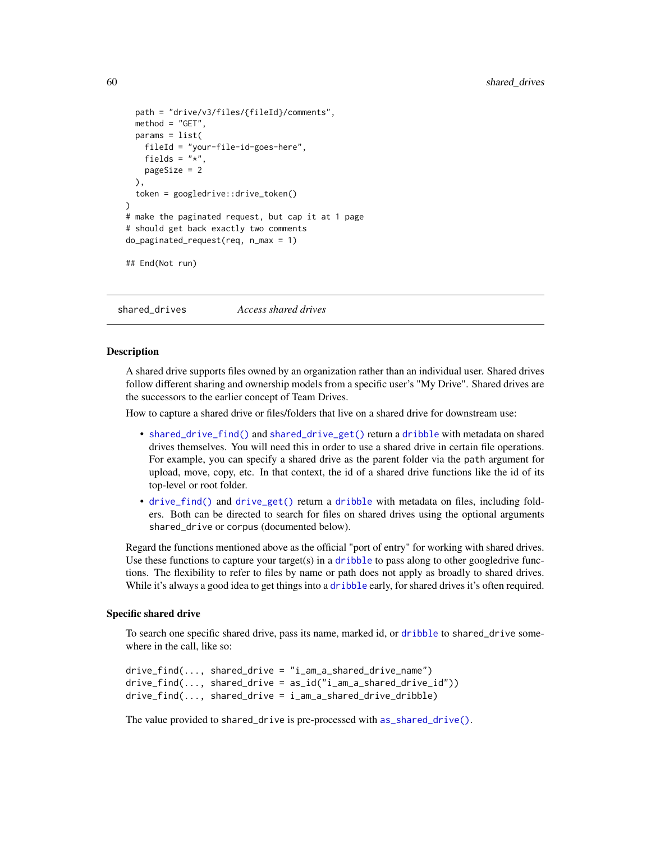```
path = "drive/v3/files/{fileId}/comments",
 method = "GET",params = list(
    fileId = "your-file-id-goes-here",
   fields = "*",
   pageSize = 2
 ),
 token = googledrive::drive_token()
)
# make the paginated request, but cap it at 1 page
# should get back exactly two comments
do_paginated_request(req, n_max = 1)
## End(Not run)
```
<span id="page-59-1"></span>shared\_drives *Access shared drives*

#### Description

A shared drive supports files owned by an organization rather than an individual user. Shared drives follow different sharing and ownership models from a specific user's "My Drive". Shared drives are the successors to the earlier concept of Team Drives.

How to capture a shared drive or files/folders that live on a shared drive for downstream use:

- [shared\\_drive\\_find\(\)](#page-62-1) and [shared\\_drive\\_get\(\)](#page-63-1) return a [dribble](#page-5-1) with metadata on shared drives themselves. You will need this in order to use a shared drive in certain file operations. For example, you can specify a shared drive as the parent folder via the path argument for upload, move, copy, etc. In that context, the id of a shared drive functions like the id of its top-level or root folder.
- [drive\\_find\(\)](#page-23-1) and [drive\\_get\(\)](#page-26-1) return a [dribble](#page-5-1) with metadata on files, including folders. Both can be directed to search for files on shared drives using the optional arguments shared\_drive or corpus (documented below).

Regard the functions mentioned above as the official "port of entry" for working with shared drives. Use these functions to capture your target(s) in a [dribble](#page-5-1) to pass along to other googledrive functions. The flexibility to refer to files by name or path does not apply as broadly to shared drives. While it's always a good idea to get things into a [dribble](#page-5-1) early, for shared drives it's often required.

#### Specific shared drive

To search one specific shared drive, pass its name, marked id, or [dribble](#page-5-1) to shared\_drive somewhere in the call, like so:

```
drive_find(..., shared_drive = "i_am_a_shared_drive_name")
drive_find(..., shared_drive = as_id("i_am_a_shared_drive_id"))
drive_find(..., shared_drive = i_am_a_shared_drive_dribble)
```
The value provided to shared\_drive is pre-processed with [as\\_shared\\_drive\(\)](#page-4-1).

<span id="page-59-0"></span>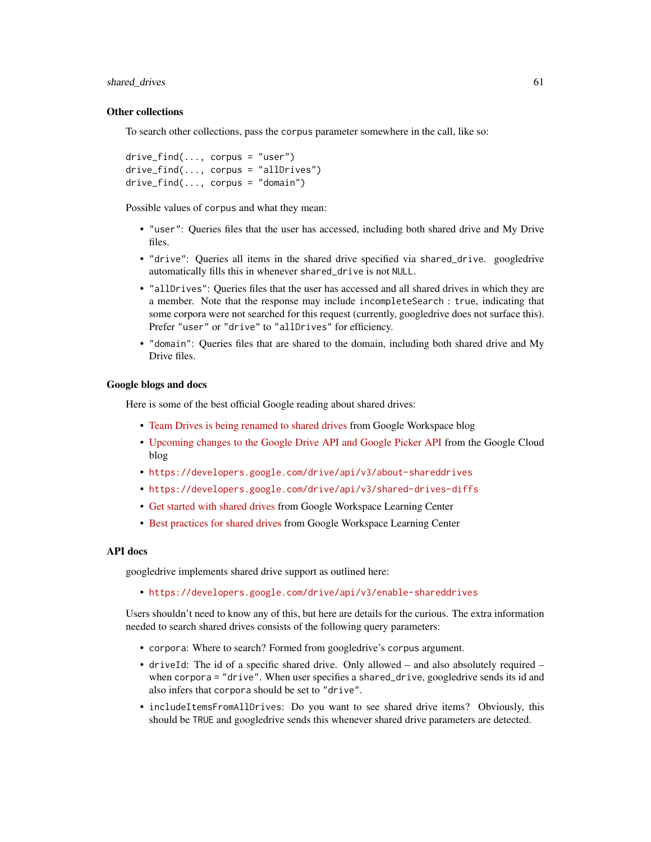#### shared\_drives 61

#### Other collections

To search other collections, pass the corpus parameter somewhere in the call, like so:

```
drive_find(..., corpus = "user")drive_find(..., corpus = "allDrives")
drive_find(..., corpus = "domain")
```
Possible values of corpus and what they mean:

- "user": Queries files that the user has accessed, including both shared drive and My Drive files.
- "drive": Queries all items in the shared drive specified via shared\_drive. googledrive automatically fills this in whenever shared\_drive is not NULL.
- "allDrives": Queries files that the user has accessed and all shared drives in which they are a member. Note that the response may include incompleteSearch : true, indicating that some corpora were not searched for this request (currently, googledrive does not surface this). Prefer "user" or "drive" to "allDrives" for efficiency.
- "domain": Queries files that are shared to the domain, including both shared drive and My Drive files.

#### Google blogs and docs

Here is some of the best official Google reading about shared drives:

- [Team Drives is being renamed to shared drives](https://workspaceupdates.googleblog.com/2019/04/shared-drives.html) from Google Workspace blog
- [Upcoming changes to the Google Drive API and Google Picker API](https://cloud.google.com/blog/products/application-development/upcoming-changes-to-the-google-drive-api-and-google-picker-api) from the Google Cloud blog
- <https://developers.google.com/drive/api/v3/about-shareddrives>
- <https://developers.google.com/drive/api/v3/shared-drives-diffs>
- [Get started with shared drives](https://support.google.com/a/users/answer/9310351) from Google Workspace Learning Center
- [Best practices for shared drives](https://support.google.com/a/users/answer/9310156) from Google Workspace Learning Center

## API docs

googledrive implements shared drive support as outlined here:

• <https://developers.google.com/drive/api/v3/enable-shareddrives>

Users shouldn't need to know any of this, but here are details for the curious. The extra information needed to search shared drives consists of the following query parameters:

- corpora: Where to search? Formed from googledrive's corpus argument.
- driveId: The id of a specific shared drive. Only allowed and also absolutely required when corpora = "drive". When user specifies a shared\_drive, googledrive sends its id and also infers that corpora should be set to "drive".
- includeItemsFromAllDrives: Do you want to see shared drive items? Obviously, this should be TRUE and googledrive sends this whenever shared drive parameters are detected.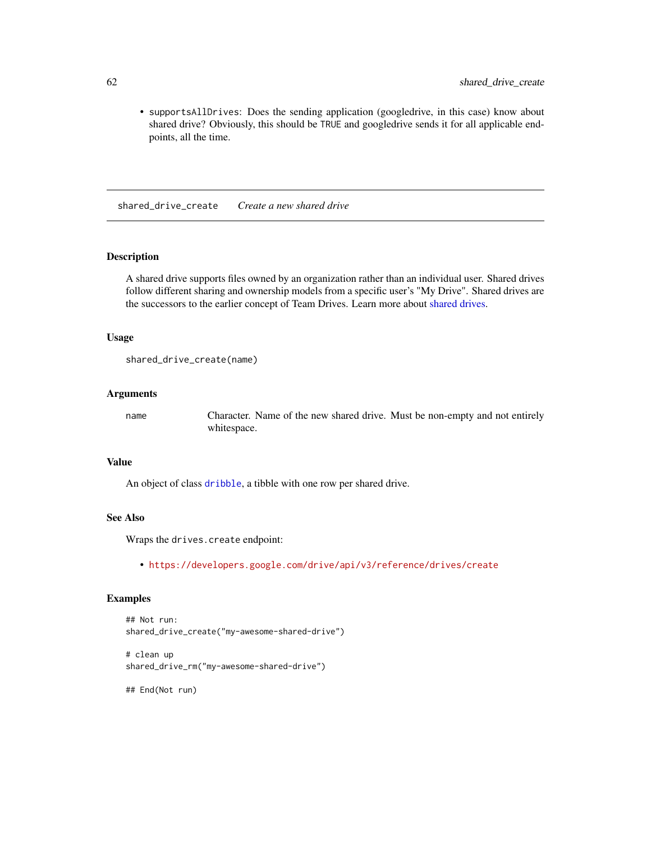<span id="page-61-0"></span>• supportsAllDrives: Does the sending application (googledrive, in this case) know about shared drive? Obviously, this should be TRUE and googledrive sends it for all applicable endpoints, all the time.

shared\_drive\_create *Create a new shared drive*

## Description

A shared drive supports files owned by an organization rather than an individual user. Shared drives follow different sharing and ownership models from a specific user's "My Drive". Shared drives are the successors to the earlier concept of Team Drives. Learn more about [shared drives.](#page-59-1)

#### Usage

```
shared_drive_create(name)
```
#### Arguments

name Character. Name of the new shared drive. Must be non-empty and not entirely whitespace.

### Value

An object of class [dribble](#page-5-1), a tibble with one row per shared drive.

#### See Also

Wraps the drives.create endpoint:

• <https://developers.google.com/drive/api/v3/reference/drives/create>

#### Examples

```
## Not run:
shared_drive_create("my-awesome-shared-drive")
```
# clean up shared\_drive\_rm("my-awesome-shared-drive")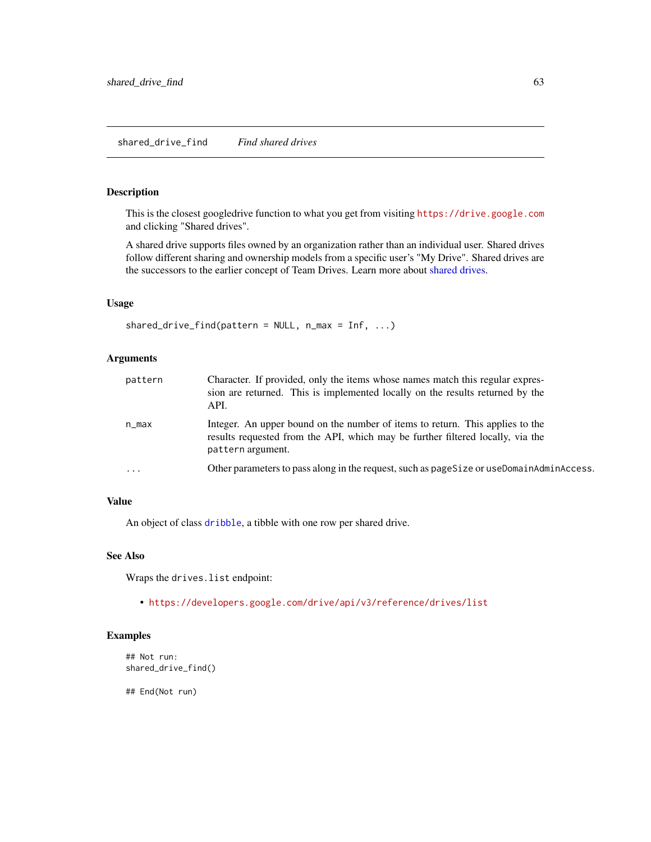## <span id="page-62-1"></span><span id="page-62-0"></span>Description

This is the closest googledrive function to what you get from visiting <https://drive.google.com> and clicking "Shared drives".

A shared drive supports files owned by an organization rather than an individual user. Shared drives follow different sharing and ownership models from a specific user's "My Drive". Shared drives are the successors to the earlier concept of Team Drives. Learn more about [shared drives.](#page-59-1)

## Usage

```
shared_drive_find(pattern = NULL, n_max = Inf, ...)
```
#### Arguments

| pattern  | Character. If provided, only the items whose names match this regular expres-<br>sion are returned. This is implemented locally on the results returned by the<br>API.               |
|----------|--------------------------------------------------------------------------------------------------------------------------------------------------------------------------------------|
| n_max    | Integer. An upper bound on the number of items to return. This applies to the<br>results requested from the API, which may be further filtered locally, via the<br>pattern argument. |
| $\cdots$ | Other parameters to pass along in the request, such as pageSize or useDomainAdminAccess.                                                                                             |

## Value

An object of class [dribble](#page-5-1), a tibble with one row per shared drive.

## See Also

Wraps the drives.list endpoint:

• <https://developers.google.com/drive/api/v3/reference/drives/list>

## Examples

```
## Not run:
shared_drive_find()
```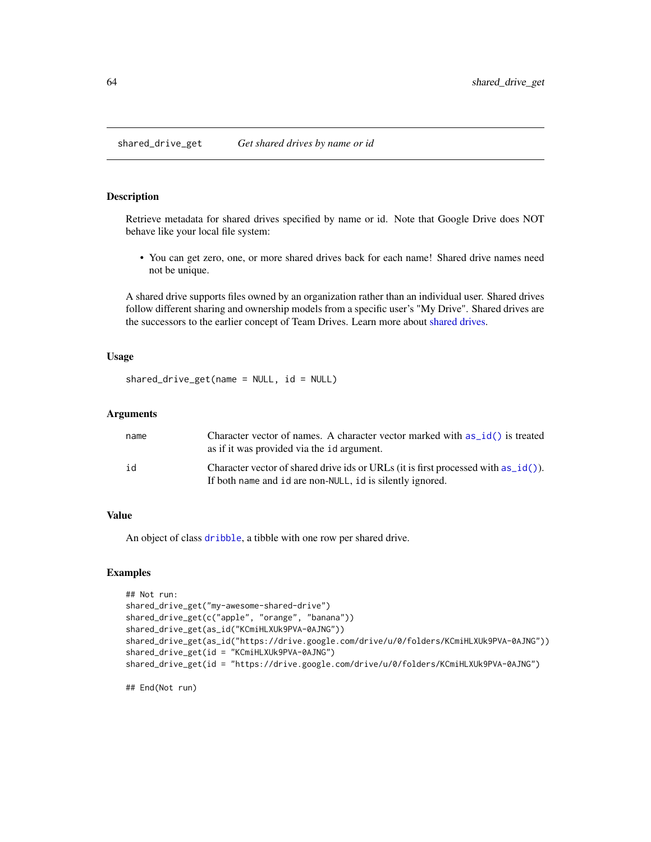<span id="page-63-1"></span><span id="page-63-0"></span>shared\_drive\_get *Get shared drives by name or id*

#### Description

Retrieve metadata for shared drives specified by name or id. Note that Google Drive does NOT behave like your local file system:

• You can get zero, one, or more shared drives back for each name! Shared drive names need not be unique.

A shared drive supports files owned by an organization rather than an individual user. Shared drives follow different sharing and ownership models from a specific user's "My Drive". Shared drives are the successors to the earlier concept of Team Drives. Learn more about [shared drives.](#page-59-1)

## Usage

```
shared_drive_get(name = NULL, id = NULL)
```
#### **Arguments**

| name | Character vector of names. A character vector marked with as $id()$ is treated<br>as if it was provided via the 1d argument. |
|------|------------------------------------------------------------------------------------------------------------------------------|
| id   | Character vector of shared drive ids or URLs (it is first processed with as_id()).                                           |
|      | If both name and id are non-NULL, id is silently ignored.                                                                    |

#### Value

An object of class [dribble](#page-5-1), a tibble with one row per shared drive.

## Examples

```
## Not run:
shared_drive_get("my-awesome-shared-drive")
shared_drive_get(c("apple", "orange", "banana"))
shared_drive_get(as_id("KCmiHLXUk9PVA-0AJNG"))
shared_drive_get(as_id("https://drive.google.com/drive/u/0/folders/KCmiHLXUk9PVA-0AJNG"))
shared_drive_get(id = "KCmiHLXUk9PVA-0AJNG")
shared_drive_get(id = "https://drive.google.com/drive/u/0/folders/KCmiHLXUk9PVA-0AJNG")
```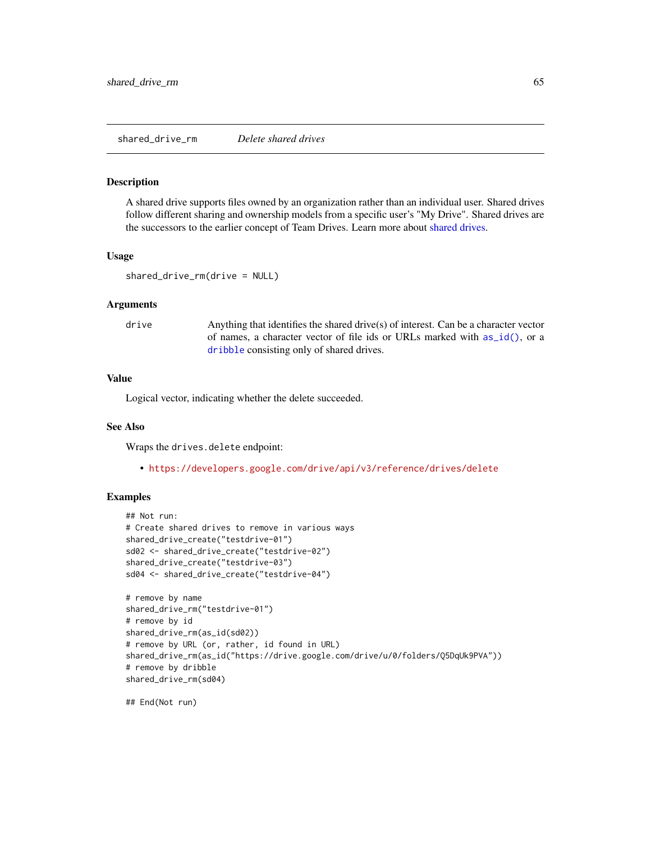<span id="page-64-0"></span>shared\_drive\_rm *Delete shared drives*

#### **Description**

A shared drive supports files owned by an organization rather than an individual user. Shared drives follow different sharing and ownership models from a specific user's "My Drive". Shared drives are the successors to the earlier concept of Team Drives. Learn more about [shared drives.](#page-59-1)

#### Usage

```
shared_drive_rm(drive = NULL)
```
#### Arguments

drive Anything that identifies the shared drive(s) of interest. Can be a character vector of names, a character vector of file ids or URLs marked with [as\\_id\(\)](#page-3-1), or a [dribble](#page-5-1) consisting only of shared drives.

#### Value

Logical vector, indicating whether the delete succeeded.

## See Also

Wraps the drives.delete endpoint:

• <https://developers.google.com/drive/api/v3/reference/drives/delete>

#### Examples

```
## Not run:
# Create shared drives to remove in various ways
shared_drive_create("testdrive-01")
sd02 <- shared_drive_create("testdrive-02")
shared_drive_create("testdrive-03")
sd04 <- shared_drive_create("testdrive-04")
# remove by name
shared_drive_rm("testdrive-01")
# remove by id
shared_drive_rm(as_id(sd02))
# remove by URL (or, rather, id found in URL)
shared_drive_rm(as_id("https://drive.google.com/drive/u/0/folders/Q5DqUk9PVA"))
# remove by dribble
shared_drive_rm(sd04)
```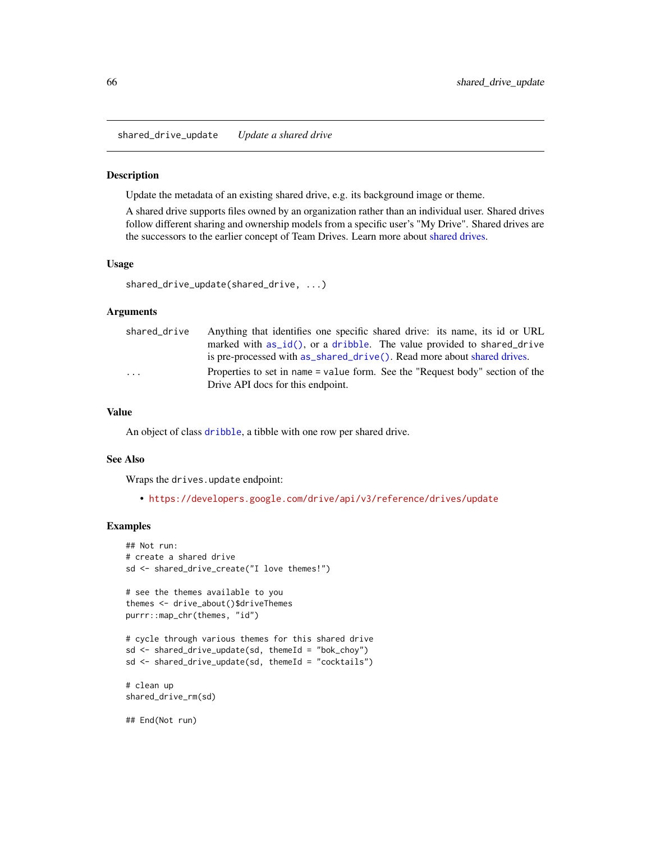<span id="page-65-0"></span>shared\_drive\_update *Update a shared drive*

#### Description

Update the metadata of an existing shared drive, e.g. its background image or theme.

A shared drive supports files owned by an organization rather than an individual user. Shared drives follow different sharing and ownership models from a specific user's "My Drive". Shared drives are the successors to the earlier concept of Team Drives. Learn more about [shared drives.](#page-59-1)

#### Usage

```
shared_drive_update(shared_drive, ...)
```
#### Arguments

| shared drive | Anything that identifies one specific shared drive: its name, its id or URL   |
|--------------|-------------------------------------------------------------------------------|
|              | marked with as id(), or a dribble. The value provided to shared drive         |
|              | is pre-processed with as_shared_drive(). Read more about shared drives.       |
| .            | Properties to set in name = value form. See the "Request body" section of the |
|              | Drive API docs for this endpoint.                                             |

#### Value

An object of class [dribble](#page-5-1), a tibble with one row per shared drive.

#### See Also

Wraps the drives.update endpoint:

• <https://developers.google.com/drive/api/v3/reference/drives/update>

```
## Not run:
# create a shared drive
sd <- shared_drive_create("I love themes!")
# see the themes available to you
themes <- drive_about()$driveThemes
purrr::map_chr(themes, "id")
# cycle through various themes for this shared drive
sd \leq shared_drive_update(sd, themeId = "bok_choy")
sd <- shared_drive_update(sd, themeId = "cocktails")
# clean up
shared_drive_rm(sd)
## End(Not run)
```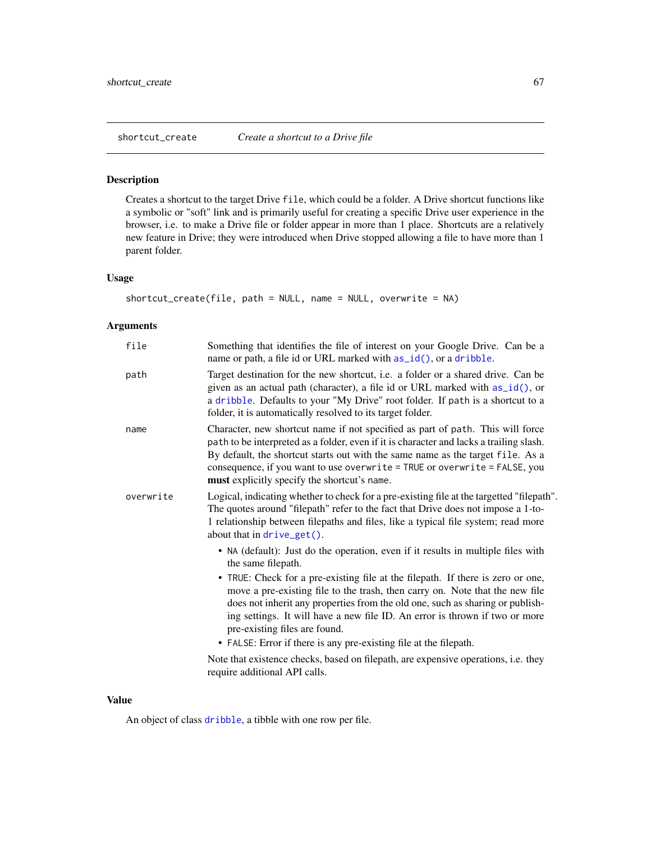<span id="page-66-0"></span>

#### Description

Creates a shortcut to the target Drive file, which could be a folder. A Drive shortcut functions like a symbolic or "soft" link and is primarily useful for creating a specific Drive user experience in the browser, i.e. to make a Drive file or folder appear in more than 1 place. Shortcuts are a relatively new feature in Drive; they were introduced when Drive stopped allowing a file to have more than 1 parent folder.

#### Usage

```
shortcut_create(file, path = NULL, name = NULL, overwrite = NA)
```
#### Arguments

| file      | Something that identifies the file of interest on your Google Drive. Can be a<br>name or path, a file id or URL marked with as_id(), or a dribble.                                                                                                                                                                                                                                                                                                                                                                                                                                                                                                                     |
|-----------|------------------------------------------------------------------------------------------------------------------------------------------------------------------------------------------------------------------------------------------------------------------------------------------------------------------------------------------------------------------------------------------------------------------------------------------------------------------------------------------------------------------------------------------------------------------------------------------------------------------------------------------------------------------------|
| path      | Target destination for the new shortcut, i.e. a folder or a shared drive. Can be<br>given as an actual path (character), a file id or URL marked with $as_id()$ , or<br>a dribble. Defaults to your "My Drive" root folder. If path is a shortcut to a<br>folder, it is automatically resolved to its target folder.                                                                                                                                                                                                                                                                                                                                                   |
| name      | Character, new shortcut name if not specified as part of path. This will force<br>path to be interpreted as a folder, even if it is character and lacks a trailing slash.<br>By default, the shortcut starts out with the same name as the target file. As a<br>consequence, if you want to use overwrite = TRUE or overwrite = FALSE, you<br>must explicitly specify the shortcut's name.                                                                                                                                                                                                                                                                             |
| overwrite | Logical, indicating whether to check for a pre-existing file at the targetted "filepath".<br>The quotes around "filepath" refer to the fact that Drive does not impose a 1-to-<br>1 relationship between filepaths and files, like a typical file system; read more<br>about that in $drive\_get()$ .                                                                                                                                                                                                                                                                                                                                                                  |
|           | • NA (default): Just do the operation, even if it results in multiple files with<br>the same filepath.<br>• TRUE: Check for a pre-existing file at the filepath. If there is zero or one,<br>move a pre-existing file to the trash, then carry on. Note that the new file<br>does not inherit any properties from the old one, such as sharing or publish-<br>ing settings. It will have a new file ID. An error is thrown if two or more<br>pre-existing files are found.<br>• FALSE: Error if there is any pre-existing file at the filepath.<br>Note that existence checks, based on filepath, are expensive operations, i.e. they<br>require additional API calls. |

## Value

An object of class [dribble](#page-5-1), a tibble with one row per file.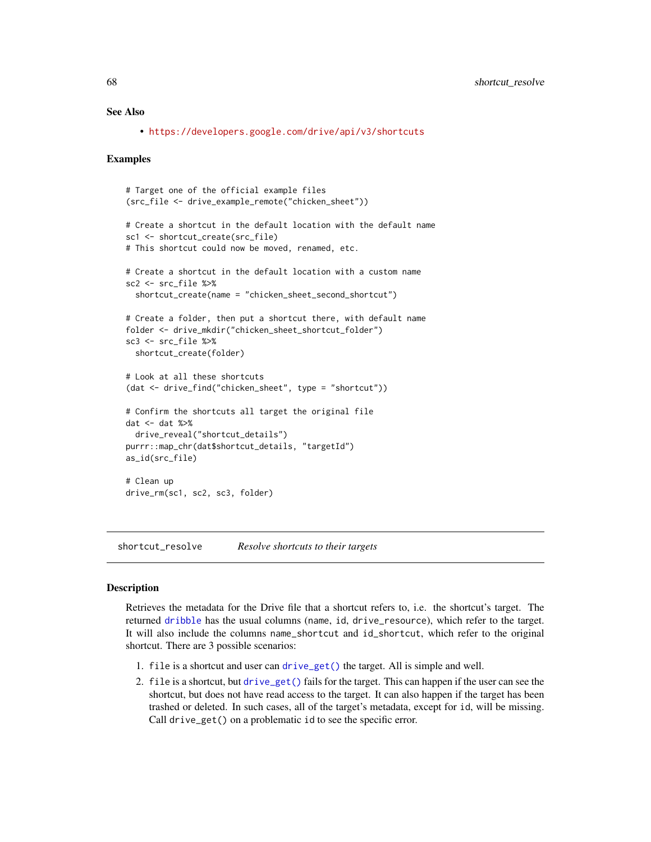## See Also

• <https://developers.google.com/drive/api/v3/shortcuts>

#### Examples

```
# Target one of the official example files
(src_file <- drive_example_remote("chicken_sheet"))
# Create a shortcut in the default location with the default name
sc1 <- shortcut_create(src_file)
# This shortcut could now be moved, renamed, etc.
# Create a shortcut in the default location with a custom name
sc2 <- src_file %>%
  shortcut_create(name = "chicken_sheet_second_shortcut")
# Create a folder, then put a shortcut there, with default name
folder <- drive_mkdir("chicken_sheet_shortcut_folder")
sc3 <- src_file %>%
  shortcut_create(folder)
# Look at all these shortcuts
(dat <- drive_find("chicken_sheet", type = "shortcut"))
# Confirm the shortcuts all target the original file
dat <- dat %>%
  drive_reveal("shortcut_details")
purrr::map_chr(dat$shortcut_details, "targetId")
as_id(src_file)
# Clean up
drive_rm(sc1, sc2, sc3, folder)
```
shortcut\_resolve *Resolve shortcuts to their targets*

## Description

Retrieves the metadata for the Drive file that a shortcut refers to, i.e. the shortcut's target. The returned [dribble](#page-5-1) has the usual columns (name, id, drive\_resource), which refer to the target. It will also include the columns name\_shortcut and id\_shortcut, which refer to the original shortcut. There are 3 possible scenarios:

- 1. file is a shortcut and user can [drive\\_get\(\)](#page-26-1) the target. All is simple and well.
- 2. file is a shortcut, but [drive\\_get\(\)](#page-26-1) fails for the target. This can happen if the user can see the shortcut, but does not have read access to the target. It can also happen if the target has been trashed or deleted. In such cases, all of the target's metadata, except for id, will be missing. Call drive\_get() on a problematic id to see the specific error.

<span id="page-67-0"></span>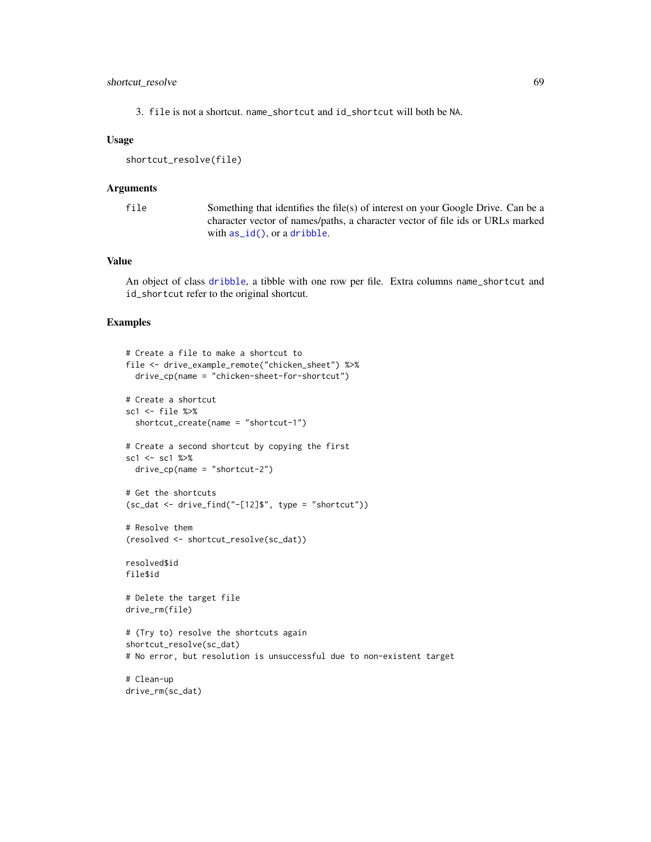## <span id="page-68-0"></span>shortcut\_resolve 69

3. file is not a shortcut. name\_shortcut and id\_shortcut will both be NA.

#### Usage

shortcut\_resolve(file)

#### Arguments

file Something that identifies the file(s) of interest on your Google Drive. Can be a character vector of names/paths, a character vector of file ids or URLs marked with [as\\_id\(\)](#page-3-1), or a [dribble](#page-5-1).

## Value

An object of class [dribble](#page-5-1), a tibble with one row per file. Extra columns name\_shortcut and id\_shortcut refer to the original shortcut.

```
# Create a file to make a shortcut to
file <- drive_example_remote("chicken_sheet") %>%
  drive_cp(name = "chicken-sheet-for-shortcut")
# Create a shortcut
sc1 <- file %>%
  shortcut_create(name = "shortcut-1")
# Create a second shortcut by copying the first
sc1 <- sc1 %>%
  drive_cp(name = "shortcut-2")
# Get the shortcuts
(sc_data < -drive_find("-[12]", type = "shortcut"))
# Resolve them
(resolved <- shortcut_resolve(sc_dat))
resolved$id
file$id
# Delete the target file
drive_rm(file)
# (Try to) resolve the shortcuts again
shortcut_resolve(sc_dat)
# No error, but resolution is unsuccessful due to non-existent target
# Clean-up
drive_rm(sc_dat)
```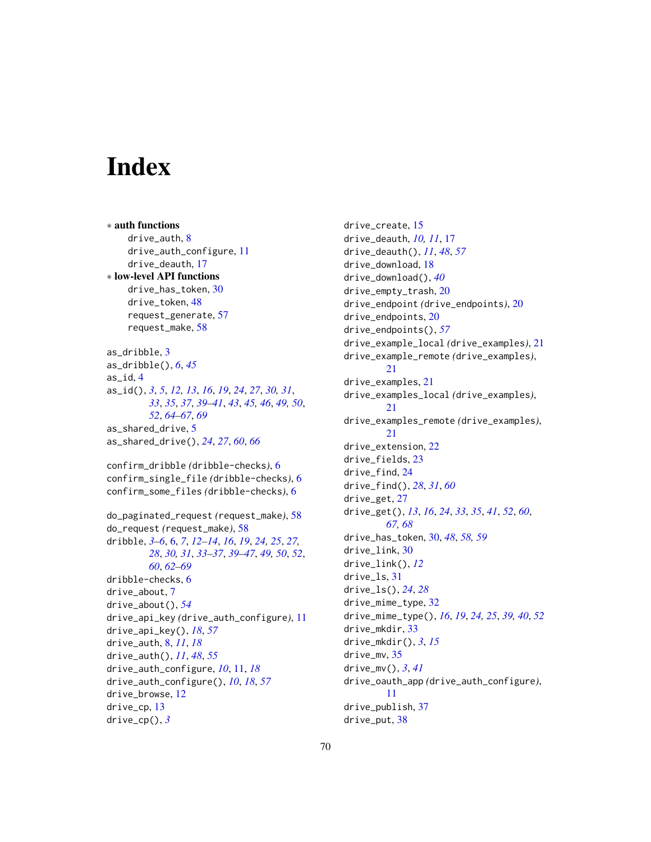# <span id="page-69-0"></span>**Index**

∗ auth functions drive\_auth, [8](#page-7-0) drive\_auth\_configure, [11](#page-10-0) drive\_deauth, [17](#page-16-0) ∗ low-level API functions drive has token. [30](#page-29-0) drive\_token, [48](#page-47-0) request\_generate, [57](#page-56-0) request\_make, [58](#page-57-0) as\_dribble, [3](#page-2-0) as\_dribble(), *[6](#page-5-0)*, *[45](#page-44-0)* as\_id, [4](#page-3-0) as\_id(), *[3](#page-2-0)*, *[5](#page-4-0)*, *[12,](#page-11-0) [13](#page-12-0)*, *[16](#page-15-0)*, *[19](#page-18-0)*, *[24](#page-23-0)*, *[27](#page-26-0)*, *[30,](#page-29-0) [31](#page-30-0)*, *[33](#page-32-0)*, *[35](#page-34-0)*, *[37](#page-36-0)*, *[39–](#page-38-0)[41](#page-40-0)*, *[43](#page-42-0)*, *[45,](#page-44-0) [46](#page-45-0)*, *[49,](#page-48-0) [50](#page-49-0)*, *[52](#page-51-0)*, *[64](#page-63-0)[–67](#page-66-0)*, *[69](#page-68-0)* as\_shared\_drive, [5](#page-4-0) as\_shared\_drive(), *[24](#page-23-0)*, *[27](#page-26-0)*, *[60](#page-59-0)*, *[66](#page-65-0)* confirm\_dribble *(*dribble-checks*)*, [6](#page-5-0) confirm\_single\_file *(*dribble-checks*)*, [6](#page-5-0) confirm\_some\_files *(*dribble-checks*)*, [6](#page-5-0) do\_paginated\_request *(*request\_make*)*, [58](#page-57-0) do\_request *(*request\_make*)*, [58](#page-57-0) dribble, *[3](#page-2-0)[–6](#page-5-0)*, [6,](#page-5-0) *[7](#page-6-0)*, *[12](#page-11-0)[–14](#page-13-0)*, *[16](#page-15-0)*, *[19](#page-18-0)*, *[24,](#page-23-0) [25](#page-24-0)*, *[27,](#page-26-0) [28](#page-27-0)*, *[30,](#page-29-0) [31](#page-30-0)*, *[33–](#page-32-0)[37](#page-36-0)*, *[39–](#page-38-0)[47](#page-46-0)*, *[49,](#page-48-0) [50](#page-49-0)*, *[52](#page-51-0)*, *[60](#page-59-0)*, *[62](#page-61-0)[–69](#page-68-0)* dribble-checks, [6](#page-5-0) drive\_about, [7](#page-6-0) drive\_about(), *[54](#page-53-0)* drive\_api\_key *(*drive\_auth\_configure*)*, [11](#page-10-0) drive\_api\_key(), *[18](#page-17-0)*, *[57](#page-56-0)* drive\_auth, [8,](#page-7-0) *[11](#page-10-0)*, *[18](#page-17-0)* drive\_auth(), *[11](#page-10-0)*, *[48](#page-47-0)*, *[55](#page-54-0)* drive\_auth\_configure, *[10](#page-9-0)*, [11,](#page-10-0) *[18](#page-17-0)* drive\_auth\_configure(), *[10](#page-9-0)*, *[18](#page-17-0)*, *[57](#page-56-0)* drive\_browse, [12](#page-11-0) drive\_cp, [13](#page-12-0) drive\_cp(), *[3](#page-2-0)*

drive\_create, [15](#page-14-0) drive\_deauth, *[10,](#page-9-0) [11](#page-10-0)*, [17](#page-16-0) drive\_deauth(), *[11](#page-10-0)*, *[48](#page-47-0)*, *[57](#page-56-0)* drive\_download, [18](#page-17-0) drive\_download(), *[40](#page-39-0)* drive\_empty\_trash, [20](#page-19-0) drive\_endpoint *(*drive\_endpoints*)*, [20](#page-19-0) drive\_endpoints, [20](#page-19-0) drive\_endpoints(), *[57](#page-56-0)* drive\_example\_local *(*drive\_examples*)*, [21](#page-20-0) drive\_example\_remote *(*drive\_examples*)*, [21](#page-20-0) drive\_examples, [21](#page-20-0) drive\_examples\_local *(*drive\_examples*)*, [21](#page-20-0) drive\_examples\_remote *(*drive\_examples*)*, [21](#page-20-0) drive\_extension, [22](#page-21-0) drive\_fields, [23](#page-22-0) drive\_find, [24](#page-23-0) drive\_find(), *[28](#page-27-0)*, *[31](#page-30-0)*, *[60](#page-59-0)* drive\_get, [27](#page-26-0) drive\_get(), *[13](#page-12-0)*, *[16](#page-15-0)*, *[24](#page-23-0)*, *[33](#page-32-0)*, *[35](#page-34-0)*, *[41](#page-40-0)*, *[52](#page-51-0)*, *[60](#page-59-0)*, *[67,](#page-66-0) [68](#page-67-0)* drive\_has\_token, [30,](#page-29-0) *[48](#page-47-0)*, *[58,](#page-57-0) [59](#page-58-0)* drive\_link, [30](#page-29-0) drive\_link(), *[12](#page-11-0)* drive\_ls, [31](#page-30-0) drive\_ls(), *[24](#page-23-0)*, *[28](#page-27-0)* drive\_mime\_type, [32](#page-31-0) drive\_mime\_type(), *[16](#page-15-0)*, *[19](#page-18-0)*, *[24,](#page-23-0) [25](#page-24-0)*, *[39,](#page-38-0) [40](#page-39-0)*, *[52](#page-51-0)* drive\_mkdir, [33](#page-32-0) drive\_mkdir(), *[3](#page-2-0)*, *[15](#page-14-0)* drive\_mv, [35](#page-34-0) drive\_mv(), *[3](#page-2-0)*, *[41](#page-40-0)* drive\_oauth\_app *(*drive\_auth\_configure*)*, [11](#page-10-0) drive\_publish, [37](#page-36-0) drive\_put, [38](#page-37-0)